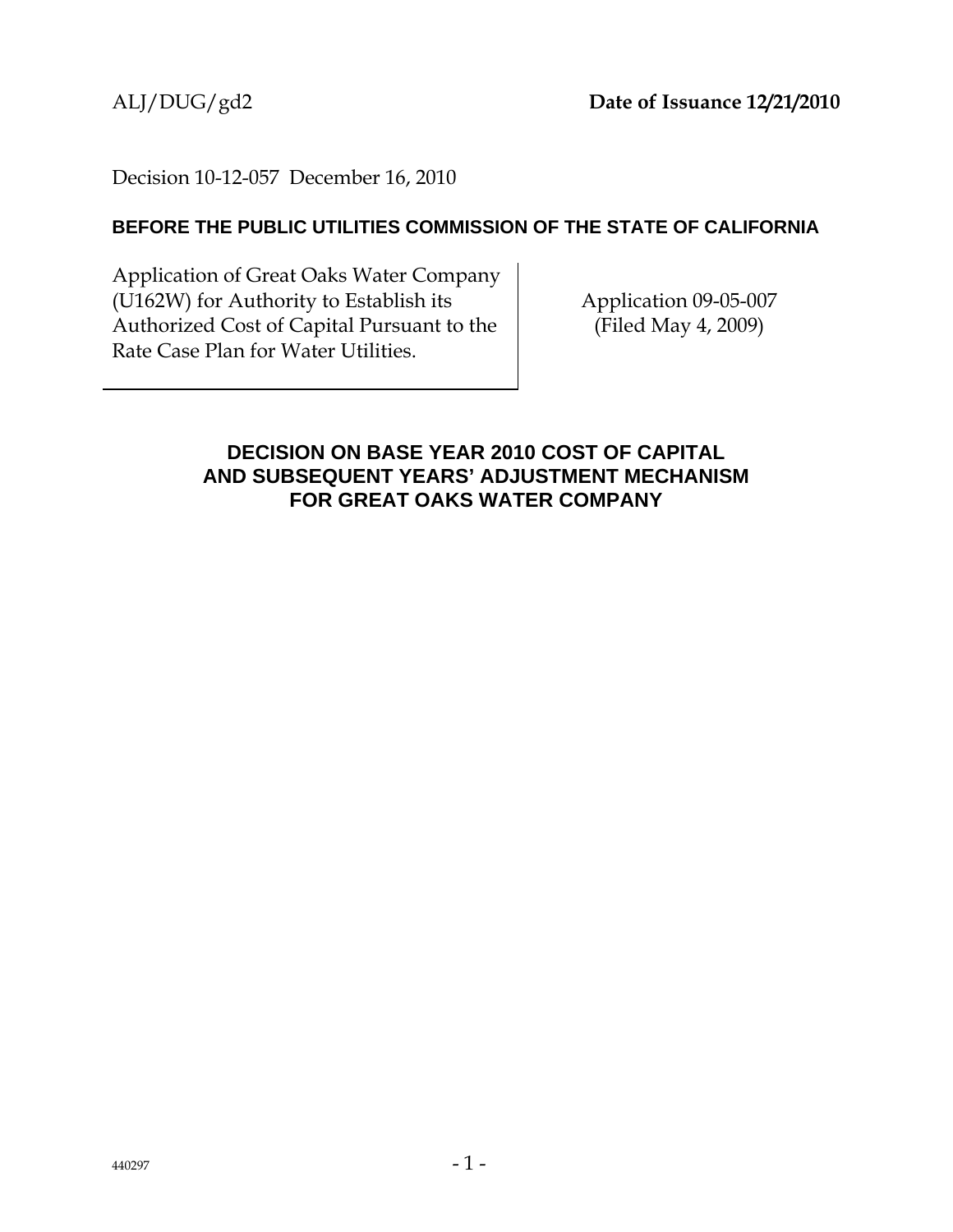### Decision 10-12-057 December 16, 2010

#### **BEFORE THE PUBLIC UTILITIES COMMISSION OF THE STATE OF CALIFORNIA**

Application of Great Oaks Water Company (U162W) for Authority to Establish its Authorized Cost of Capital Pursuant to the Rate Case Plan for Water Utilities.

Application 09-05-007 (Filed May 4, 2009)

### **DECISION ON BASE YEAR 2010 COST OF CAPITAL AND SUBSEQUENT YEARS' ADJUSTMENT MECHANISM FOR GREAT OAKS WATER COMPANY**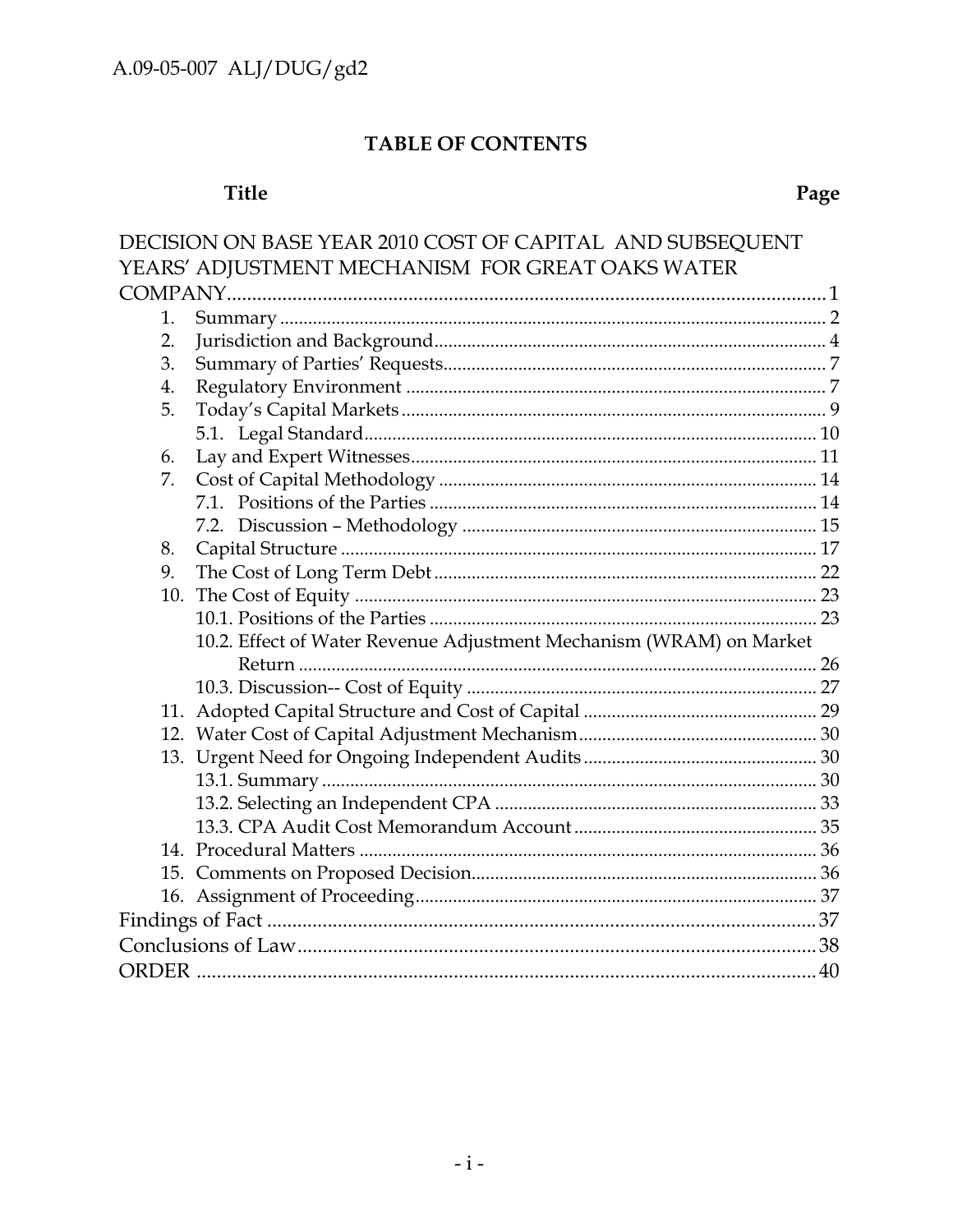# TABLE OF CONTENTS

# Title

|    | DECISION ON BASE YEAR 2010 COST OF CAPITAL AND SUBSEQUENT           |  |
|----|---------------------------------------------------------------------|--|
|    | YEARS' ADJUSTMENT MECHANISM FOR GREAT OAKS WATER                    |  |
|    |                                                                     |  |
| 1. |                                                                     |  |
| 2. |                                                                     |  |
| 3. |                                                                     |  |
| 4. |                                                                     |  |
| 5. |                                                                     |  |
|    |                                                                     |  |
| 6. |                                                                     |  |
| 7. |                                                                     |  |
|    |                                                                     |  |
|    |                                                                     |  |
| 8. |                                                                     |  |
| 9. |                                                                     |  |
|    |                                                                     |  |
|    |                                                                     |  |
|    | 10.2. Effect of Water Revenue Adjustment Mechanism (WRAM) on Market |  |
|    |                                                                     |  |
|    |                                                                     |  |
|    |                                                                     |  |
|    |                                                                     |  |
|    |                                                                     |  |
|    |                                                                     |  |
|    |                                                                     |  |
|    |                                                                     |  |
|    |                                                                     |  |
|    |                                                                     |  |
|    |                                                                     |  |
|    |                                                                     |  |
|    |                                                                     |  |
|    |                                                                     |  |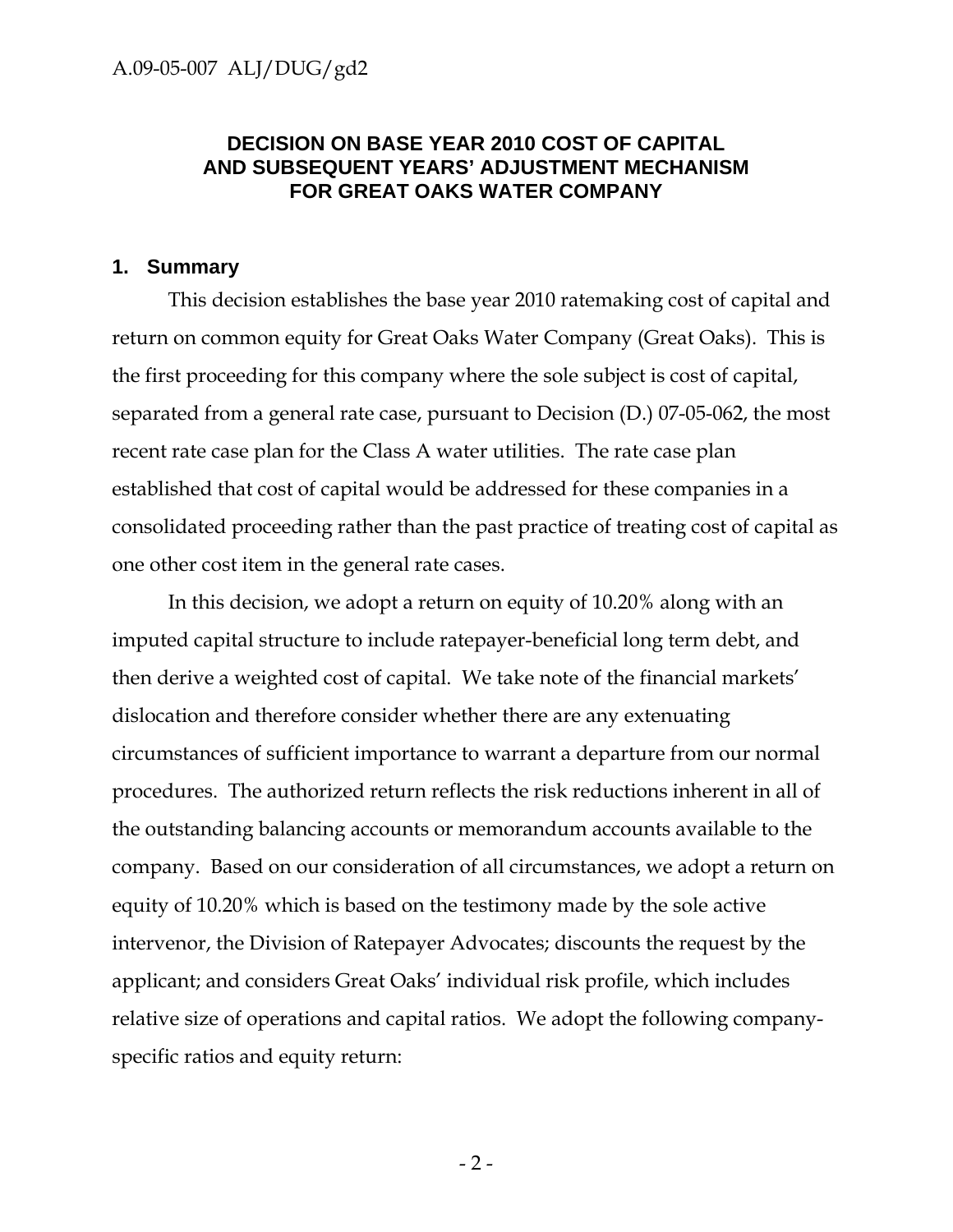#### **DECISION ON BASE YEAR 2010 COST OF CAPITAL AND SUBSEQUENT YEARS' ADJUSTMENT MECHANISM FOR GREAT OAKS WATER COMPANY**

#### **1. Summary**

This decision establishes the base year 2010 ratemaking cost of capital and return on common equity for Great Oaks Water Company (Great Oaks). This is the first proceeding for this company where the sole subject is cost of capital, separated from a general rate case, pursuant to Decision (D.) 07-05-062, the most recent rate case plan for the Class A water utilities. The rate case plan established that cost of capital would be addressed for these companies in a consolidated proceeding rather than the past practice of treating cost of capital as one other cost item in the general rate cases.

In this decision, we adopt a return on equity of 10.20% along with an imputed capital structure to include ratepayer-beneficial long term debt, and then derive a weighted cost of capital. We take note of the financial markets' dislocation and therefore consider whether there are any extenuating circumstances of sufficient importance to warrant a departure from our normal procedures. The authorized return reflects the risk reductions inherent in all of the outstanding balancing accounts or memorandum accounts available to the company. Based on our consideration of all circumstances, we adopt a return on equity of 10.20% which is based on the testimony made by the sole active intervenor, the Division of Ratepayer Advocates; discounts the request by the applicant; and considers Great Oaks' individual risk profile, which includes relative size of operations and capital ratios. We adopt the following companyspecific ratios and equity return: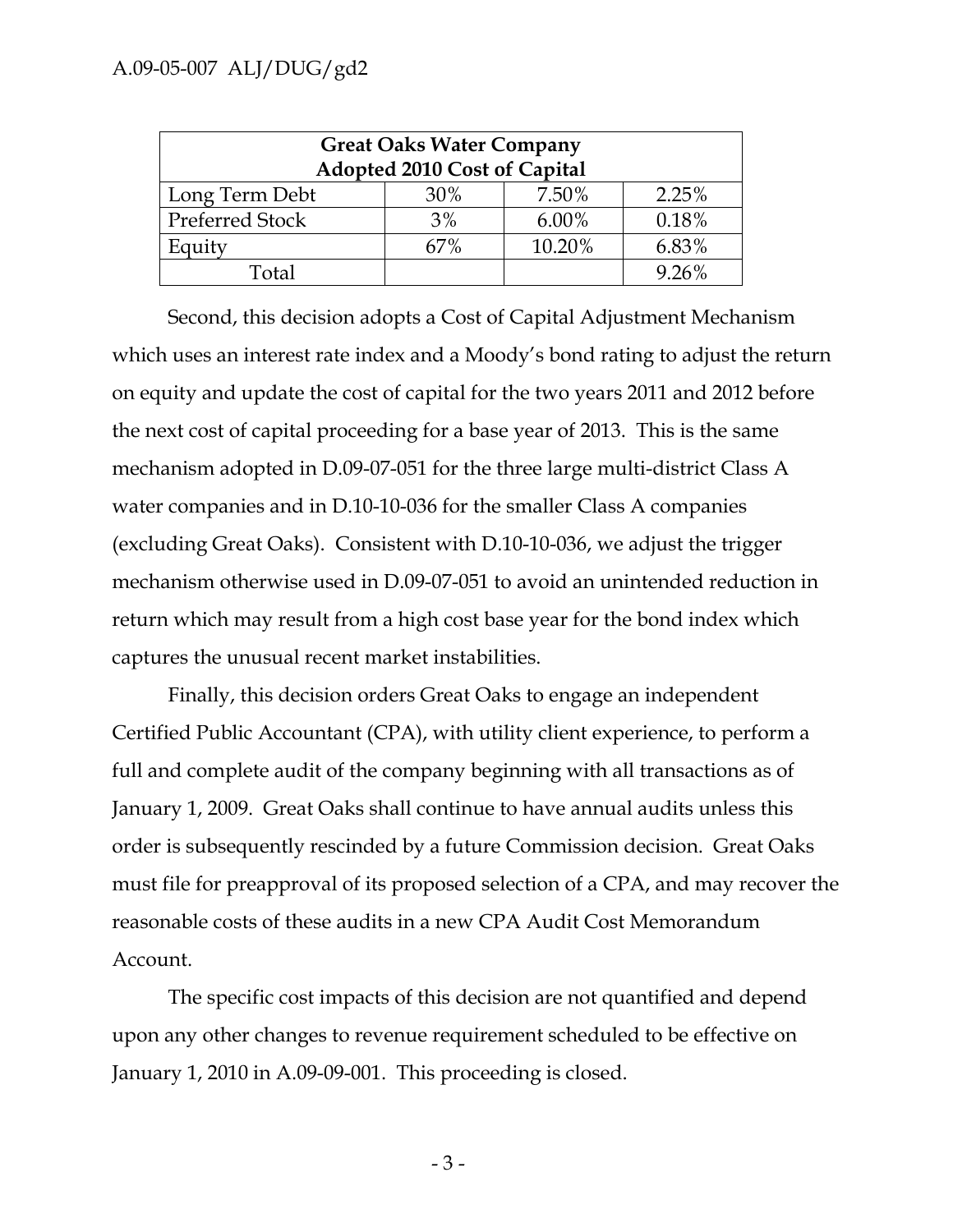| <b>Great Oaks Water Company</b><br>Adopted 2010 Cost of Capital |     |          |       |  |  |
|-----------------------------------------------------------------|-----|----------|-------|--|--|
| Long Term Debt                                                  | 30% | 7.50%    | 2.25% |  |  |
| <b>Preferred Stock</b>                                          | 3%  | $6.00\%$ | 0.18% |  |  |
| Equity                                                          | 67% | 10.20%   | 6.83% |  |  |
| Total                                                           |     |          | 9.26% |  |  |

Second, this decision adopts a Cost of Capital Adjustment Mechanism which uses an interest rate index and a Moody's bond rating to adjust the return on equity and update the cost of capital for the two years 2011 and 2012 before the next cost of capital proceeding for a base year of 2013. This is the same mechanism adopted in D.09-07-051 for the three large multi-district Class A water companies and in D.10-10-036 for the smaller Class A companies (excluding Great Oaks). Consistent with D.10-10-036, we adjust the trigger mechanism otherwise used in D.09-07-051 to avoid an unintended reduction in return which may result from a high cost base year for the bond index which captures the unusual recent market instabilities.

Finally, this decision orders Great Oaks to engage an independent Certified Public Accountant (CPA), with utility client experience, to perform a full and complete audit of the company beginning with all transactions as of January 1, 2009. Great Oaks shall continue to have annual audits unless this order is subsequently rescinded by a future Commission decision. Great Oaks must file for preapproval of its proposed selection of a CPA, and may recover the reasonable costs of these audits in a new CPA Audit Cost Memorandum Account.

The specific cost impacts of this decision are not quantified and depend upon any other changes to revenue requirement scheduled to be effective on January 1, 2010 in A.09-09-001. This proceeding is closed.

 $-3-$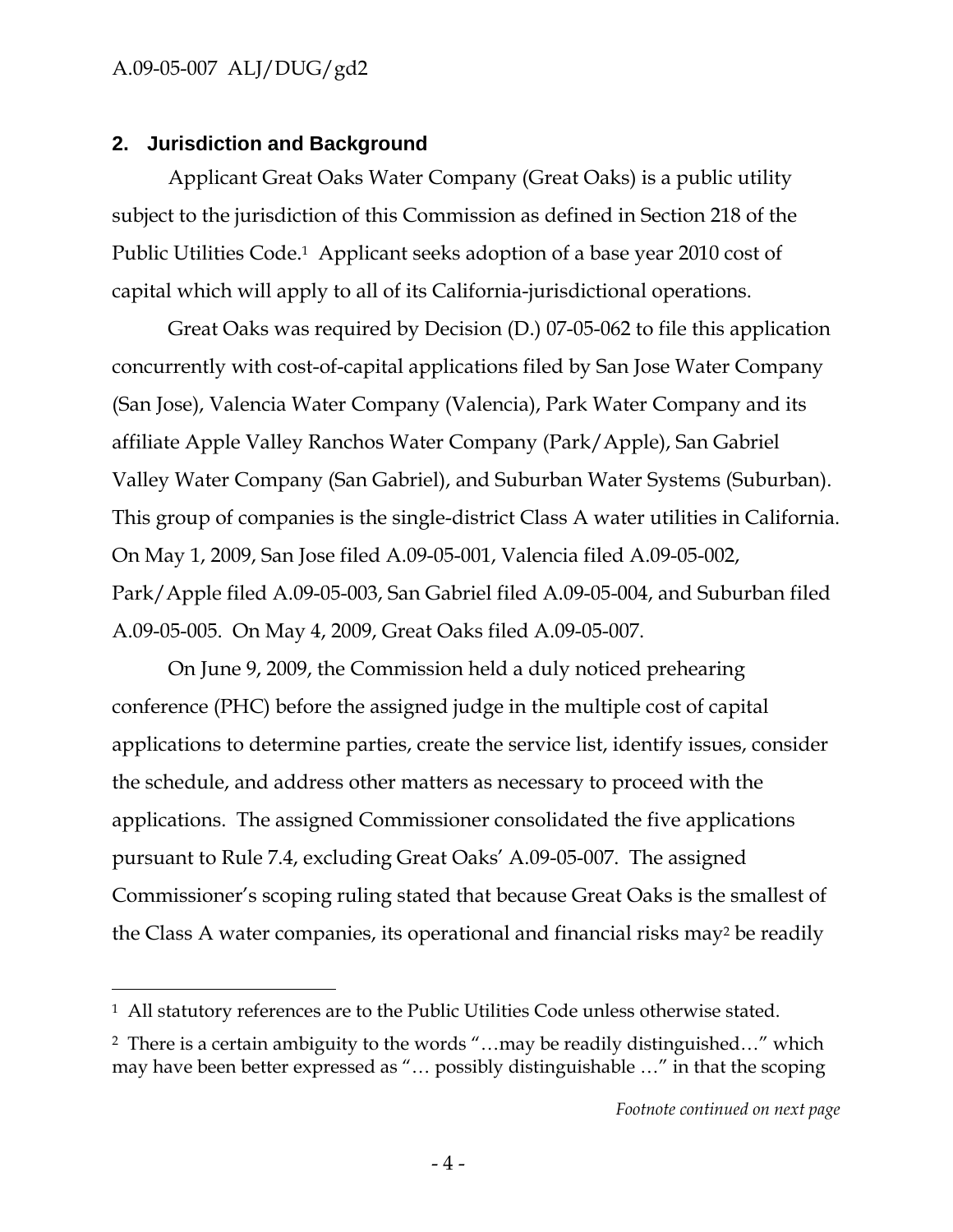-

### **2. Jurisdiction and Background**

Applicant Great Oaks Water Company (Great Oaks) is a public utility subject to the jurisdiction of this Commission as defined in Section 218 of the Public Utilities Code.<sup>1</sup> Applicant seeks adoption of a base year 2010 cost of capital which will apply to all of its California-jurisdictional operations.

Great Oaks was required by Decision (D.) 07-05-062 to file this application concurrently with cost-of-capital applications filed by San Jose Water Company (San Jose), Valencia Water Company (Valencia), Park Water Company and its affiliate Apple Valley Ranchos Water Company (Park/Apple), San Gabriel Valley Water Company (San Gabriel), and Suburban Water Systems (Suburban). This group of companies is the single-district Class A water utilities in California. On May 1, 2009, San Jose filed A.09-05-001, Valencia filed A.09-05-002, Park/Apple filed A.09-05-003, San Gabriel filed A.09-05-004, and Suburban filed A.09-05-005. On May 4, 2009, Great Oaks filed A.09-05-007.

On June 9, 2009, the Commission held a duly noticed prehearing conference (PHC) before the assigned judge in the multiple cost of capital applications to determine parties, create the service list, identify issues, consider the schedule, and address other matters as necessary to proceed with the applications. The assigned Commissioner consolidated the five applications pursuant to Rule 7.4, excluding Great Oaks' A.09-05-007. The assigned Commissioner's scoping ruling stated that because Great Oaks is the smallest of the Class A water companies, its operational and financial risks may2 be readily

<sup>1</sup> All statutory references are to the Public Utilities Code unless otherwise stated.

<sup>2</sup> There is a certain ambiguity to the words "…may be readily distinguished…" which may have been better expressed as "… possibly distinguishable …" in that the scoping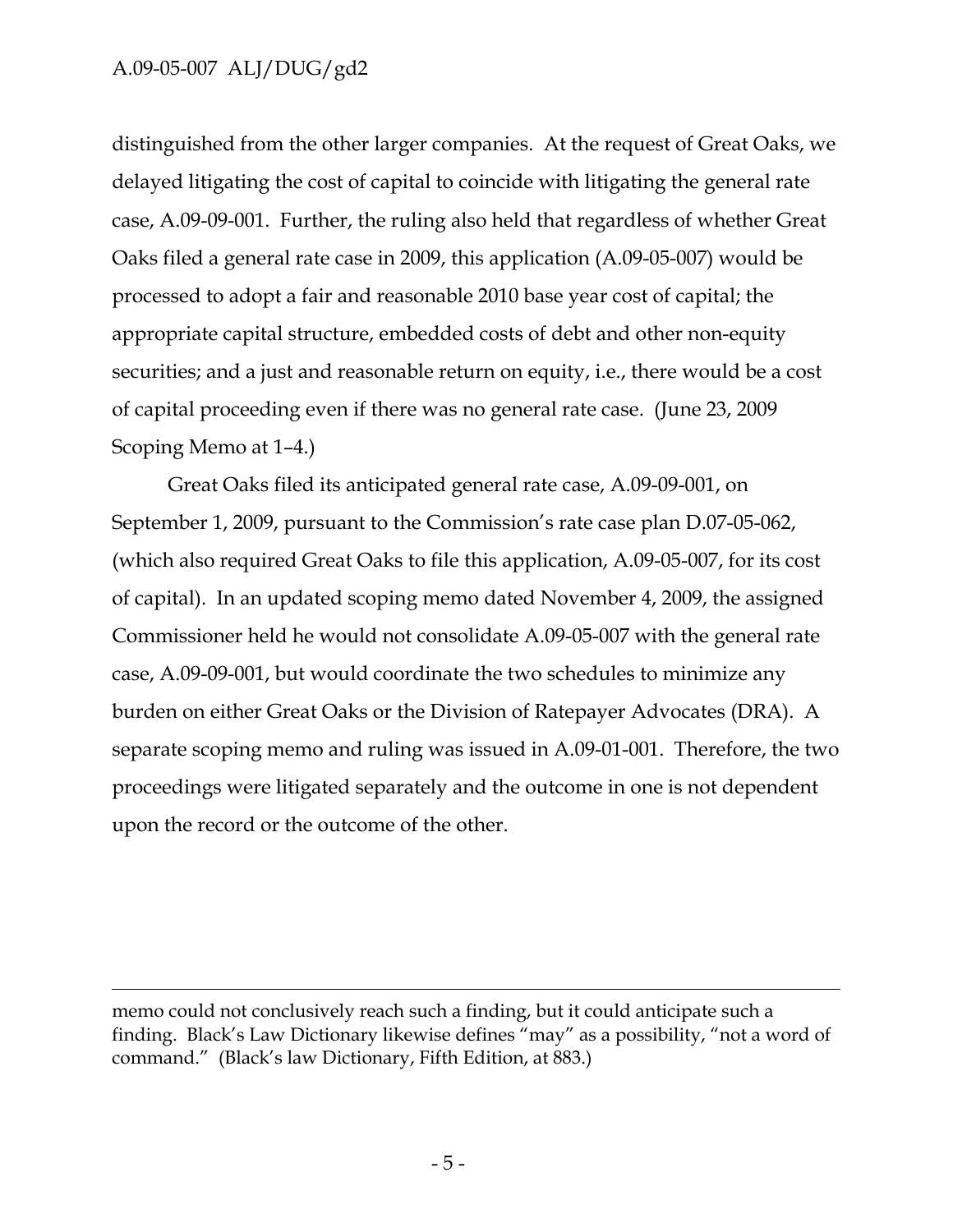$\overline{a}$ 

distinguished from the other larger companies. At the request of Great Oaks, we delayed litigating the cost of capital to coincide with litigating the general rate case, A.09-09-001. Further, the ruling also held that regardless of whether Great Oaks filed a general rate case in 2009, this application (A.09-05-007) would be processed to adopt a fair and reasonable 2010 base year cost of capital; the appropriate capital structure, embedded costs of debt and other non-equity securities; and a just and reasonable return on equity, i.e., there would be a cost of capital proceeding even if there was no general rate case. (June 23, 2009 Scoping Memo at 1–4.)

Great Oaks filed its anticipated general rate case, A.09-09-001, on September 1, 2009, pursuant to the Commission's rate case plan D.07-05-062, (which also required Great Oaks to file this application, A.09-05-007, for its cost of capital). In an updated scoping memo dated November 4, 2009, the assigned Commissioner held he would not consolidate A.09-05-007 with the general rate case, A.09-09-001, but would coordinate the two schedules to minimize any burden on either Great Oaks or the Division of Ratepayer Advocates (DRA). A separate scoping memo and ruling was issued in A.09-01-001. Therefore, the two proceedings were litigated separately and the outcome in one is not dependent upon the record or the outcome of the other.

memo could not conclusively reach such a finding, but it could anticipate such a finding. Black's Law Dictionary likewise defines "may" as a possibility, "not a word of command." (Black's law Dictionary, Fifth Edition, at 883.)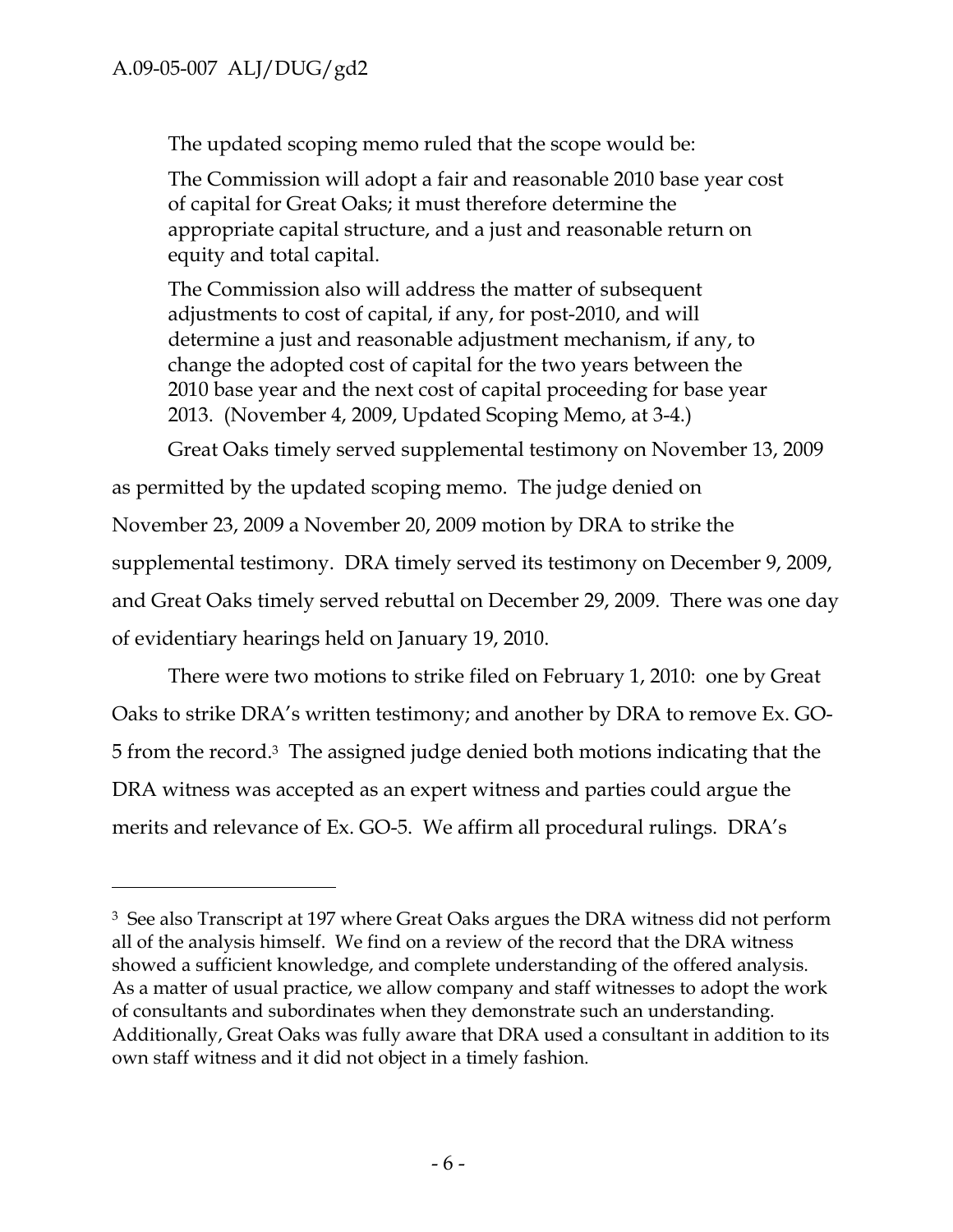-

The updated scoping memo ruled that the scope would be:

The Commission will adopt a fair and reasonable 2010 base year cost of capital for Great Oaks; it must therefore determine the appropriate capital structure, and a just and reasonable return on equity and total capital.

The Commission also will address the matter of subsequent adjustments to cost of capital, if any, for post-2010, and will determine a just and reasonable adjustment mechanism, if any, to change the adopted cost of capital for the two years between the 2010 base year and the next cost of capital proceeding for base year 2013. (November 4, 2009, Updated Scoping Memo, at 3-4.)

Great Oaks timely served supplemental testimony on November 13, 2009

as permitted by the updated scoping memo. The judge denied on November 23, 2009 a November 20, 2009 motion by DRA to strike the supplemental testimony. DRA timely served its testimony on December 9, 2009, and Great Oaks timely served rebuttal on December 29, 2009. There was one day of evidentiary hearings held on January 19, 2010.

There were two motions to strike filed on February 1, 2010: one by Great Oaks to strike DRA's written testimony; and another by DRA to remove Ex. GO-5 from the record.3 The assigned judge denied both motions indicating that the DRA witness was accepted as an expert witness and parties could argue the merits and relevance of Ex. GO-5. We affirm all procedural rulings. DRA's

<sup>3</sup> See also Transcript at 197 where Great Oaks argues the DRA witness did not perform all of the analysis himself. We find on a review of the record that the DRA witness showed a sufficient knowledge, and complete understanding of the offered analysis. As a matter of usual practice, we allow company and staff witnesses to adopt the work of consultants and subordinates when they demonstrate such an understanding. Additionally, Great Oaks was fully aware that DRA used a consultant in addition to its own staff witness and it did not object in a timely fashion.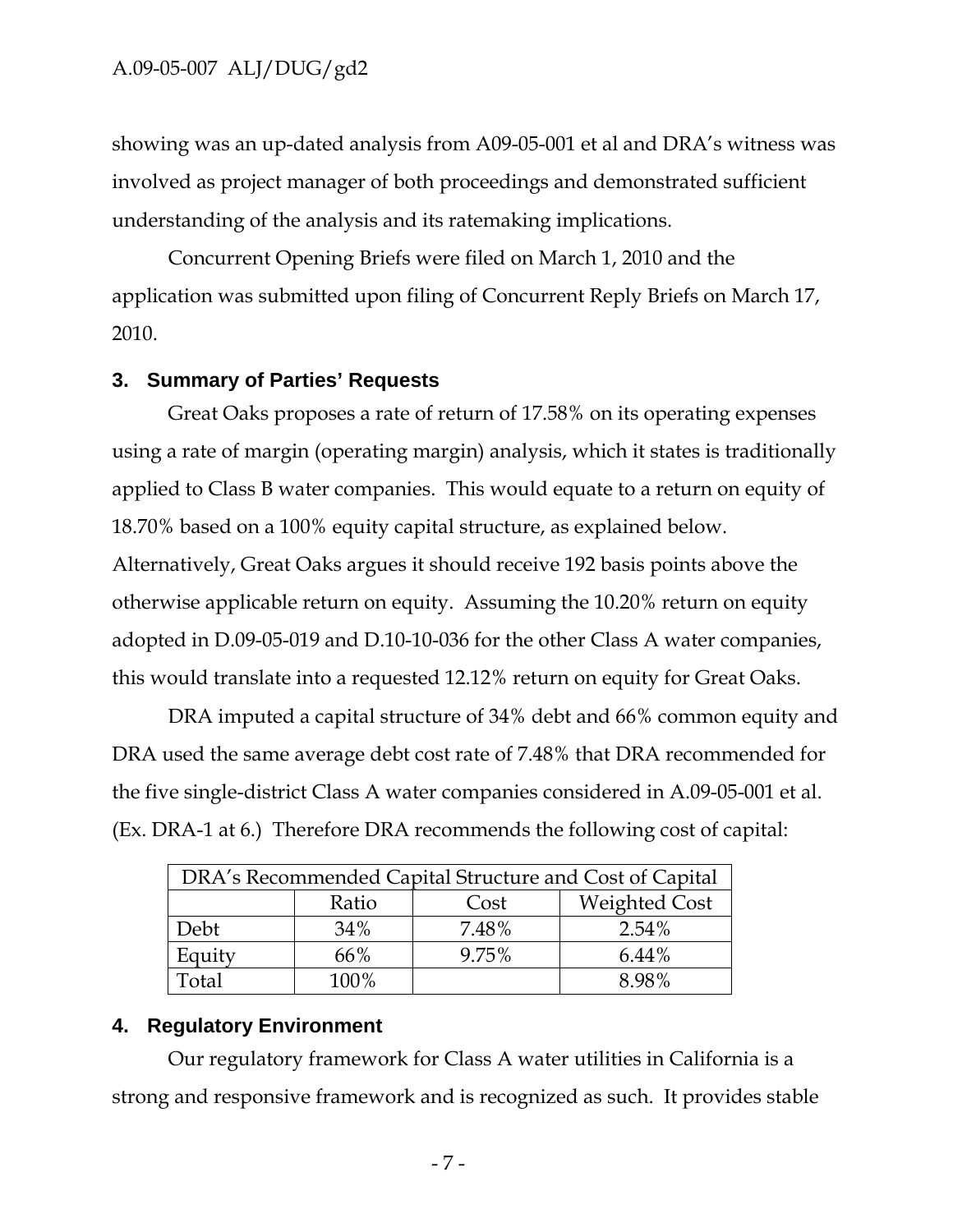showing was an up-dated analysis from A09-05-001 et al and DRA's witness was involved as project manager of both proceedings and demonstrated sufficient understanding of the analysis and its ratemaking implications.

Concurrent Opening Briefs were filed on March 1, 2010 and the application was submitted upon filing of Concurrent Reply Briefs on March 17, 2010.

#### **3. Summary of Parties' Requests**

Great Oaks proposes a rate of return of 17.58% on its operating expenses using a rate of margin (operating margin) analysis, which it states is traditionally applied to Class B water companies. This would equate to a return on equity of 18.70% based on a 100% equity capital structure, as explained below. Alternatively, Great Oaks argues it should receive 192 basis points above the otherwise applicable return on equity. Assuming the 10.20% return on equity adopted in D.09-05-019 and D.10-10-036 for the other Class A water companies, this would translate into a requested 12.12% return on equity for Great Oaks.

DRA imputed a capital structure of 34% debt and 66% common equity and DRA used the same average debt cost rate of 7.48% that DRA recommended for the five single-district Class A water companies considered in A.09-05-001 et al. (Ex. DRA-1 at 6.) Therefore DRA recommends the following cost of capital:

| DRA's Recommended Capital Structure and Cost of Capital |       |       |                      |  |  |
|---------------------------------------------------------|-------|-------|----------------------|--|--|
|                                                         | Ratio | Cost  | <b>Weighted Cost</b> |  |  |
| Debt                                                    | 34%   | 7.48% | 2.54%                |  |  |
| Equity                                                  | 66%   | 9.75% | 6.44%                |  |  |
| 'otal                                                   | 100%  |       | 8.98%                |  |  |

### **4. Regulatory Environment**

Our regulatory framework for Class A water utilities in California is a strong and responsive framework and is recognized as such. It provides stable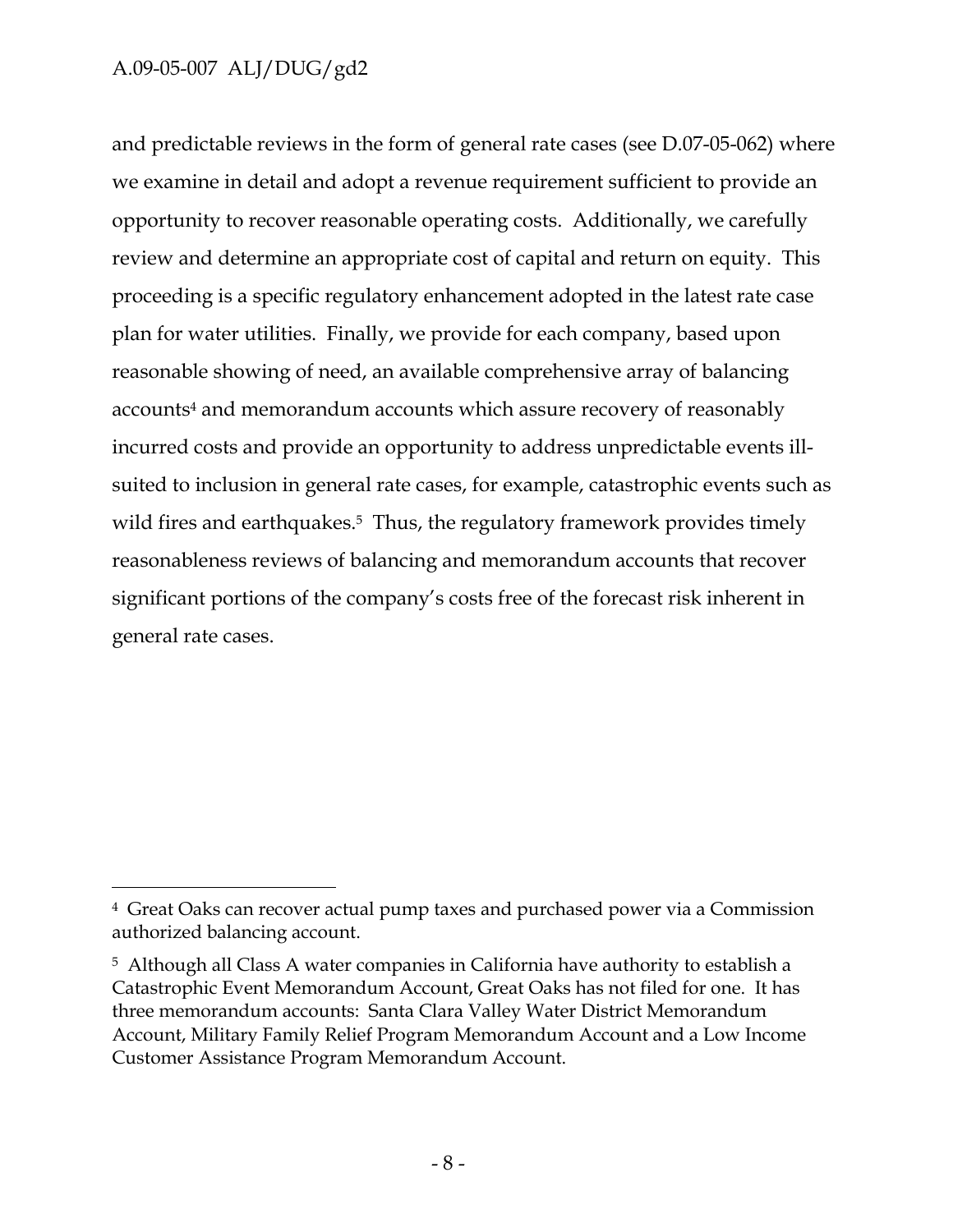-

and predictable reviews in the form of general rate cases (see D.07-05-062) where we examine in detail and adopt a revenue requirement sufficient to provide an opportunity to recover reasonable operating costs. Additionally, we carefully review and determine an appropriate cost of capital and return on equity. This proceeding is a specific regulatory enhancement adopted in the latest rate case plan for water utilities. Finally, we provide for each company, based upon reasonable showing of need, an available comprehensive array of balancing accounts4 and memorandum accounts which assure recovery of reasonably incurred costs and provide an opportunity to address unpredictable events illsuited to inclusion in general rate cases, for example, catastrophic events such as wild fires and earthquakes.<sup>5</sup> Thus, the regulatory framework provides timely reasonableness reviews of balancing and memorandum accounts that recover significant portions of the company's costs free of the forecast risk inherent in general rate cases.

<sup>4</sup> Great Oaks can recover actual pump taxes and purchased power via a Commission authorized balancing account.

<sup>5</sup> Although all Class A water companies in California have authority to establish a Catastrophic Event Memorandum Account, Great Oaks has not filed for one. It has three memorandum accounts: Santa Clara Valley Water District Memorandum Account, Military Family Relief Program Memorandum Account and a Low Income Customer Assistance Program Memorandum Account.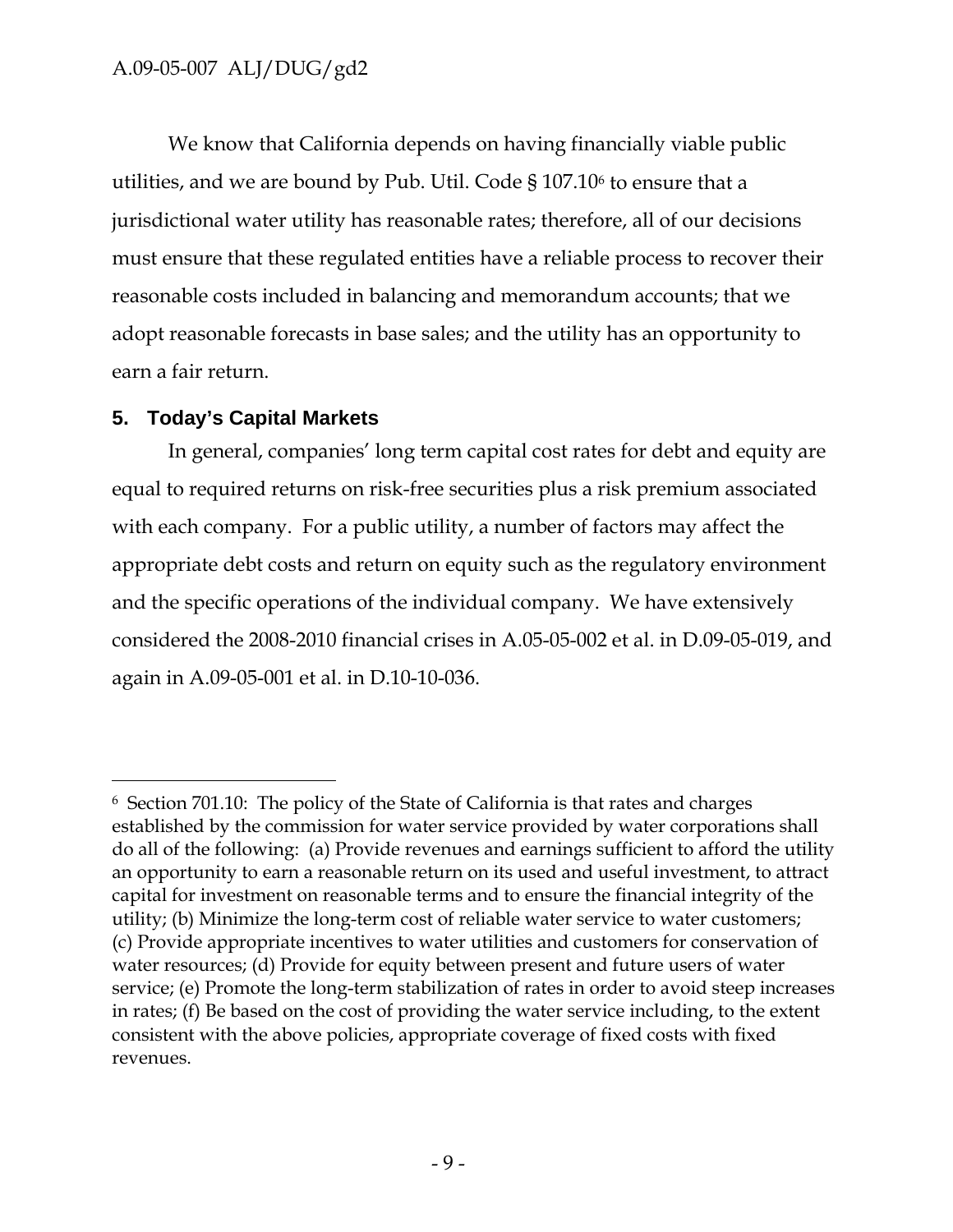We know that California depends on having financially viable public utilities, and we are bound by Pub. Util. Code § 107.106 to ensure that a jurisdictional water utility has reasonable rates; therefore, all of our decisions must ensure that these regulated entities have a reliable process to recover their reasonable costs included in balancing and memorandum accounts; that we adopt reasonable forecasts in base sales; and the utility has an opportunity to earn a fair return.

# **5. Today's Capital Markets**

-

In general, companies' long term capital cost rates for debt and equity are equal to required returns on risk-free securities plus a risk premium associated with each company. For a public utility, a number of factors may affect the appropriate debt costs and return on equity such as the regulatory environment and the specific operations of the individual company. We have extensively considered the 2008-2010 financial crises in A.05-05-002 et al. in D.09-05-019, and again in A.09-05-001 et al. in D.10-10-036.

<sup>6</sup> Section 701.10: The policy of the State of California is that rates and charges established by the commission for water service provided by water corporations shall do all of the following: (a) Provide revenues and earnings sufficient to afford the utility an opportunity to earn a reasonable return on its used and useful investment, to attract capital for investment on reasonable terms and to ensure the financial integrity of the utility; (b) Minimize the long-term cost of reliable water service to water customers; (c) Provide appropriate incentives to water utilities and customers for conservation of water resources; (d) Provide for equity between present and future users of water service; (e) Promote the long-term stabilization of rates in order to avoid steep increases in rates; (f) Be based on the cost of providing the water service including, to the extent consistent with the above policies, appropriate coverage of fixed costs with fixed revenues.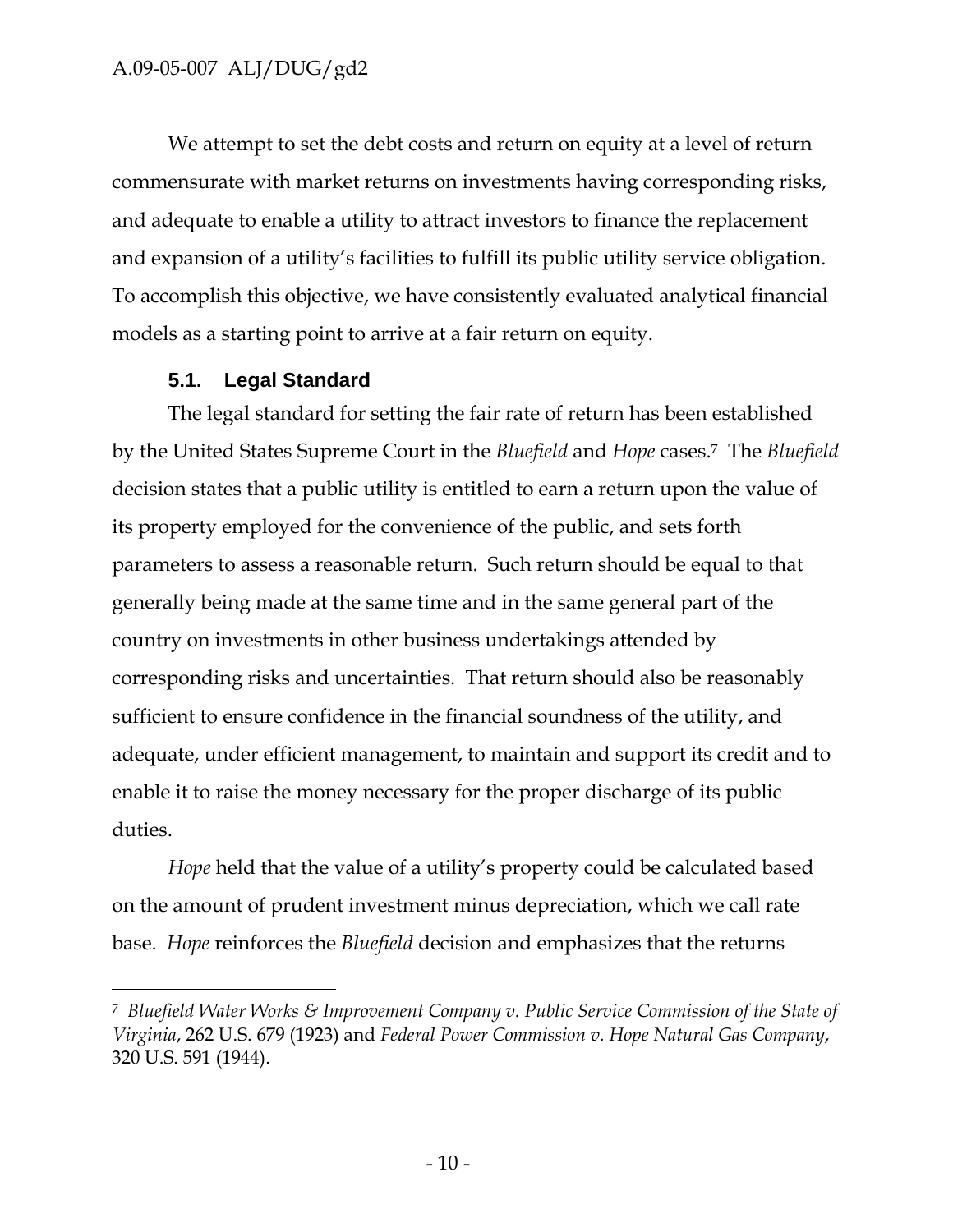We attempt to set the debt costs and return on equity at a level of return commensurate with market returns on investments having corresponding risks, and adequate to enable a utility to attract investors to finance the replacement and expansion of a utility's facilities to fulfill its public utility service obligation. To accomplish this objective, we have consistently evaluated analytical financial models as a starting point to arrive at a fair return on equity.

#### **5.1. Legal Standard**

 $\overline{a}$ 

The legal standard for setting the fair rate of return has been established by the United States Supreme Court in the *Bluefield* and *Hope* cases.7 The *Bluefield* decision states that a public utility is entitled to earn a return upon the value of its property employed for the convenience of the public, and sets forth parameters to assess a reasonable return. Such return should be equal to that generally being made at the same time and in the same general part of the country on investments in other business undertakings attended by corresponding risks and uncertainties. That return should also be reasonably sufficient to ensure confidence in the financial soundness of the utility, and adequate, under efficient management, to maintain and support its credit and to enable it to raise the money necessary for the proper discharge of its public duties.

*Hope* held that the value of a utility's property could be calculated based on the amount of prudent investment minus depreciation, which we call rate base. *Hope* reinforces the *Bluefield* decision and emphasizes that the returns

<sup>7</sup> *Bluefield Water Works & Improvement Company v. Public Service Commission of the State of Virginia*, 262 U.S. 679 (1923) and *Federal Power Commission v. Hope Natural Gas Company*, 320 U.S. 591 (1944).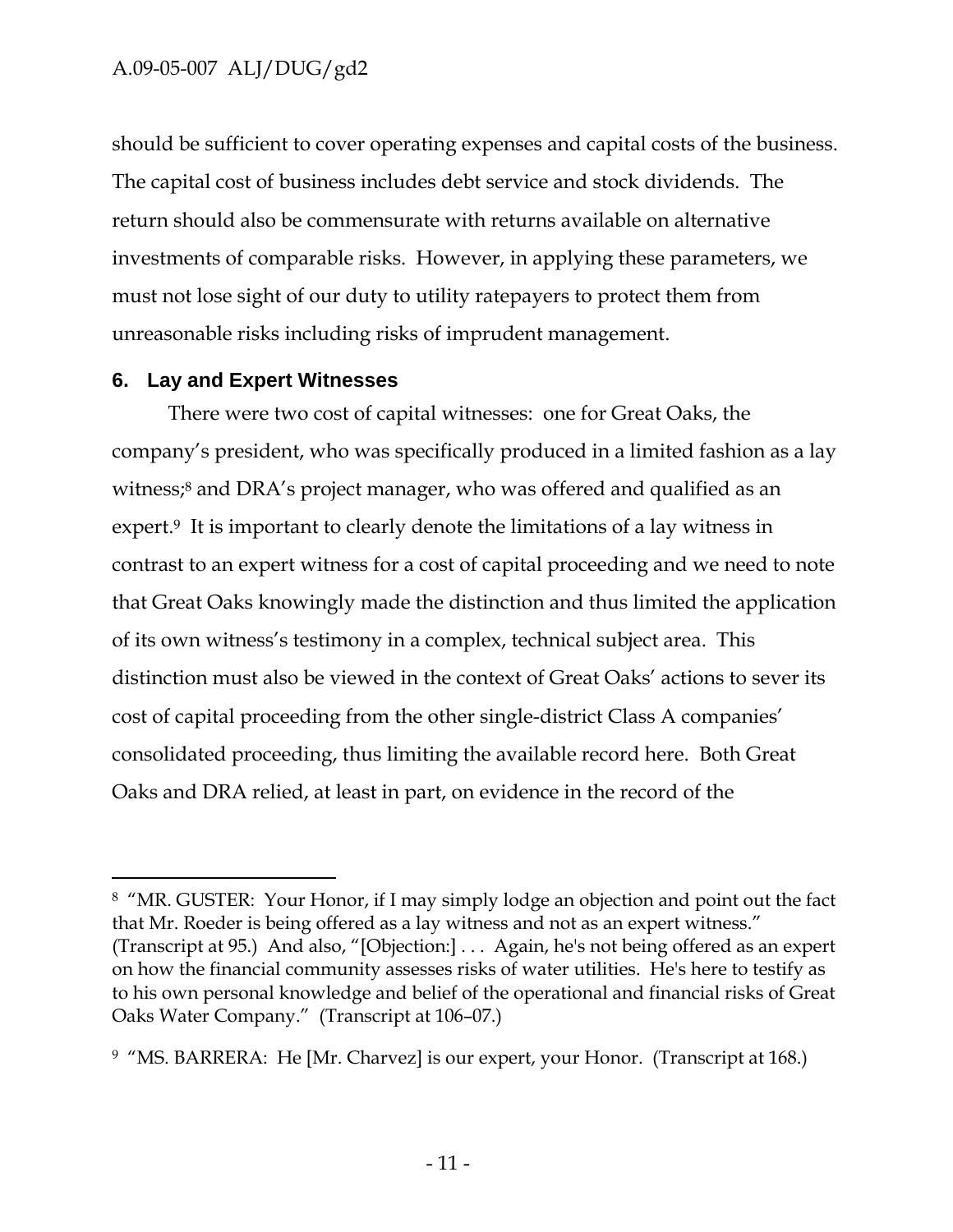should be sufficient to cover operating expenses and capital costs of the business. The capital cost of business includes debt service and stock dividends. The return should also be commensurate with returns available on alternative investments of comparable risks. However, in applying these parameters, we must not lose sight of our duty to utility ratepayers to protect them from unreasonable risks including risks of imprudent management.

#### **6. Lay and Expert Witnesses**

-

There were two cost of capital witnesses: one for Great Oaks, the company's president, who was specifically produced in a limited fashion as a lay witness;<sup>8</sup> and DRA's project manager, who was offered and qualified as an expert.<sup>9</sup> It is important to clearly denote the limitations of a lay witness in contrast to an expert witness for a cost of capital proceeding and we need to note that Great Oaks knowingly made the distinction and thus limited the application of its own witness's testimony in a complex, technical subject area. This distinction must also be viewed in the context of Great Oaks' actions to sever its cost of capital proceeding from the other single-district Class A companies' consolidated proceeding, thus limiting the available record here. Both Great Oaks and DRA relied, at least in part, on evidence in the record of the

<sup>8 &</sup>quot;MR. GUSTER: Your Honor, if I may simply lodge an objection and point out the fact that Mr. Roeder is being offered as a lay witness and not as an expert witness." (Transcript at 95.) And also, "[Objection:] . . . Again, he's not being offered as an expert on how the financial community assesses risks of water utilities. He's here to testify as to his own personal knowledge and belief of the operational and financial risks of Great Oaks Water Company." (Transcript at 106–07.)

<sup>&</sup>lt;sup>9</sup> "MS. BARRERA: He [Mr. Charvez] is our expert, your Honor. (Transcript at 168.)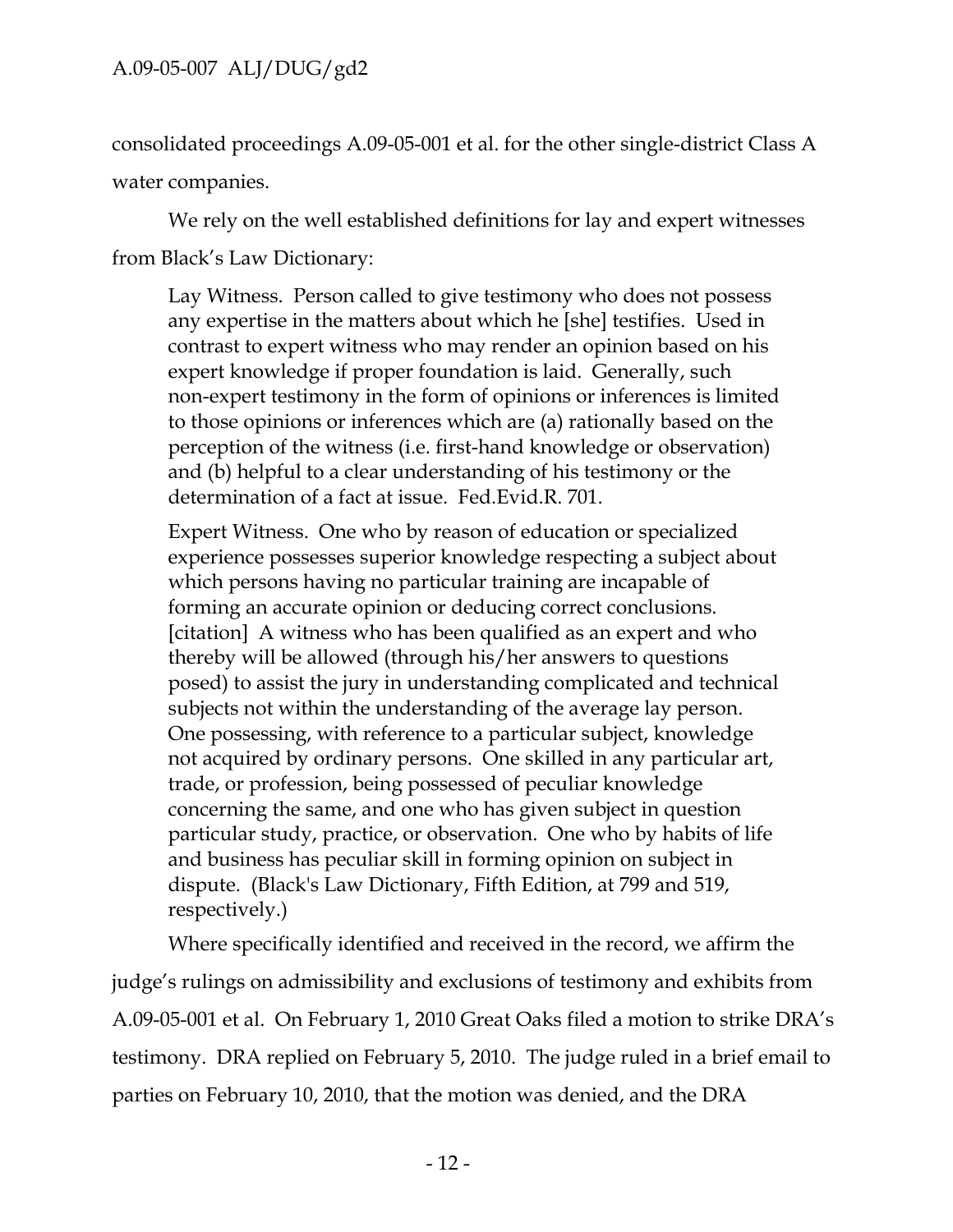consolidated proceedings A.09-05-001 et al. for the other single-district Class A water companies.

We rely on the well established definitions for lay and expert witnesses from Black's Law Dictionary:

Lay Witness. Person called to give testimony who does not possess any expertise in the matters about which he [she] testifies. Used in contrast to expert witness who may render an opinion based on his expert knowledge if proper foundation is laid. Generally, such non-expert testimony in the form of opinions or inferences is limited to those opinions or inferences which are (a) rationally based on the perception of the witness (i.e. first-hand knowledge or observation) and (b) helpful to a clear understanding of his testimony or the determination of a fact at issue. Fed.Evid.R. 701.

Expert Witness. One who by reason of education or specialized experience possesses superior knowledge respecting a subject about which persons having no particular training are incapable of forming an accurate opinion or deducing correct conclusions. [citation] A witness who has been qualified as an expert and who thereby will be allowed (through his/her answers to questions posed) to assist the jury in understanding complicated and technical subjects not within the understanding of the average lay person. One possessing, with reference to a particular subject, knowledge not acquired by ordinary persons. One skilled in any particular art, trade, or profession, being possessed of peculiar knowledge concerning the same, and one who has given subject in question particular study, practice, or observation. One who by habits of life and business has peculiar skill in forming opinion on subject in dispute. (Black's Law Dictionary, Fifth Edition, at 799 and 519, respectively.)

Where specifically identified and received in the record, we affirm the judge's rulings on admissibility and exclusions of testimony and exhibits from A.09-05-001 et al. On February 1, 2010 Great Oaks filed a motion to strike DRA's testimony. DRA replied on February 5, 2010. The judge ruled in a brief email to parties on February 10, 2010, that the motion was denied, and the DRA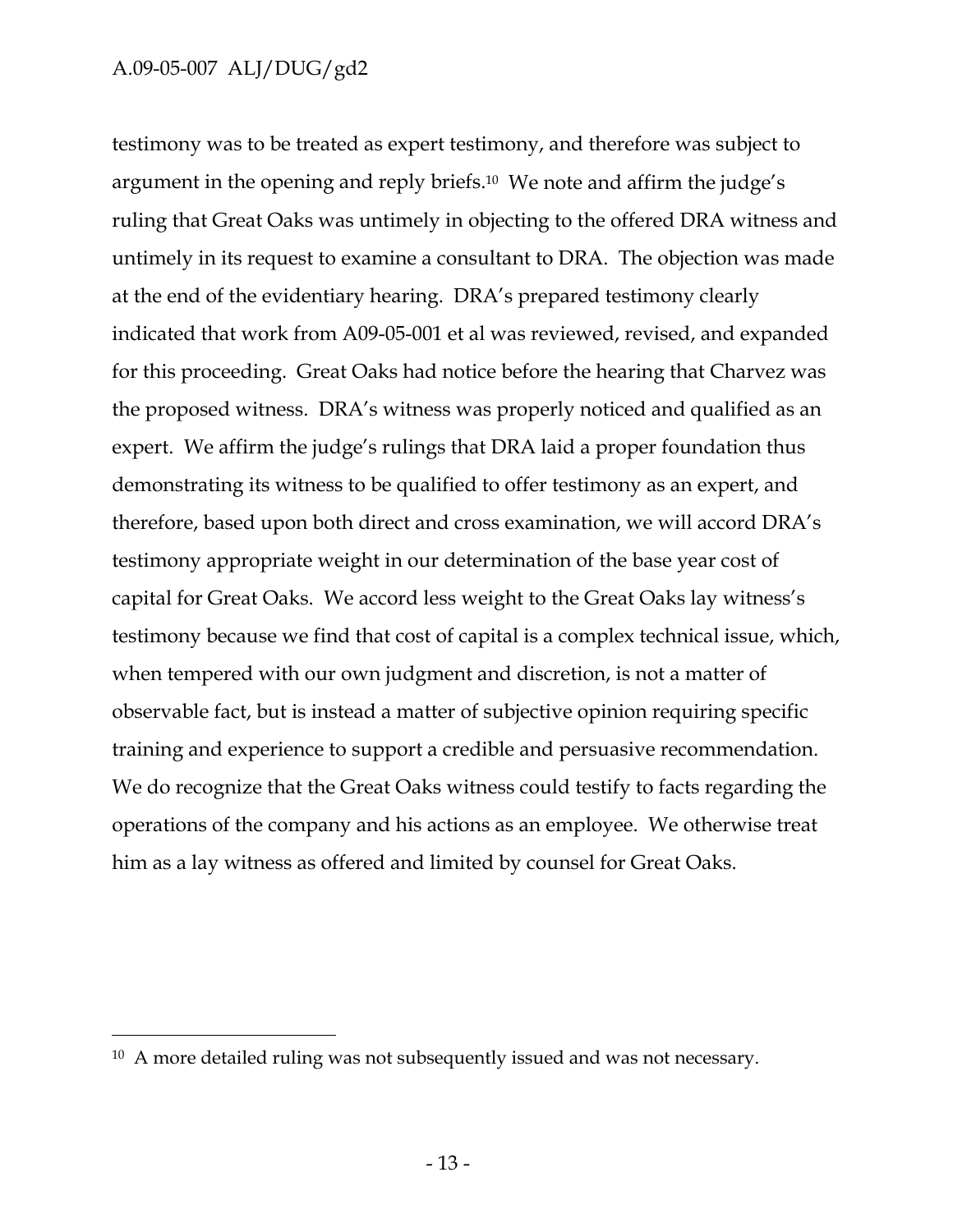$\overline{a}$ 

testimony was to be treated as expert testimony, and therefore was subject to argument in the opening and reply briefs.10 We note and affirm the judge's ruling that Great Oaks was untimely in objecting to the offered DRA witness and untimely in its request to examine a consultant to DRA. The objection was made at the end of the evidentiary hearing. DRA's prepared testimony clearly indicated that work from A09-05-001 et al was reviewed, revised, and expanded for this proceeding. Great Oaks had notice before the hearing that Charvez was the proposed witness. DRA's witness was properly noticed and qualified as an expert. We affirm the judge's rulings that DRA laid a proper foundation thus demonstrating its witness to be qualified to offer testimony as an expert, and therefore, based upon both direct and cross examination, we will accord DRA's testimony appropriate weight in our determination of the base year cost of capital for Great Oaks. We accord less weight to the Great Oaks lay witness's testimony because we find that cost of capital is a complex technical issue, which, when tempered with our own judgment and discretion, is not a matter of observable fact, but is instead a matter of subjective opinion requiring specific training and experience to support a credible and persuasive recommendation. We do recognize that the Great Oaks witness could testify to facts regarding the operations of the company and his actions as an employee. We otherwise treat him as a lay witness as offered and limited by counsel for Great Oaks.

<sup>&</sup>lt;sup>10</sup> A more detailed ruling was not subsequently issued and was not necessary.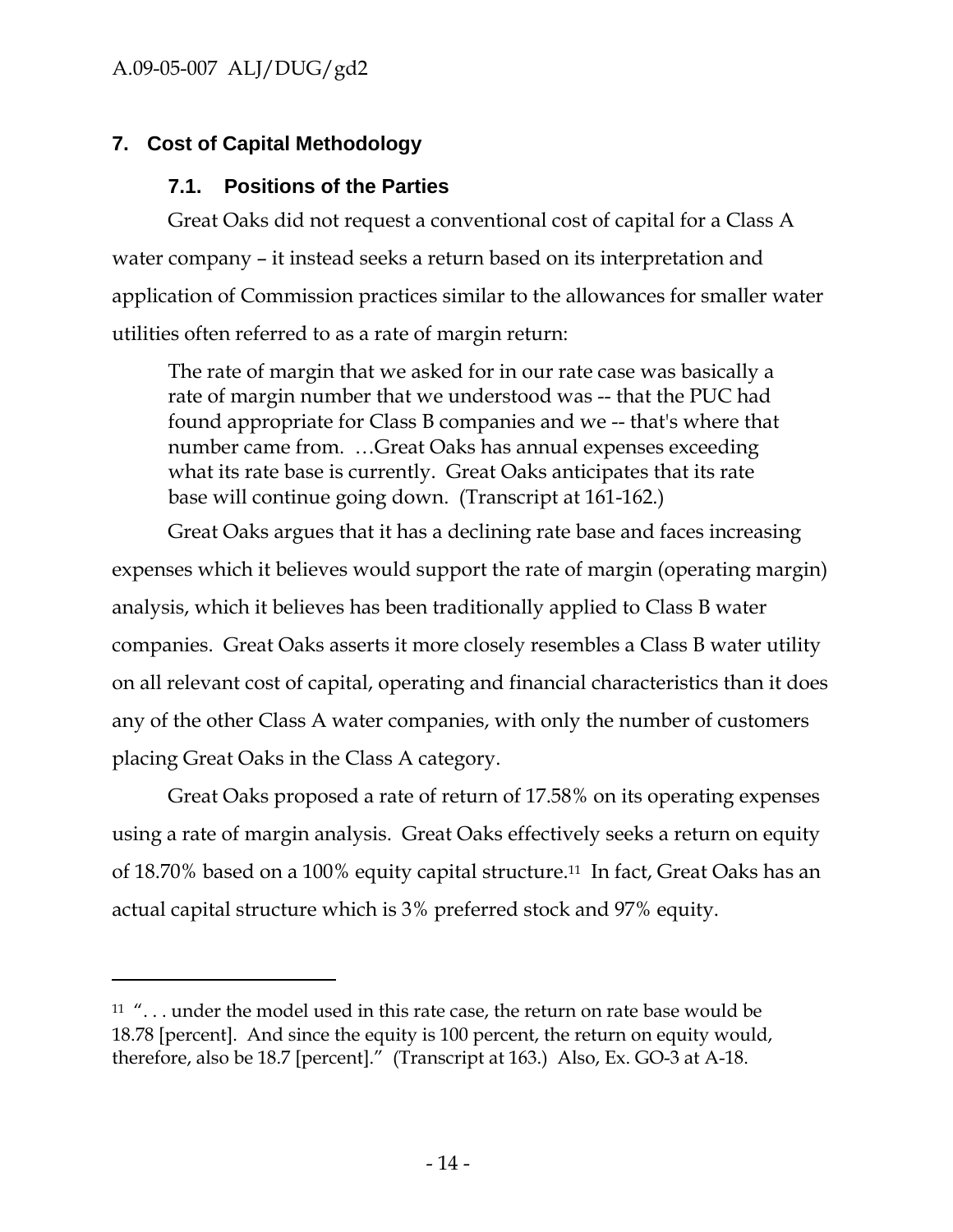-

# **7. Cost of Capital Methodology**

# **7.1. Positions of the Parties**

Great Oaks did not request a conventional cost of capital for a Class A water company – it instead seeks a return based on its interpretation and application of Commission practices similar to the allowances for smaller water utilities often referred to as a rate of margin return:

The rate of margin that we asked for in our rate case was basically a rate of margin number that we understood was -- that the PUC had found appropriate for Class B companies and we -- that's where that number came from. …Great Oaks has annual expenses exceeding what its rate base is currently. Great Oaks anticipates that its rate base will continue going down. (Transcript at 161-162.)

Great Oaks argues that it has a declining rate base and faces increasing expenses which it believes would support the rate of margin (operating margin) analysis, which it believes has been traditionally applied to Class B water companies. Great Oaks asserts it more closely resembles a Class B water utility on all relevant cost of capital, operating and financial characteristics than it does any of the other Class A water companies, with only the number of customers placing Great Oaks in the Class A category.

Great Oaks proposed a rate of return of 17.58% on its operating expenses using a rate of margin analysis. Great Oaks effectively seeks a return on equity of 18.70% based on a 100% equity capital structure.11 In fact, Great Oaks has an actual capital structure which is 3% preferred stock and 97% equity.

 $11$  "... under the model used in this rate case, the return on rate base would be 18.78 [percent]. And since the equity is 100 percent, the return on equity would, therefore, also be 18.7 [percent]." (Transcript at 163.) Also, Ex. GO-3 at A-18.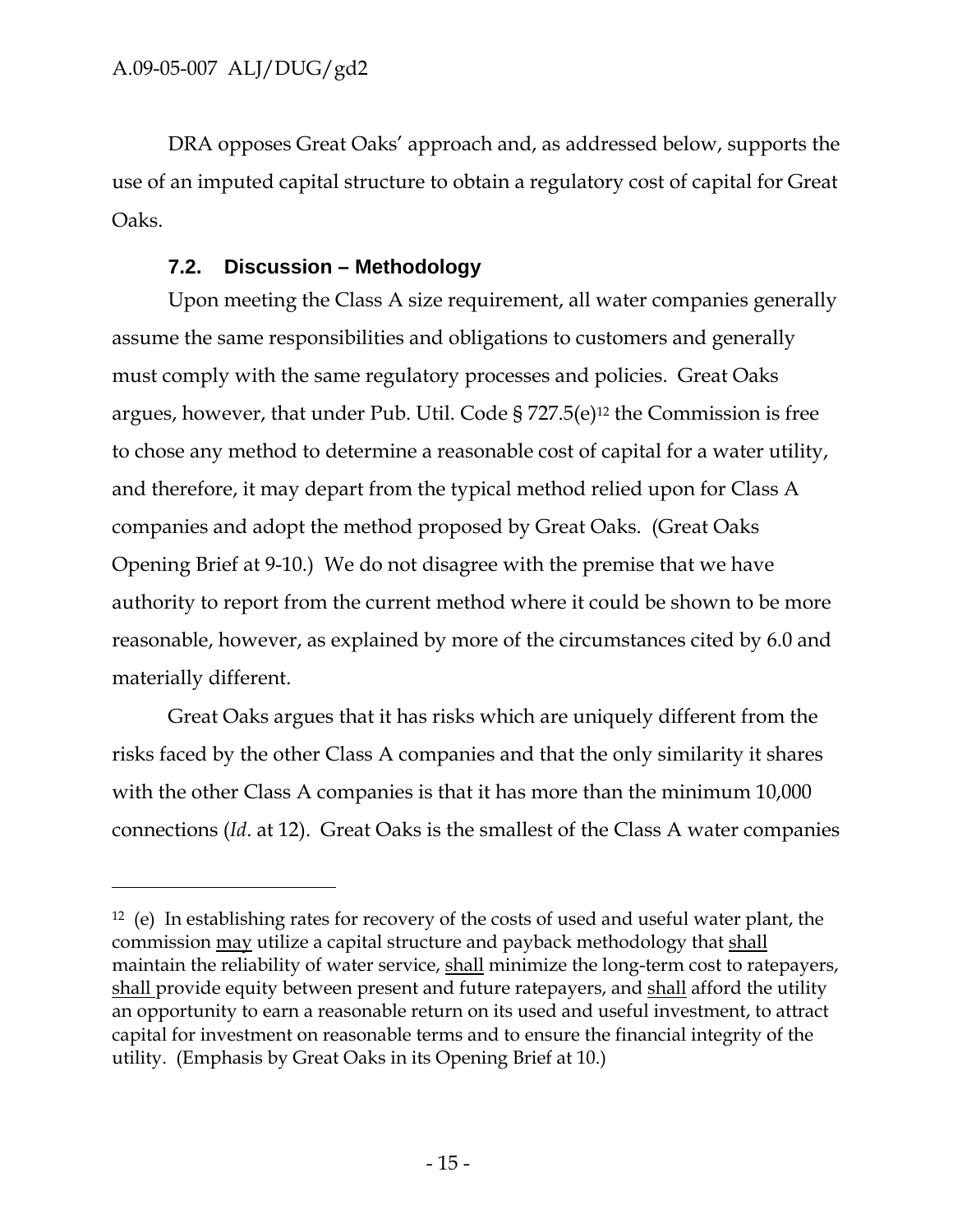-

DRA opposes Great Oaks' approach and, as addressed below, supports the use of an imputed capital structure to obtain a regulatory cost of capital for Great Oaks.

#### **7.2. Discussion – Methodology**

Upon meeting the Class A size requirement, all water companies generally assume the same responsibilities and obligations to customers and generally must comply with the same regulatory processes and policies. Great Oaks argues, however, that under Pub. Util. Code § 727.5(e)12 the Commission is free to chose any method to determine a reasonable cost of capital for a water utility, and therefore, it may depart from the typical method relied upon for Class A companies and adopt the method proposed by Great Oaks. (Great Oaks Opening Brief at 9-10.) We do not disagree with the premise that we have authority to report from the current method where it could be shown to be more reasonable, however, as explained by more of the circumstances cited by 6.0 and materially different.

Great Oaks argues that it has risks which are uniquely different from the risks faced by the other Class A companies and that the only similarity it shares with the other Class A companies is that it has more than the minimum 10,000 connections (*Id*. at 12). Great Oaks is the smallest of the Class A water companies

<sup>12 (</sup>e) In establishing rates for recovery of the costs of used and useful water plant, the commission may utilize a capital structure and payback methodology that shall maintain the reliability of water service, shall minimize the long-term cost to ratepayers, shall provide equity between present and future ratepayers, and shall afford the utility an opportunity to earn a reasonable return on its used and useful investment, to attract capital for investment on reasonable terms and to ensure the financial integrity of the utility. (Emphasis by Great Oaks in its Opening Brief at 10.)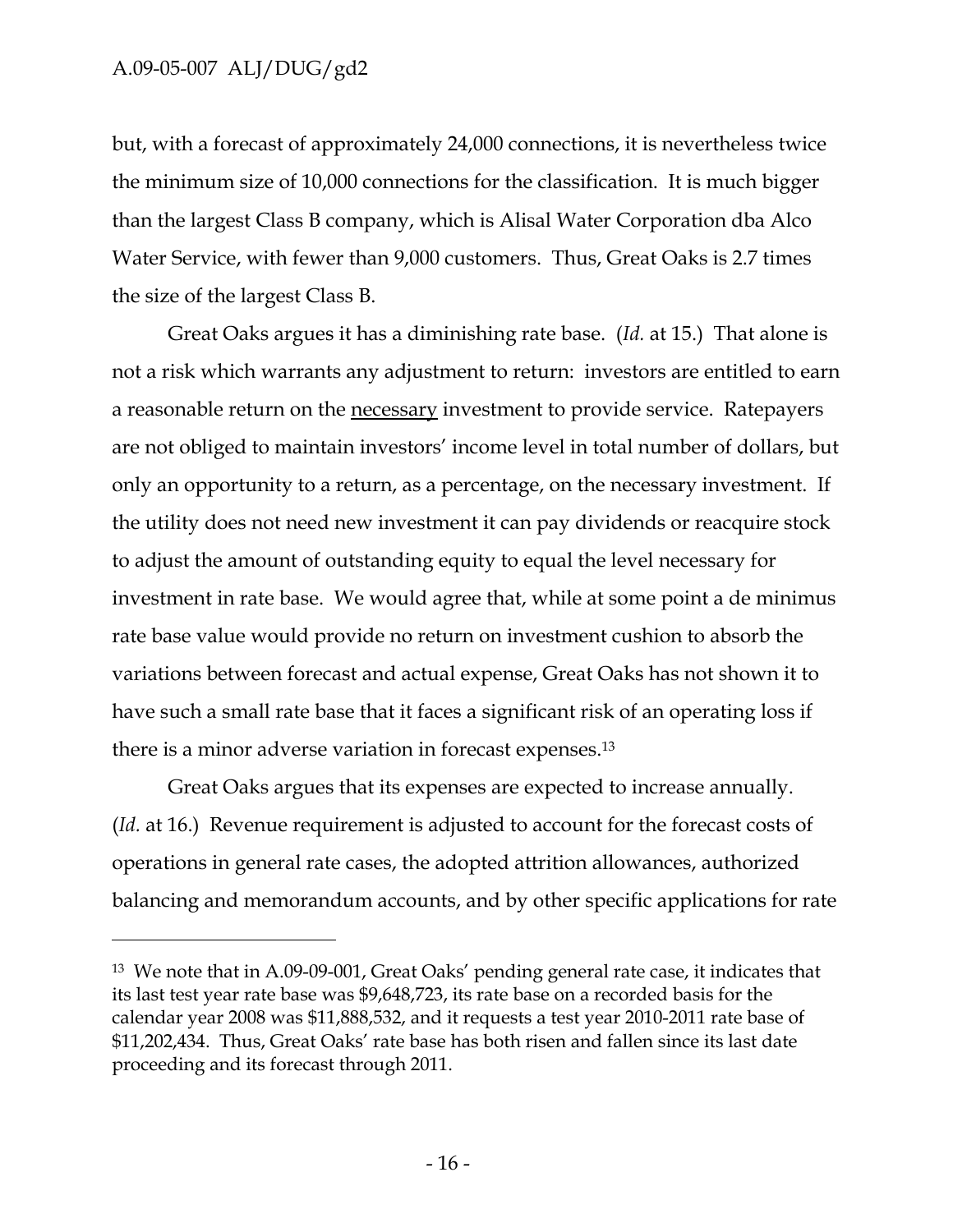-

but, with a forecast of approximately 24,000 connections, it is nevertheless twice the minimum size of 10,000 connections for the classification. It is much bigger than the largest Class B company, which is Alisal Water Corporation dba Alco Water Service, with fewer than 9,000 customers. Thus, Great Oaks is 2.7 times the size of the largest Class B.

Great Oaks argues it has a diminishing rate base. (*Id.* at 15.) That alone is not a risk which warrants any adjustment to return: investors are entitled to earn a reasonable return on the necessary investment to provide service. Ratepayers are not obliged to maintain investors' income level in total number of dollars, but only an opportunity to a return, as a percentage, on the necessary investment. If the utility does not need new investment it can pay dividends or reacquire stock to adjust the amount of outstanding equity to equal the level necessary for investment in rate base. We would agree that, while at some point a de minimus rate base value would provide no return on investment cushion to absorb the variations between forecast and actual expense, Great Oaks has not shown it to have such a small rate base that it faces a significant risk of an operating loss if there is a minor adverse variation in forecast expenses.13

Great Oaks argues that its expenses are expected to increase annually. (*Id.* at 16.) Revenue requirement is adjusted to account for the forecast costs of operations in general rate cases, the adopted attrition allowances, authorized balancing and memorandum accounts, and by other specific applications for rate

<sup>13</sup> We note that in A.09-09-001, Great Oaks' pending general rate case, it indicates that its last test year rate base was \$9,648,723, its rate base on a recorded basis for the calendar year 2008 was \$11,888,532, and it requests a test year 2010-2011 rate base of \$11,202,434. Thus, Great Oaks' rate base has both risen and fallen since its last date proceeding and its forecast through 2011.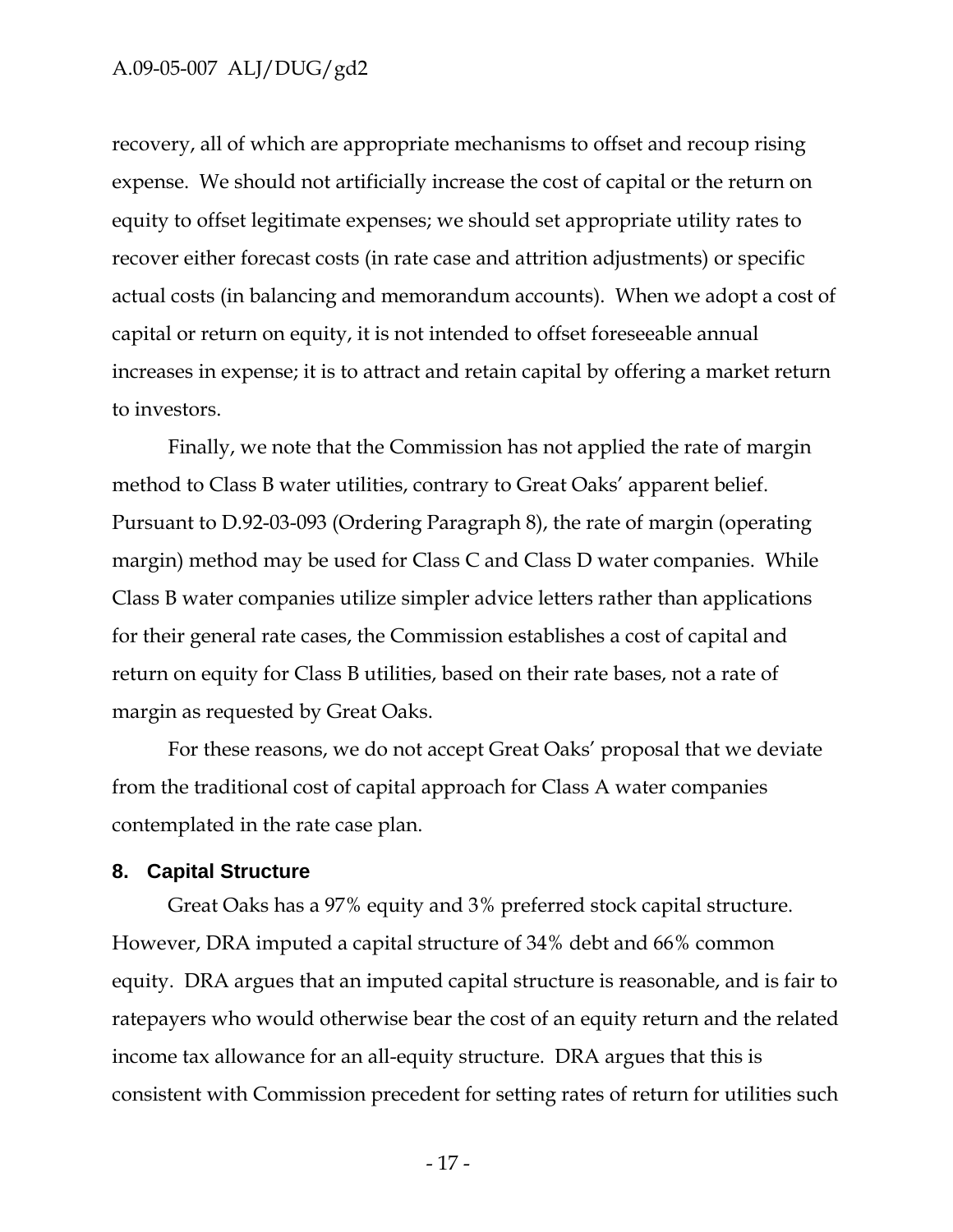recovery, all of which are appropriate mechanisms to offset and recoup rising expense. We should not artificially increase the cost of capital or the return on equity to offset legitimate expenses; we should set appropriate utility rates to recover either forecast costs (in rate case and attrition adjustments) or specific actual costs (in balancing and memorandum accounts). When we adopt a cost of capital or return on equity, it is not intended to offset foreseeable annual increases in expense; it is to attract and retain capital by offering a market return to investors.

Finally, we note that the Commission has not applied the rate of margin method to Class B water utilities, contrary to Great Oaks' apparent belief. Pursuant to D.92-03-093 (Ordering Paragraph 8), the rate of margin (operating margin) method may be used for Class C and Class D water companies. While Class B water companies utilize simpler advice letters rather than applications for their general rate cases, the Commission establishes a cost of capital and return on equity for Class B utilities, based on their rate bases, not a rate of margin as requested by Great Oaks.

For these reasons, we do not accept Great Oaks' proposal that we deviate from the traditional cost of capital approach for Class A water companies contemplated in the rate case plan.

#### **8. Capital Structure**

Great Oaks has a 97% equity and 3% preferred stock capital structure. However, DRA imputed a capital structure of 34% debt and 66% common equity. DRA argues that an imputed capital structure is reasonable, and is fair to ratepayers who would otherwise bear the cost of an equity return and the related income tax allowance for an all-equity structure. DRA argues that this is consistent with Commission precedent for setting rates of return for utilities such

 $-17$  -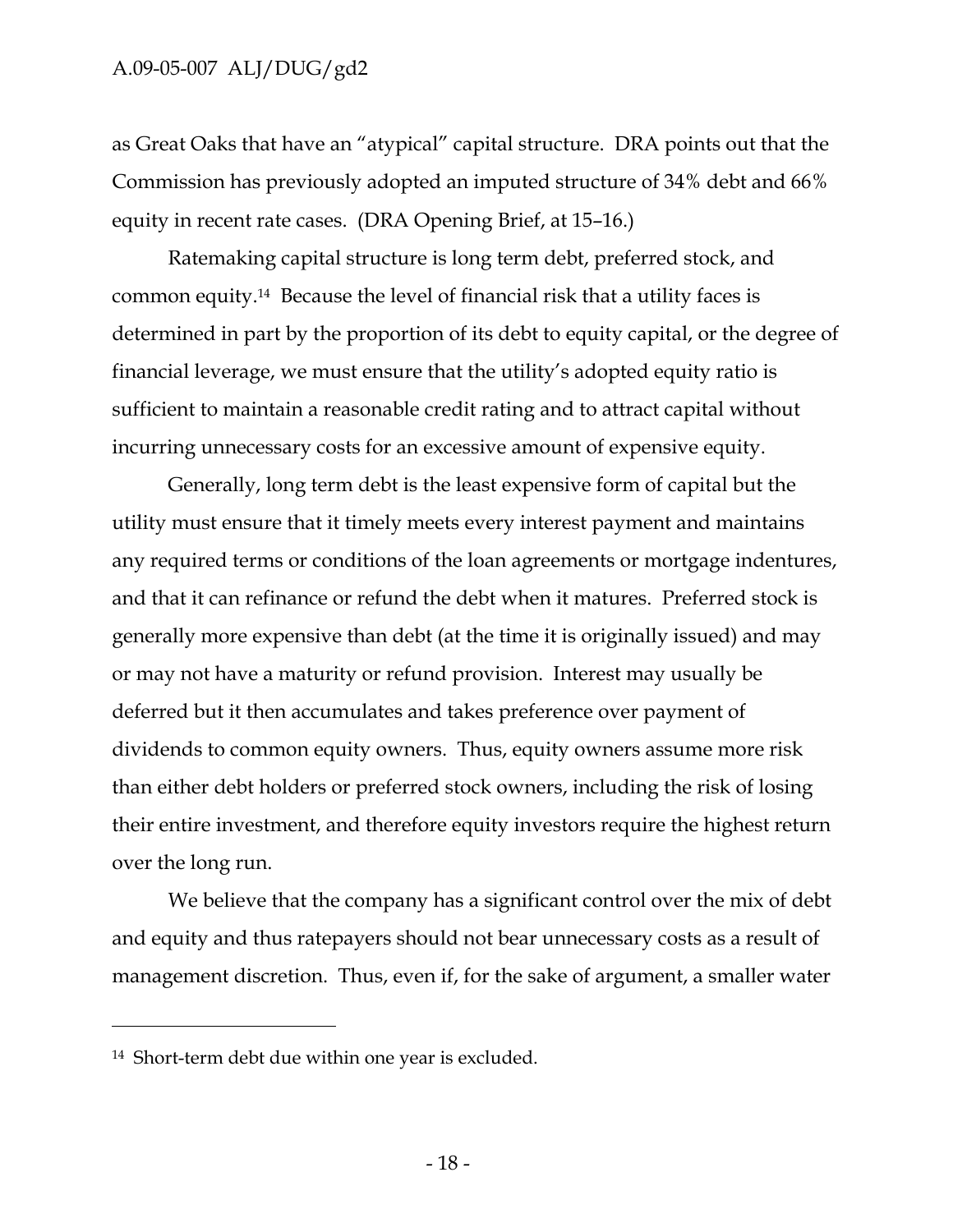as Great Oaks that have an "atypical" capital structure. DRA points out that the Commission has previously adopted an imputed structure of 34% debt and 66% equity in recent rate cases. (DRA Opening Brief, at 15–16.)

Ratemaking capital structure is long term debt, preferred stock, and common equity.14 Because the level of financial risk that a utility faces is determined in part by the proportion of its debt to equity capital, or the degree of financial leverage, we must ensure that the utility's adopted equity ratio is sufficient to maintain a reasonable credit rating and to attract capital without incurring unnecessary costs for an excessive amount of expensive equity.

Generally, long term debt is the least expensive form of capital but the utility must ensure that it timely meets every interest payment and maintains any required terms or conditions of the loan agreements or mortgage indentures, and that it can refinance or refund the debt when it matures. Preferred stock is generally more expensive than debt (at the time it is originally issued) and may or may not have a maturity or refund provision. Interest may usually be deferred but it then accumulates and takes preference over payment of dividends to common equity owners. Thus, equity owners assume more risk than either debt holders or preferred stock owners, including the risk of losing their entire investment, and therefore equity investors require the highest return over the long run.

We believe that the company has a significant control over the mix of debt and equity and thus ratepayers should not bear unnecessary costs as a result of management discretion. Thus, even if, for the sake of argument, a smaller water

-

<sup>14</sup> Short-term debt due within one year is excluded.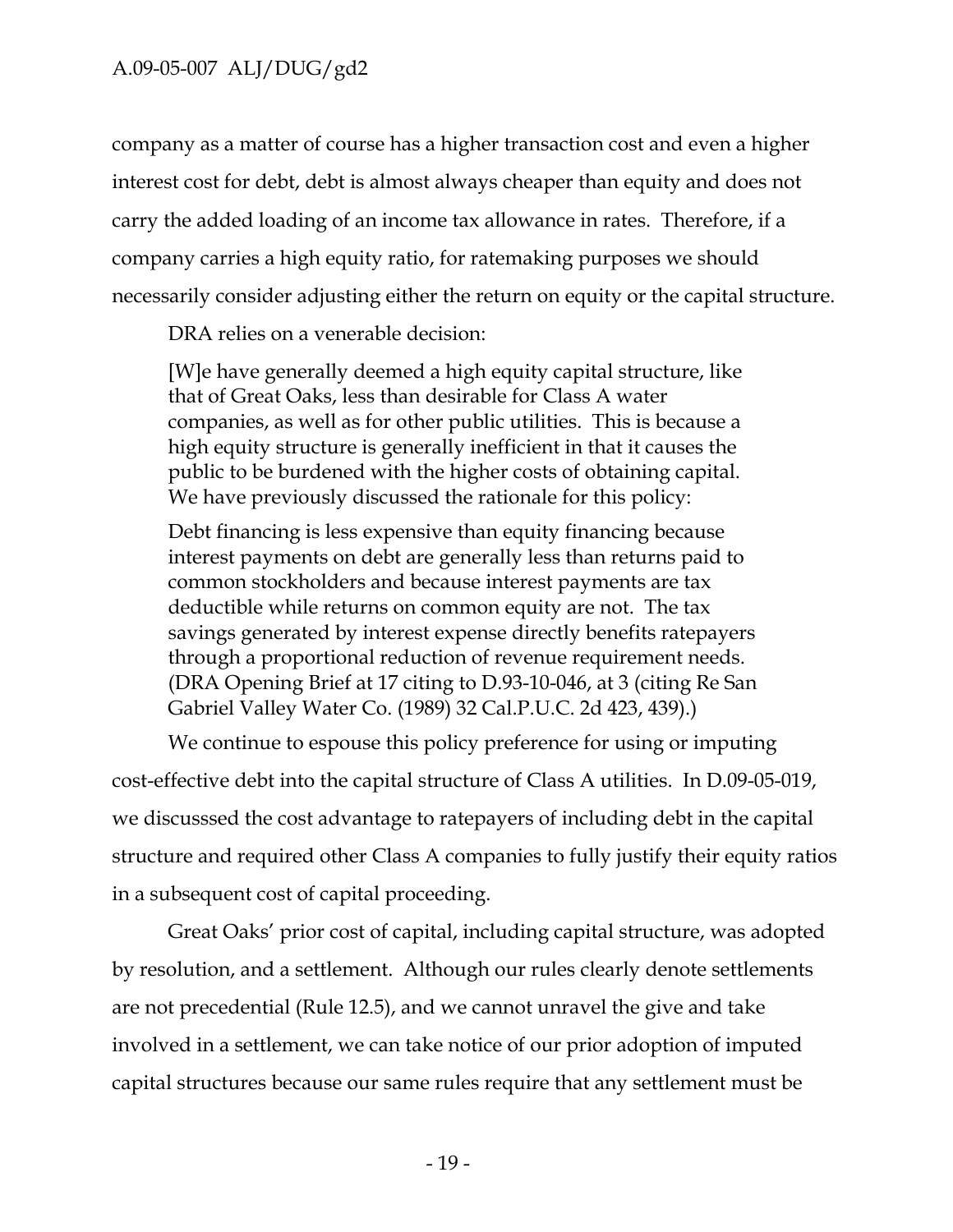company as a matter of course has a higher transaction cost and even a higher interest cost for debt, debt is almost always cheaper than equity and does not carry the added loading of an income tax allowance in rates. Therefore, if a company carries a high equity ratio, for ratemaking purposes we should necessarily consider adjusting either the return on equity or the capital structure.

DRA relies on a venerable decision:

[W]e have generally deemed a high equity capital structure, like that of Great Oaks, less than desirable for Class A water companies, as well as for other public utilities. This is because a high equity structure is generally inefficient in that it causes the public to be burdened with the higher costs of obtaining capital. We have previously discussed the rationale for this policy:

Debt financing is less expensive than equity financing because interest payments on debt are generally less than returns paid to common stockholders and because interest payments are tax deductible while returns on common equity are not. The tax savings generated by interest expense directly benefits ratepayers through a proportional reduction of revenue requirement needs. (DRA Opening Brief at 17 citing to D.93-10-046, at 3 (citing Re San Gabriel Valley Water Co. (1989) 32 Cal.P.U.C. 2d 423, 439).)

We continue to espouse this policy preference for using or imputing cost-effective debt into the capital structure of Class A utilities. In D.09-05-019, we discusssed the cost advantage to ratepayers of including debt in the capital structure and required other Class A companies to fully justify their equity ratios in a subsequent cost of capital proceeding.

Great Oaks' prior cost of capital, including capital structure, was adopted by resolution, and a settlement. Although our rules clearly denote settlements are not precedential (Rule 12.5), and we cannot unravel the give and take involved in a settlement, we can take notice of our prior adoption of imputed capital structures because our same rules require that any settlement must be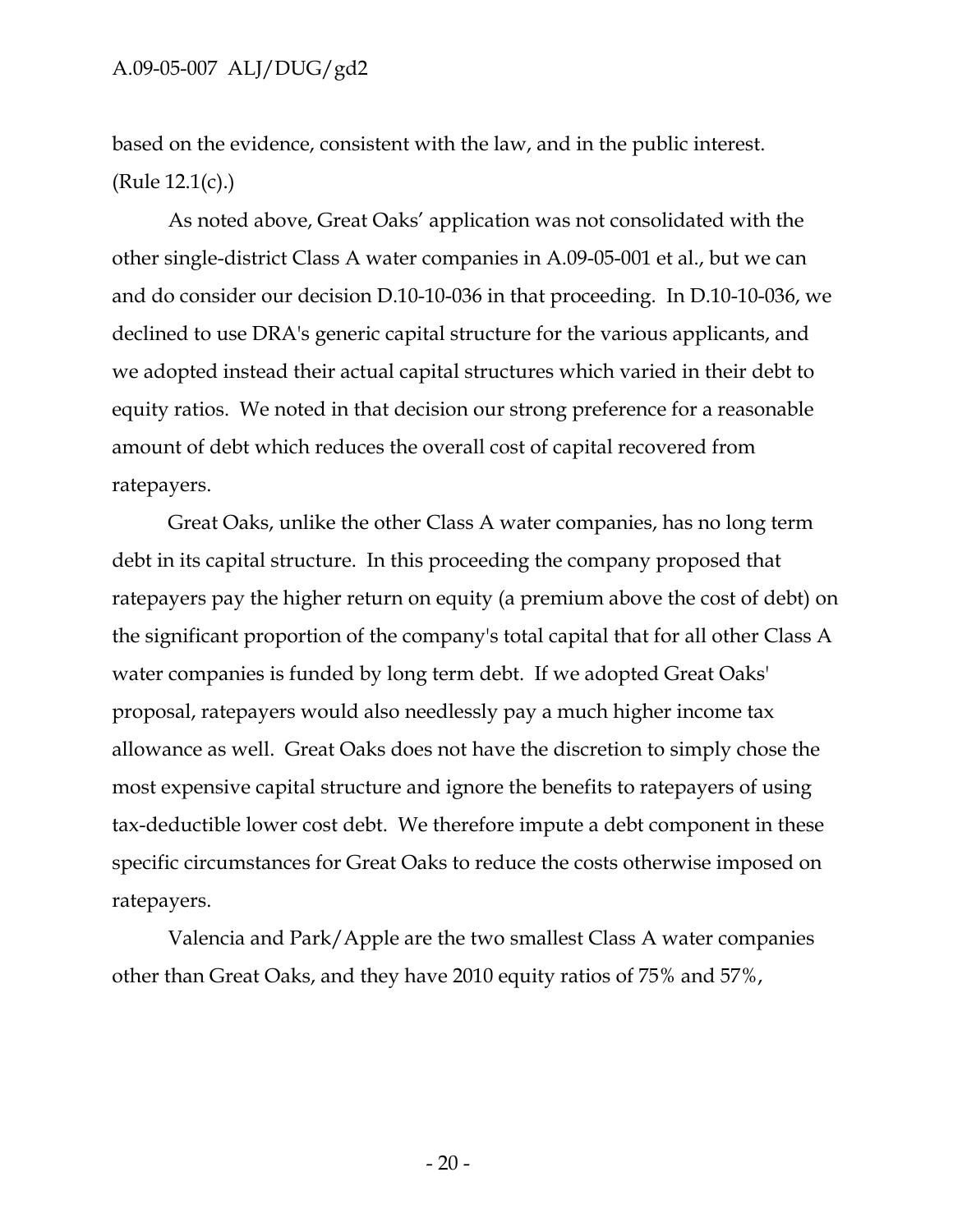based on the evidence, consistent with the law, and in the public interest. (Rule 12.1(c).)

As noted above, Great Oaks' application was not consolidated with the other single-district Class A water companies in A.09-05-001 et al., but we can and do consider our decision D.10-10-036 in that proceeding. In D.10-10-036, we declined to use DRA's generic capital structure for the various applicants, and we adopted instead their actual capital structures which varied in their debt to equity ratios. We noted in that decision our strong preference for a reasonable amount of debt which reduces the overall cost of capital recovered from ratepayers.

Great Oaks, unlike the other Class A water companies, has no long term debt in its capital structure. In this proceeding the company proposed that ratepayers pay the higher return on equity (a premium above the cost of debt) on the significant proportion of the company's total capital that for all other Class A water companies is funded by long term debt. If we adopted Great Oaks' proposal, ratepayers would also needlessly pay a much higher income tax allowance as well. Great Oaks does not have the discretion to simply chose the most expensive capital structure and ignore the benefits to ratepayers of using tax-deductible lower cost debt. We therefore impute a debt component in these specific circumstances for Great Oaks to reduce the costs otherwise imposed on ratepayers.

Valencia and Park/Apple are the two smallest Class A water companies other than Great Oaks, and they have 2010 equity ratios of 75% and 57%,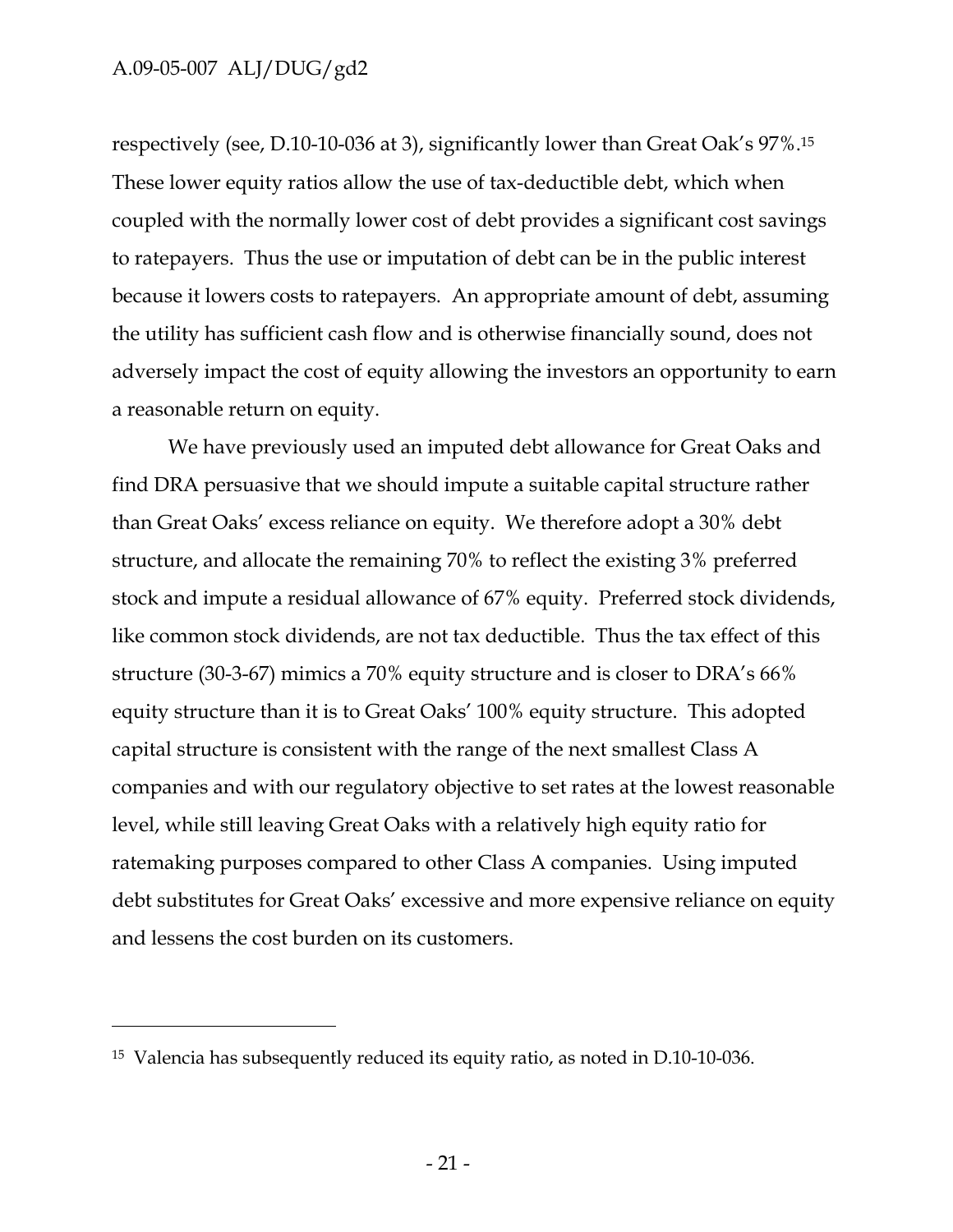-

respectively (see, D.10-10-036 at 3), significantly lower than Great Oak's 97%.15 These lower equity ratios allow the use of tax-deductible debt, which when coupled with the normally lower cost of debt provides a significant cost savings to ratepayers. Thus the use or imputation of debt can be in the public interest because it lowers costs to ratepayers. An appropriate amount of debt, assuming the utility has sufficient cash flow and is otherwise financially sound, does not adversely impact the cost of equity allowing the investors an opportunity to earn a reasonable return on equity.

We have previously used an imputed debt allowance for Great Oaks and find DRA persuasive that we should impute a suitable capital structure rather than Great Oaks' excess reliance on equity. We therefore adopt a 30% debt structure, and allocate the remaining 70% to reflect the existing 3% preferred stock and impute a residual allowance of 67% equity. Preferred stock dividends, like common stock dividends, are not tax deductible. Thus the tax effect of this structure (30-3-67) mimics a 70% equity structure and is closer to DRA's 66% equity structure than it is to Great Oaks' 100% equity structure. This adopted capital structure is consistent with the range of the next smallest Class A companies and with our regulatory objective to set rates at the lowest reasonable level, while still leaving Great Oaks with a relatively high equity ratio for ratemaking purposes compared to other Class A companies. Using imputed debt substitutes for Great Oaks' excessive and more expensive reliance on equity and lessens the cost burden on its customers.

<sup>15</sup> Valencia has subsequently reduced its equity ratio, as noted in D.10-10-036.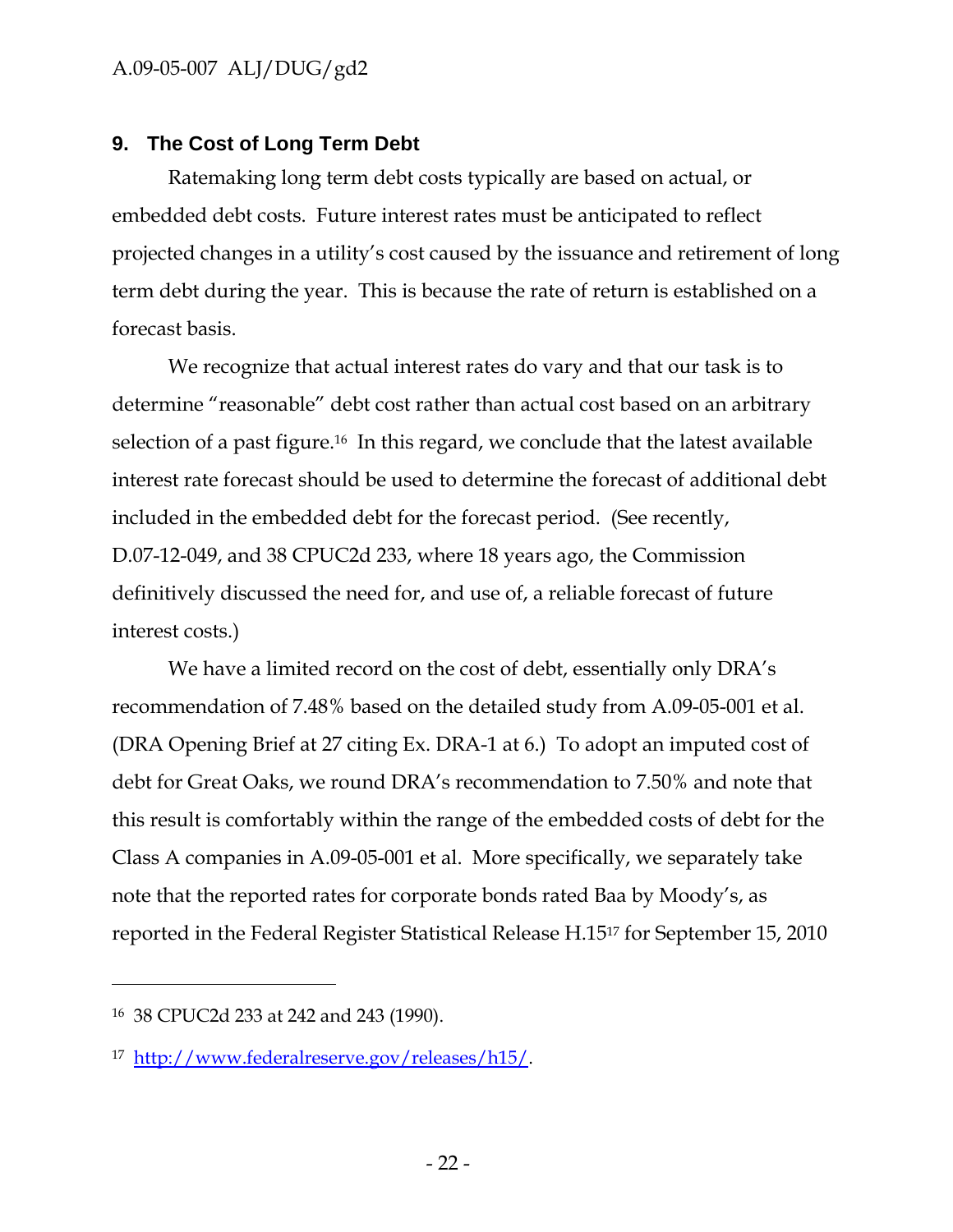### **9. The Cost of Long Term Debt**

Ratemaking long term debt costs typically are based on actual, or embedded debt costs. Future interest rates must be anticipated to reflect projected changes in a utility's cost caused by the issuance and retirement of long term debt during the year. This is because the rate of return is established on a forecast basis.

We recognize that actual interest rates do vary and that our task is to determine "reasonable" debt cost rather than actual cost based on an arbitrary selection of a past figure.<sup>16</sup> In this regard, we conclude that the latest available interest rate forecast should be used to determine the forecast of additional debt included in the embedded debt for the forecast period. (See recently, D.07-12-049, and 38 CPUC2d 233, where 18 years ago, the Commission definitively discussed the need for, and use of, a reliable forecast of future interest costs.)

We have a limited record on the cost of debt, essentially only DRA's recommendation of 7.48% based on the detailed study from A.09-05-001 et al. (DRA Opening Brief at 27 citing Ex. DRA-1 at 6.) To adopt an imputed cost of debt for Great Oaks, we round DRA's recommendation to 7.50% and note that this result is comfortably within the range of the embedded costs of debt for the Class A companies in A.09-05-001 et al. More specifically, we separately take note that the reported rates for corporate bonds rated Baa by Moody's, as reported in the Federal Register Statistical Release H.1517 for September 15, 2010

-

<sup>16 38</sup> CPUC2d 233 at 242 and 243 (1990).

<sup>17</sup> http://www.federalreserve.gov/releases/h15/.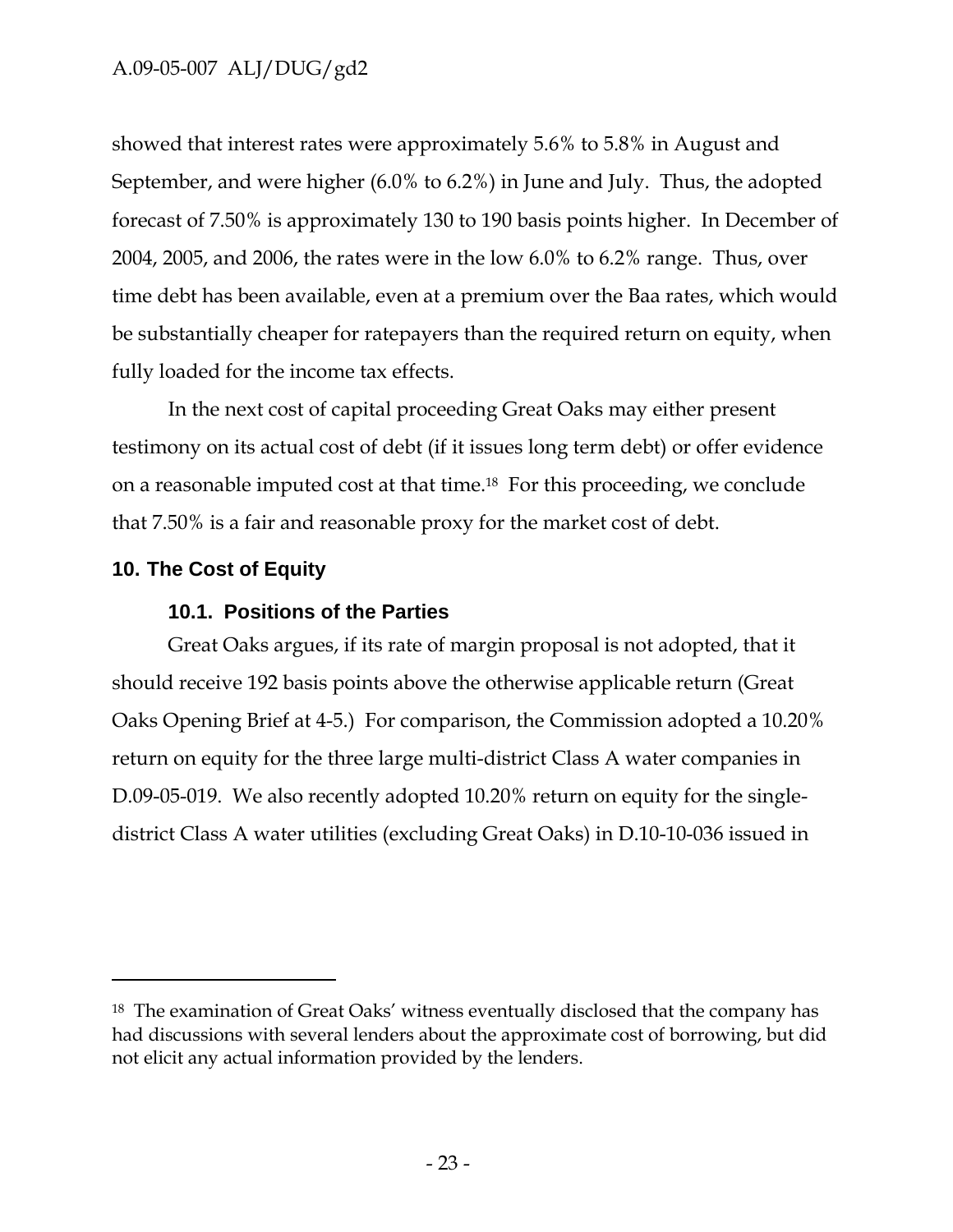showed that interest rates were approximately 5.6% to 5.8% in August and September, and were higher (6.0% to 6.2%) in June and July. Thus, the adopted forecast of 7.50% is approximately 130 to 190 basis points higher. In December of 2004, 2005, and 2006, the rates were in the low 6.0% to 6.2% range. Thus, over time debt has been available, even at a premium over the Baa rates, which would be substantially cheaper for ratepayers than the required return on equity, when fully loaded for the income tax effects.

In the next cost of capital proceeding Great Oaks may either present testimony on its actual cost of debt (if it issues long term debt) or offer evidence on a reasonable imputed cost at that time.18 For this proceeding, we conclude that 7.50% is a fair and reasonable proxy for the market cost of debt.

### **10. The Cost of Equity**

 $\overline{a}$ 

#### **10.1. Positions of the Parties**

Great Oaks argues, if its rate of margin proposal is not adopted, that it should receive 192 basis points above the otherwise applicable return (Great Oaks Opening Brief at 4-5.) For comparison, the Commission adopted a 10.20% return on equity for the three large multi-district Class A water companies in D.09-05-019. We also recently adopted 10.20% return on equity for the singledistrict Class A water utilities (excluding Great Oaks) in D.10-10-036 issued in

<sup>18</sup> The examination of Great Oaks' witness eventually disclosed that the company has had discussions with several lenders about the approximate cost of borrowing, but did not elicit any actual information provided by the lenders.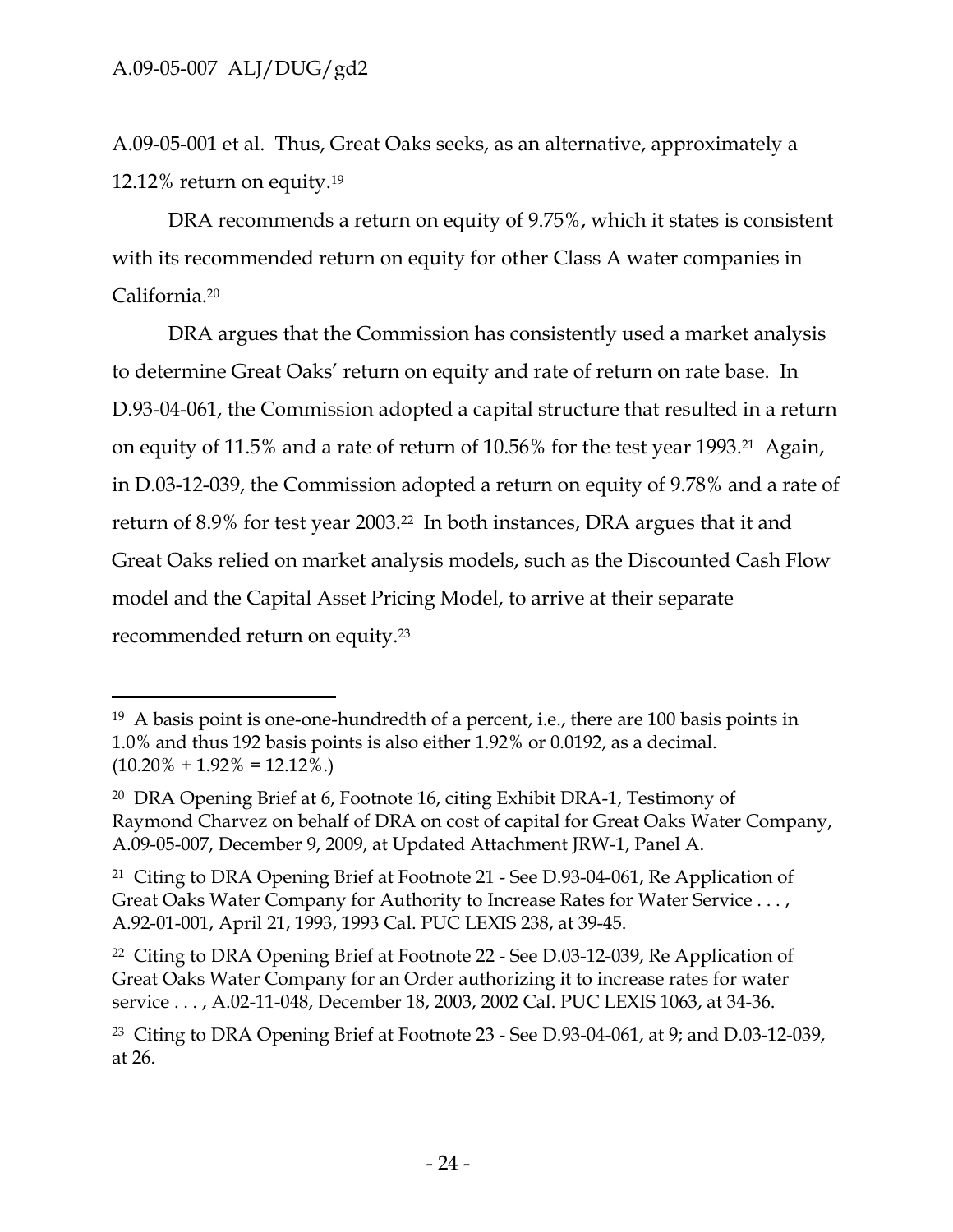$\overline{a}$ 

A.09-05-001 et al. Thus, Great Oaks seeks, as an alternative, approximately a 12.12% return on equity.19

DRA recommends a return on equity of 9.75%, which it states is consistent with its recommended return on equity for other Class A water companies in California.20

DRA argues that the Commission has consistently used a market analysis to determine Great Oaks' return on equity and rate of return on rate base. In D.93-04-061, the Commission adopted a capital structure that resulted in a return on equity of 11.5% and a rate of return of 10.56% for the test year 1993.21 Again, in D.03-12-039, the Commission adopted a return on equity of 9.78% and a rate of return of 8.9% for test year 2003.22 In both instances, DRA argues that it and Great Oaks relied on market analysis models, such as the Discounted Cash Flow model and the Capital Asset Pricing Model, to arrive at their separate recommended return on equity.23

<sup>19</sup> A basis point is one-one-hundredth of a percent, i.e., there are 100 basis points in 1.0% and thus 192 basis points is also either 1.92% or 0.0192, as a decimal.  $(10.20\% + 1.92\% = 12.12\%).$ 

<sup>20</sup> DRA Opening Brief at 6, Footnote 16, citing Exhibit DRA-1, Testimony of Raymond Charvez on behalf of DRA on cost of capital for Great Oaks Water Company, A.09-05-007, December 9, 2009, at Updated Attachment JRW-1, Panel A.

<sup>21</sup> Citing to DRA Opening Brief at Footnote 21 - See D.93-04-061, Re Application of Great Oaks Water Company for Authority to Increase Rates for Water Service . . . , A.92-01-001, April 21, 1993, 1993 Cal. PUC LEXIS 238, at 39-45.

<sup>22</sup> Citing to DRA Opening Brief at Footnote 22 - See D.03-12-039, Re Application of Great Oaks Water Company for an Order authorizing it to increase rates for water service . . . , A.02-11-048, December 18, 2003, 2002 Cal. PUC LEXIS 1063, at 34-36.

<sup>23</sup> Citing to DRA Opening Brief at Footnote 23 - See D.93-04-061, at 9; and D.03-12-039, at 26.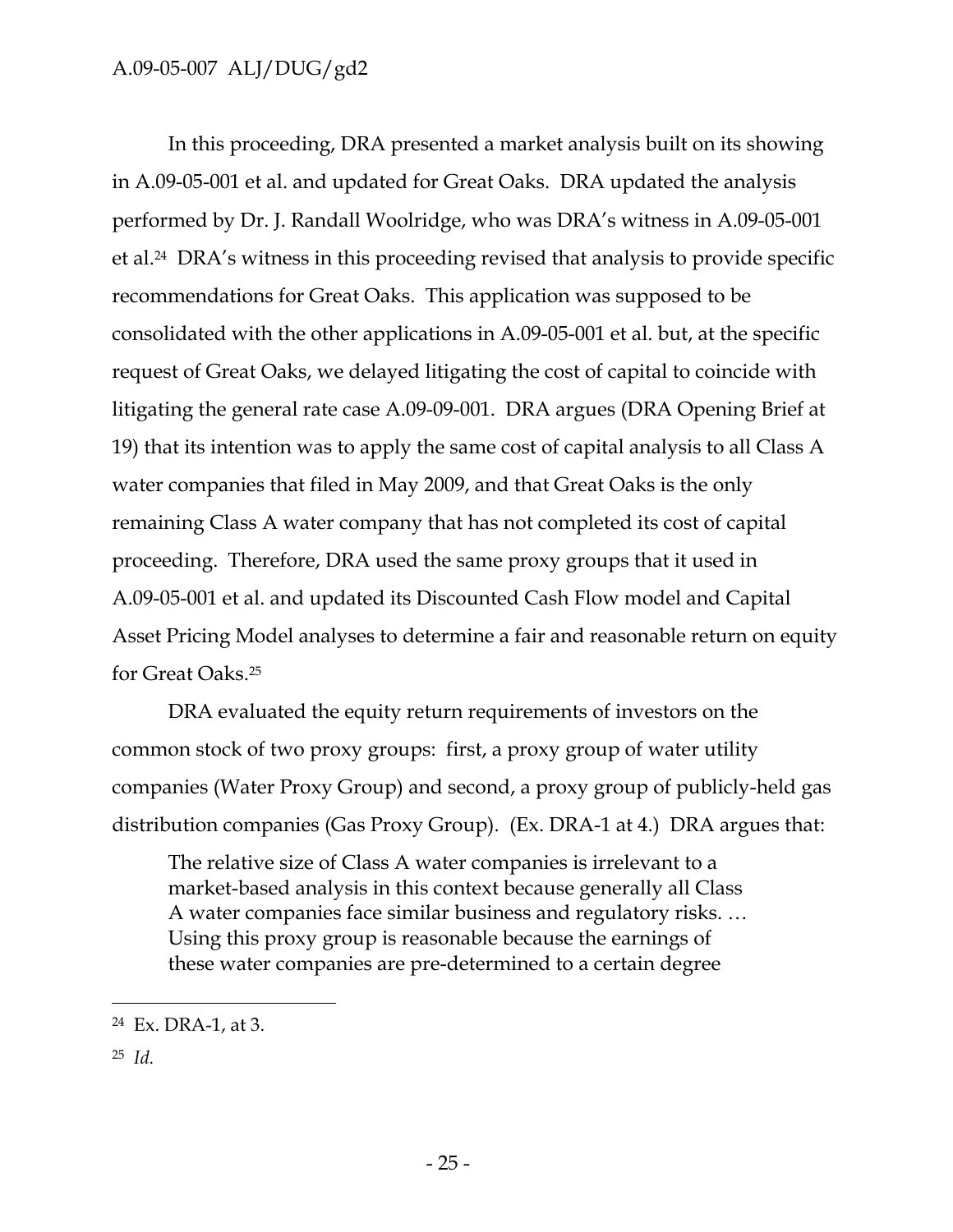In this proceeding, DRA presented a market analysis built on its showing in A.09-05-001 et al. and updated for Great Oaks. DRA updated the analysis performed by Dr. J. Randall Woolridge, who was DRA's witness in A.09-05-001 et al.24 DRA's witness in this proceeding revised that analysis to provide specific recommendations for Great Oaks. This application was supposed to be consolidated with the other applications in A.09-05-001 et al. but, at the specific request of Great Oaks, we delayed litigating the cost of capital to coincide with litigating the general rate case A.09-09-001. DRA argues (DRA Opening Brief at 19) that its intention was to apply the same cost of capital analysis to all Class A water companies that filed in May 2009, and that Great Oaks is the only remaining Class A water company that has not completed its cost of capital proceeding. Therefore, DRA used the same proxy groups that it used in A.09-05-001 et al. and updated its Discounted Cash Flow model and Capital Asset Pricing Model analyses to determine a fair and reasonable return on equity for Great Oaks.25

DRA evaluated the equity return requirements of investors on the common stock of two proxy groups: first, a proxy group of water utility companies (Water Proxy Group) and second, a proxy group of publicly-held gas distribution companies (Gas Proxy Group). (Ex. DRA-1 at 4.) DRA argues that:

The relative size of Class A water companies is irrelevant to a market-based analysis in this context because generally all Class A water companies face similar business and regulatory risks. … Using this proxy group is reasonable because the earnings of these water companies are pre-determined to a certain degree

25 *Id.*

-

<sup>24</sup> Ex. DRA-1, at 3.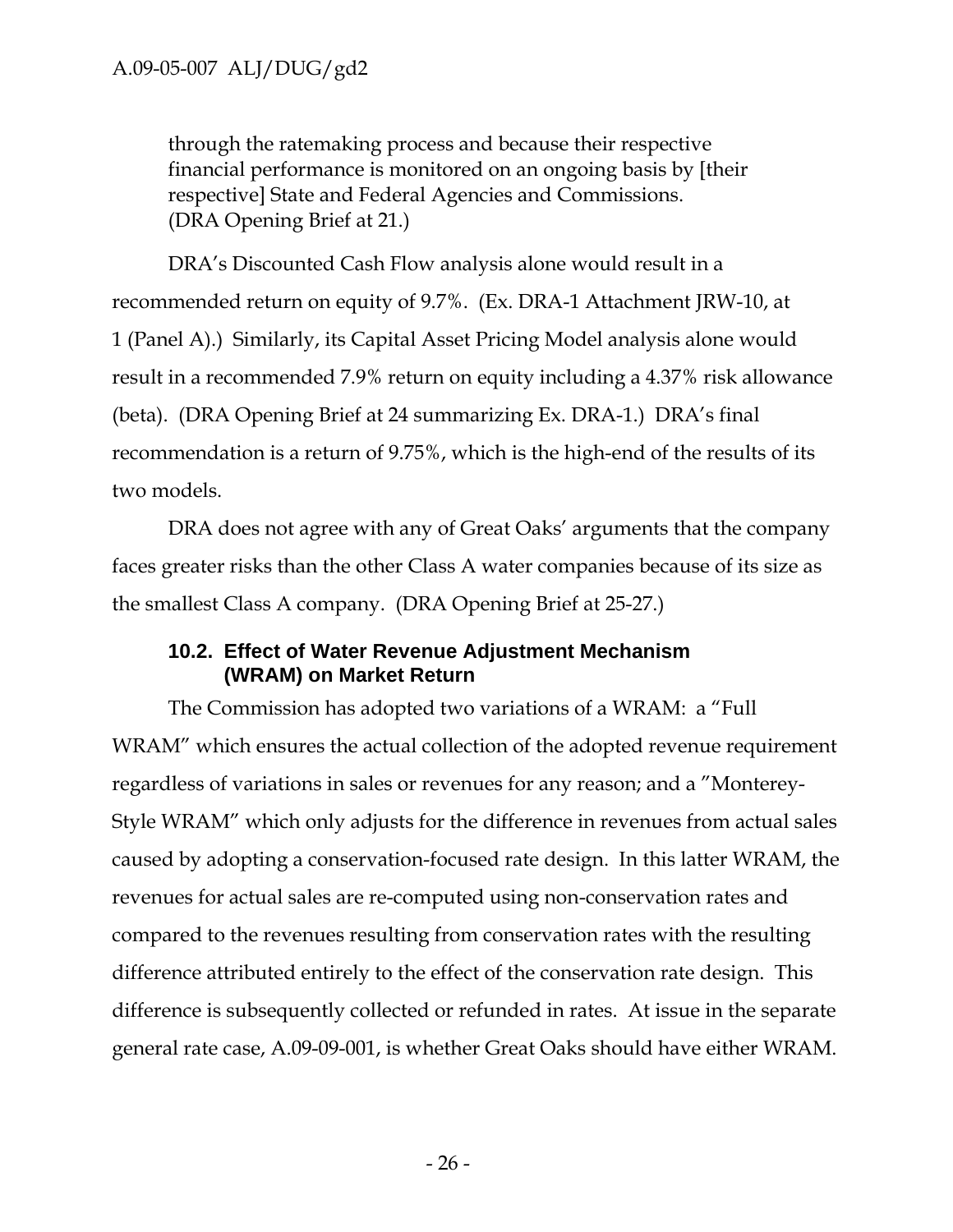through the ratemaking process and because their respective financial performance is monitored on an ongoing basis by [their respective] State and Federal Agencies and Commissions. (DRA Opening Brief at 21.)

DRA's Discounted Cash Flow analysis alone would result in a recommended return on equity of 9.7%. (Ex. DRA-1 Attachment JRW-10, at 1 (Panel A).) Similarly, its Capital Asset Pricing Model analysis alone would result in a recommended 7.9% return on equity including a 4.37% risk allowance (beta). (DRA Opening Brief at 24 summarizing Ex. DRA-1.) DRA's final recommendation is a return of 9.75%, which is the high-end of the results of its two models.

DRA does not agree with any of Great Oaks' arguments that the company faces greater risks than the other Class A water companies because of its size as the smallest Class A company. (DRA Opening Brief at 25-27.)

### **10.2. Effect of Water Revenue Adjustment Mechanism (WRAM) on Market Return**

The Commission has adopted two variations of a WRAM: a "Full WRAM" which ensures the actual collection of the adopted revenue requirement regardless of variations in sales or revenues for any reason; and a "Monterey-Style WRAM" which only adjusts for the difference in revenues from actual sales caused by adopting a conservation-focused rate design. In this latter WRAM, the revenues for actual sales are re-computed using non-conservation rates and compared to the revenues resulting from conservation rates with the resulting difference attributed entirely to the effect of the conservation rate design. This difference is subsequently collected or refunded in rates. At issue in the separate general rate case, A.09-09-001, is whether Great Oaks should have either WRAM.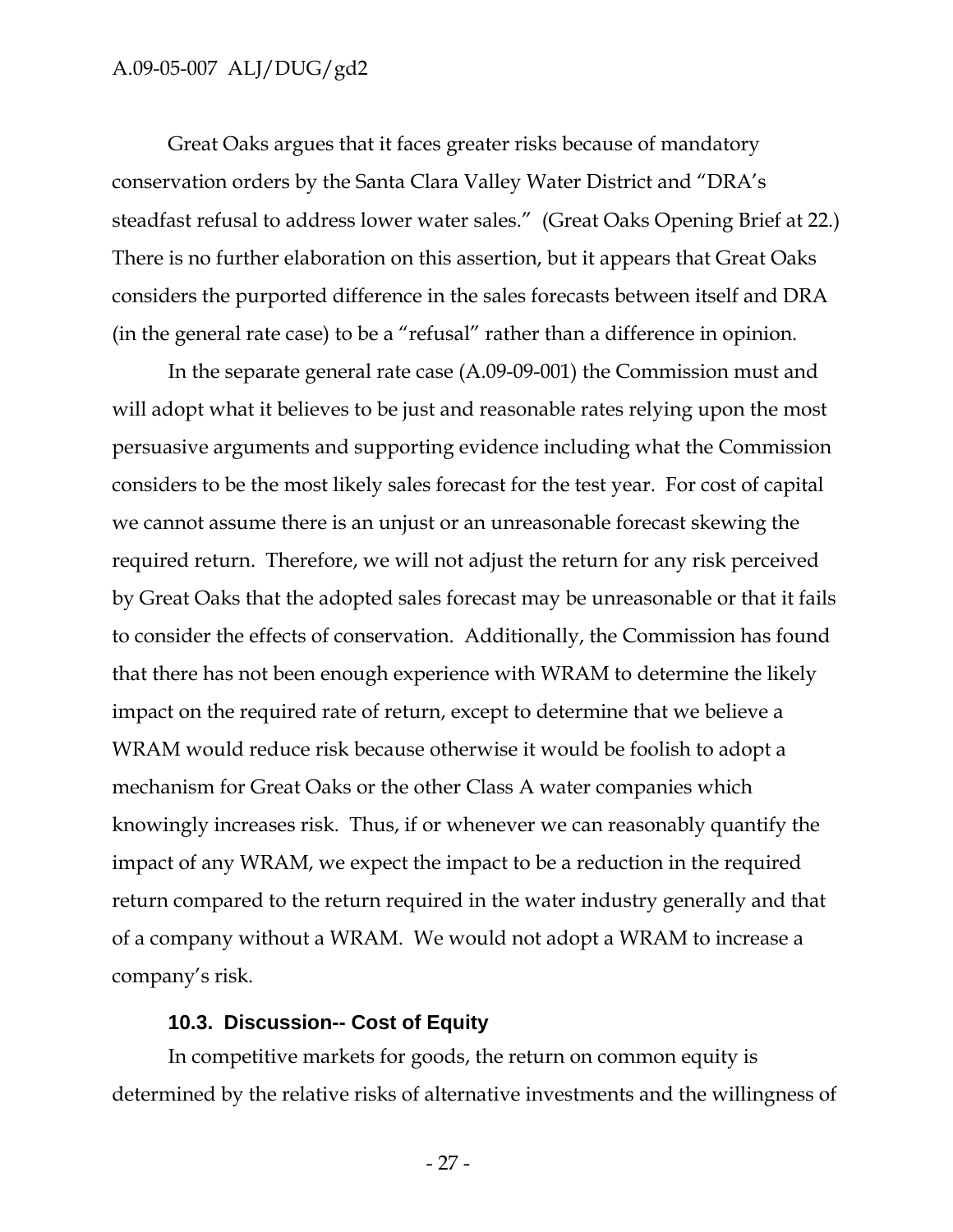Great Oaks argues that it faces greater risks because of mandatory conservation orders by the Santa Clara Valley Water District and "DRA's steadfast refusal to address lower water sales." (Great Oaks Opening Brief at 22.) There is no further elaboration on this assertion, but it appears that Great Oaks considers the purported difference in the sales forecasts between itself and DRA (in the general rate case) to be a "refusal" rather than a difference in opinion.

In the separate general rate case (A.09-09-001) the Commission must and will adopt what it believes to be just and reasonable rates relying upon the most persuasive arguments and supporting evidence including what the Commission considers to be the most likely sales forecast for the test year. For cost of capital we cannot assume there is an unjust or an unreasonable forecast skewing the required return. Therefore, we will not adjust the return for any risk perceived by Great Oaks that the adopted sales forecast may be unreasonable or that it fails to consider the effects of conservation. Additionally, the Commission has found that there has not been enough experience with WRAM to determine the likely impact on the required rate of return, except to determine that we believe a WRAM would reduce risk because otherwise it would be foolish to adopt a mechanism for Great Oaks or the other Class A water companies which knowingly increases risk. Thus, if or whenever we can reasonably quantify the impact of any WRAM, we expect the impact to be a reduction in the required return compared to the return required in the water industry generally and that of a company without a WRAM. We would not adopt a WRAM to increase a company's risk.

#### **10.3. Discussion-- Cost of Equity**

In competitive markets for goods, the return on common equity is determined by the relative risks of alternative investments and the willingness of

- 27 -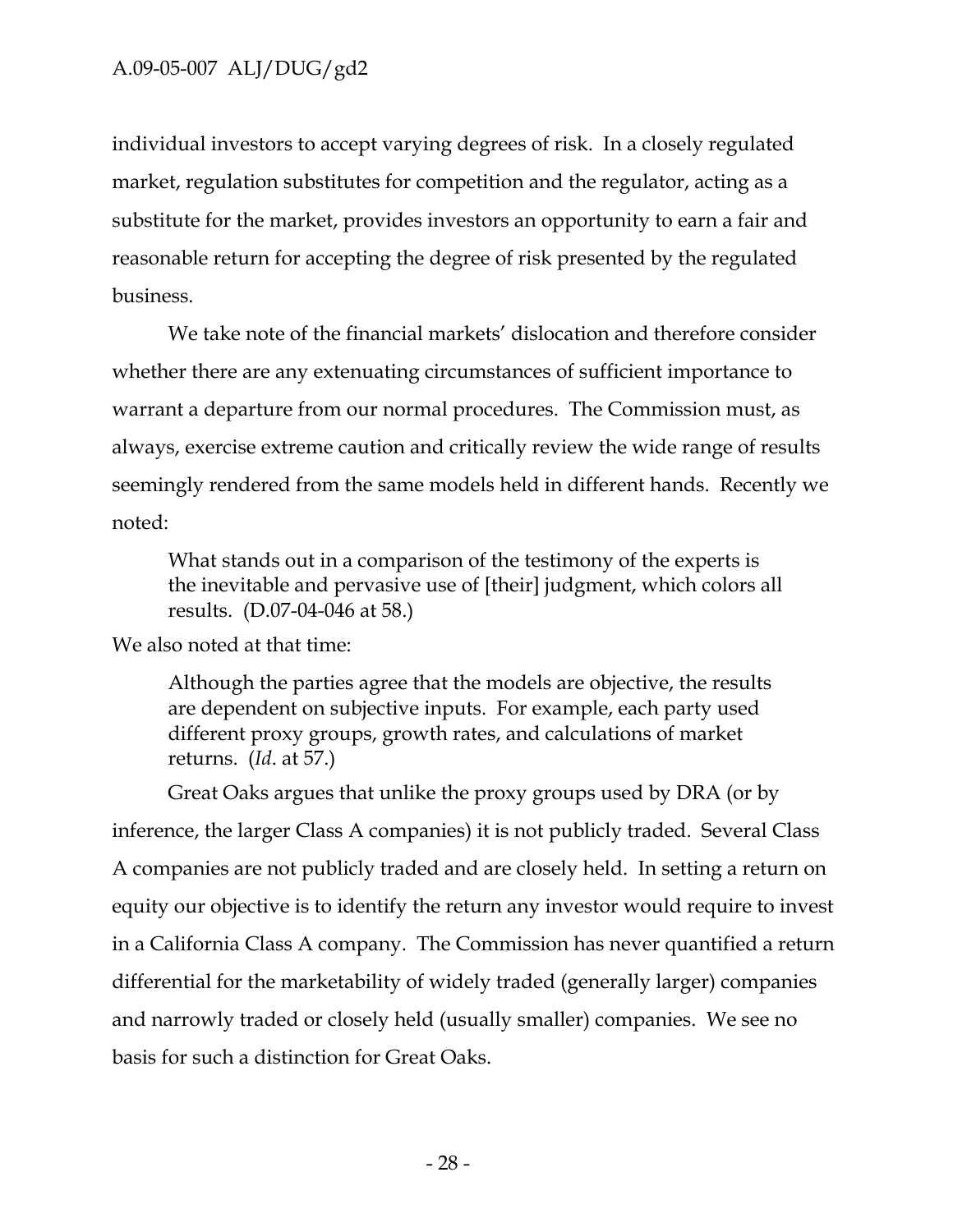individual investors to accept varying degrees of risk. In a closely regulated market, regulation substitutes for competition and the regulator, acting as a substitute for the market, provides investors an opportunity to earn a fair and reasonable return for accepting the degree of risk presented by the regulated business.

We take note of the financial markets' dislocation and therefore consider whether there are any extenuating circumstances of sufficient importance to warrant a departure from our normal procedures. The Commission must, as always, exercise extreme caution and critically review the wide range of results seemingly rendered from the same models held in different hands. Recently we noted:

What stands out in a comparison of the testimony of the experts is the inevitable and pervasive use of [their] judgment, which colors all results. (D.07-04-046 at 58.)

We also noted at that time:

Although the parties agree that the models are objective, the results are dependent on subjective inputs. For example, each party used different proxy groups, growth rates, and calculations of market returns. (*Id*. at 57.)

Great Oaks argues that unlike the proxy groups used by DRA (or by inference, the larger Class A companies) it is not publicly traded. Several Class A companies are not publicly traded and are closely held. In setting a return on equity our objective is to identify the return any investor would require to invest in a California Class A company. The Commission has never quantified a return differential for the marketability of widely traded (generally larger) companies and narrowly traded or closely held (usually smaller) companies. We see no basis for such a distinction for Great Oaks.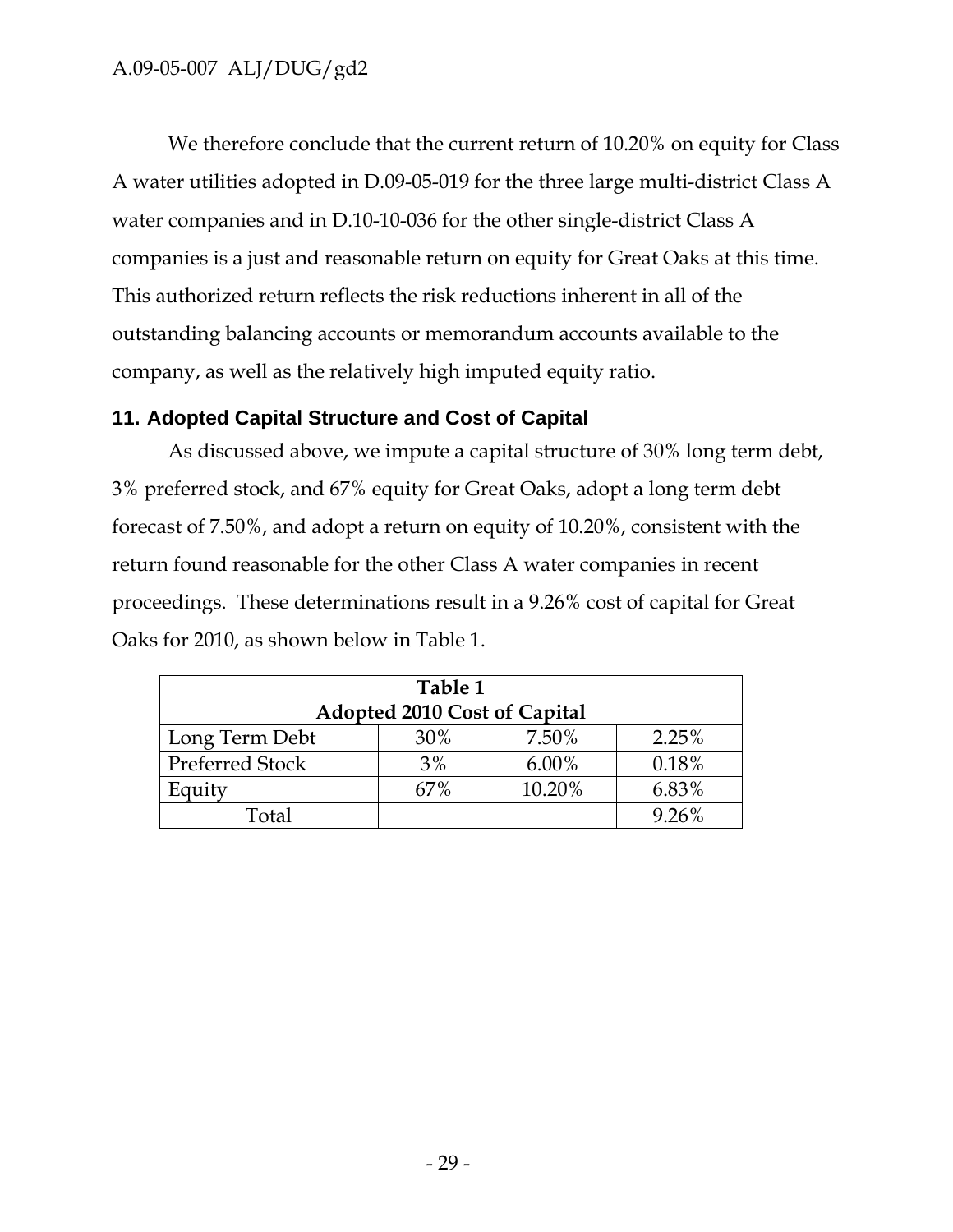We therefore conclude that the current return of 10.20% on equity for Class A water utilities adopted in D.09-05-019 for the three large multi-district Class A water companies and in D.10-10-036 for the other single-district Class A companies is a just and reasonable return on equity for Great Oaks at this time. This authorized return reflects the risk reductions inherent in all of the outstanding balancing accounts or memorandum accounts available to the company, as well as the relatively high imputed equity ratio.

# **11. Adopted Capital Structure and Cost of Capital**

As discussed above, we impute a capital structure of 30% long term debt, 3% preferred stock, and 67% equity for Great Oaks, adopt a long term debt forecast of 7.50%, and adopt a return on equity of 10.20%, consistent with the return found reasonable for the other Class A water companies in recent proceedings. These determinations result in a 9.26% cost of capital for Great Oaks for 2010, as shown below in Table 1.

| Table 1                      |     |          |       |  |
|------------------------------|-----|----------|-------|--|
| Adopted 2010 Cost of Capital |     |          |       |  |
| Long Term Debt               | 30% | 7.50%    | 2.25% |  |
| <b>Preferred Stock</b>       | 3%  | $6.00\%$ | 0.18% |  |
| Equity                       | 67% | 10.20%   | 6.83% |  |
| Total                        |     |          | 9.26% |  |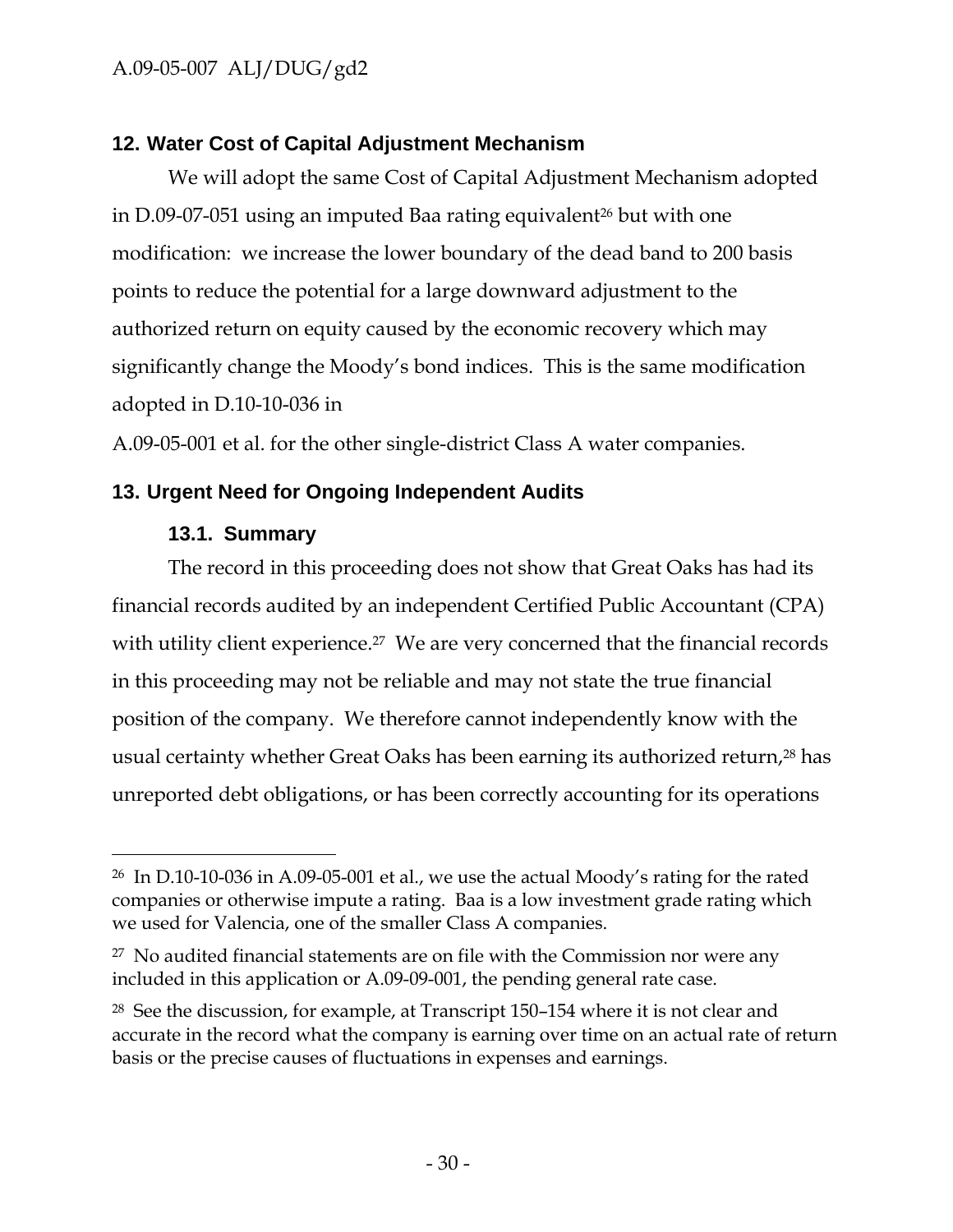### **12. Water Cost of Capital Adjustment Mechanism**

We will adopt the same Cost of Capital Adjustment Mechanism adopted in D.09-07-051 using an imputed Baa rating equivalent<sup>26</sup> but with one modification: we increase the lower boundary of the dead band to 200 basis points to reduce the potential for a large downward adjustment to the authorized return on equity caused by the economic recovery which may significantly change the Moody's bond indices. This is the same modification adopted in D.10-10-036 in

A.09-05-001 et al. for the other single-district Class A water companies.

### **13. Urgent Need for Ongoing Independent Audits**

#### **13.1. Summary**

 $\overline{a}$ 

The record in this proceeding does not show that Great Oaks has had its financial records audited by an independent Certified Public Accountant (CPA) with utility client experience.<sup>27</sup> We are very concerned that the financial records in this proceeding may not be reliable and may not state the true financial position of the company. We therefore cannot independently know with the usual certainty whether Great Oaks has been earning its authorized return,<sup>28</sup> has unreported debt obligations, or has been correctly accounting for its operations

<sup>26</sup> In D.10-10-036 in A.09-05-001 et al., we use the actual Moody's rating for the rated companies or otherwise impute a rating. Baa is a low investment grade rating which we used for Valencia, one of the smaller Class A companies.

<sup>&</sup>lt;sup>27</sup> No audited financial statements are on file with the Commission nor were any included in this application or A.09-09-001, the pending general rate case.

<sup>28</sup> See the discussion, for example, at Transcript 150–154 where it is not clear and accurate in the record what the company is earning over time on an actual rate of return basis or the precise causes of fluctuations in expenses and earnings.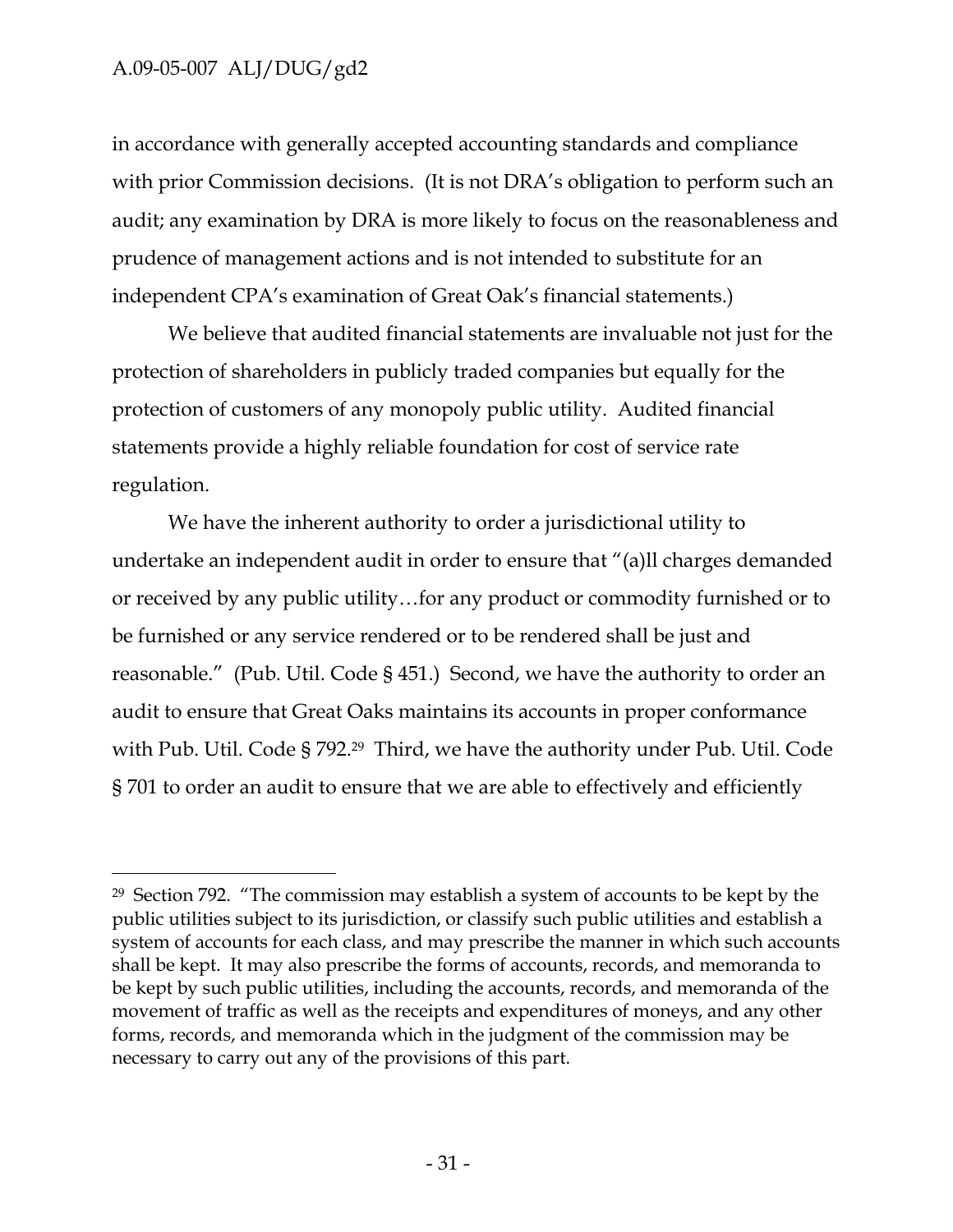-

in accordance with generally accepted accounting standards and compliance with prior Commission decisions. (It is not DRA's obligation to perform such an audit; any examination by DRA is more likely to focus on the reasonableness and prudence of management actions and is not intended to substitute for an independent CPA's examination of Great Oak's financial statements.)

We believe that audited financial statements are invaluable not just for the protection of shareholders in publicly traded companies but equally for the protection of customers of any monopoly public utility. Audited financial statements provide a highly reliable foundation for cost of service rate regulation.

We have the inherent authority to order a jurisdictional utility to undertake an independent audit in order to ensure that "(a)ll charges demanded or received by any public utility…for any product or commodity furnished or to be furnished or any service rendered or to be rendered shall be just and reasonable." (Pub. Util. Code § 451.) Second, we have the authority to order an audit to ensure that Great Oaks maintains its accounts in proper conformance with Pub. Util. Code § 792.29 Third, we have the authority under Pub. Util. Code § 701 to order an audit to ensure that we are able to effectively and efficiently

<sup>29</sup> Section 792. "The commission may establish a system of accounts to be kept by the public utilities subject to its jurisdiction, or classify such public utilities and establish a system of accounts for each class, and may prescribe the manner in which such accounts shall be kept. It may also prescribe the forms of accounts, records, and memoranda to be kept by such public utilities, including the accounts, records, and memoranda of the movement of traffic as well as the receipts and expenditures of moneys, and any other forms, records, and memoranda which in the judgment of the commission may be necessary to carry out any of the provisions of this part.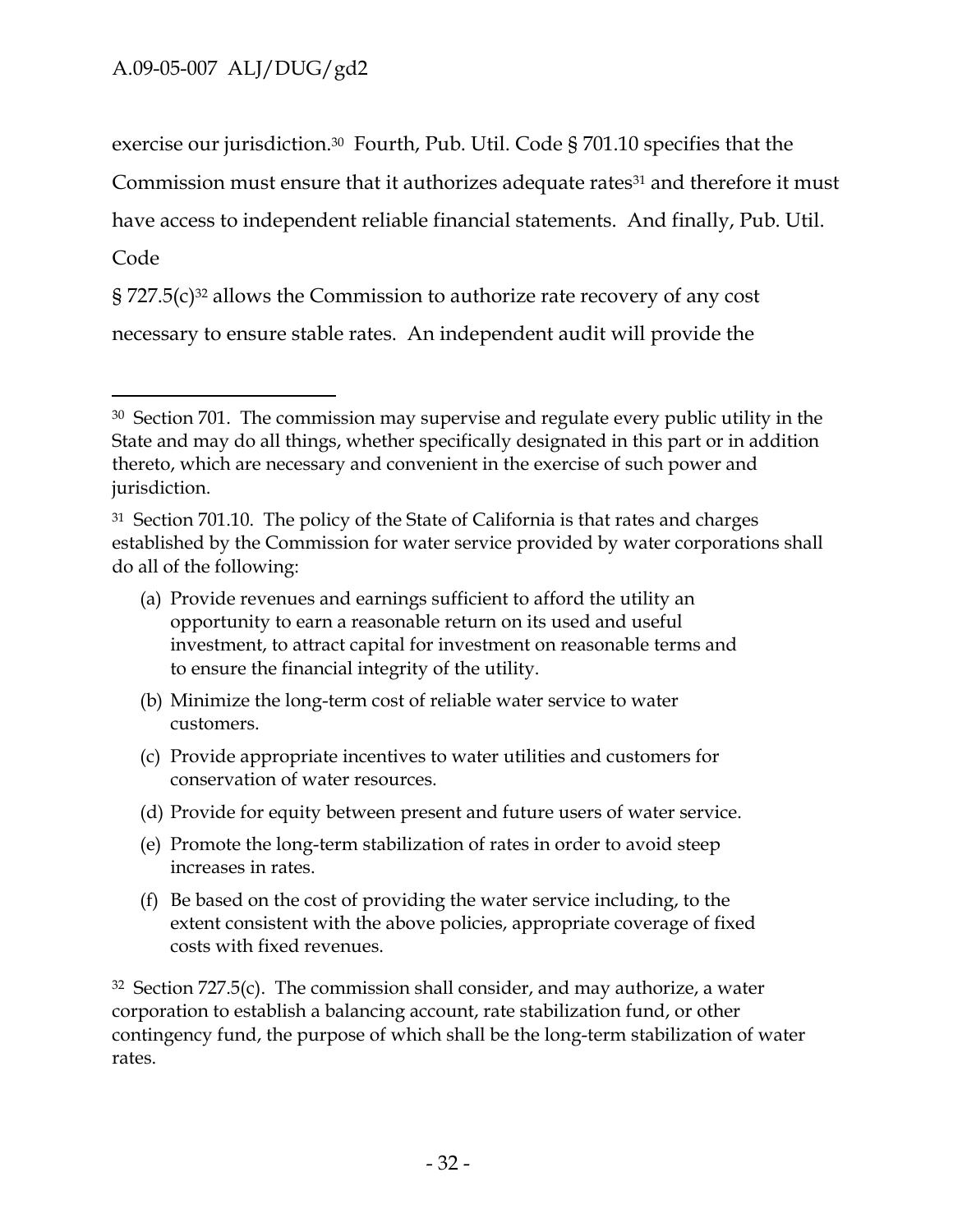exercise our jurisdiction.30 Fourth, Pub. Util. Code § 701.10 specifies that the

Commission must ensure that it authorizes adequate rates<sup>31</sup> and therefore it must

have access to independent reliable financial statements. And finally, Pub. Util.

# Code

 $\overline{a}$ 

 $\S 727.5(c)^{32}$  allows the Commission to authorize rate recovery of any cost

necessary to ensure stable rates. An independent audit will provide the

- (a) Provide revenues and earnings sufficient to afford the utility an opportunity to earn a reasonable return on its used and useful investment, to attract capital for investment on reasonable terms and to ensure the financial integrity of the utility.
- (b) Minimize the long-term cost of reliable water service to water customers.
- (c) Provide appropriate incentives to water utilities and customers for conservation of water resources.
- (d) Provide for equity between present and future users of water service.
- (e) Promote the long-term stabilization of rates in order to avoid steep increases in rates.
- (f) Be based on the cost of providing the water service including, to the extent consistent with the above policies, appropriate coverage of fixed costs with fixed revenues.

 $32$  Section 727.5(c). The commission shall consider, and may authorize, a water corporation to establish a balancing account, rate stabilization fund, or other contingency fund, the purpose of which shall be the long-term stabilization of water rates.

<sup>&</sup>lt;sup>30</sup> Section 701. The commission may supervise and regulate every public utility in the State and may do all things, whether specifically designated in this part or in addition thereto, which are necessary and convenient in the exercise of such power and jurisdiction.

<sup>&</sup>lt;sup>31</sup> Section 701.10. The policy of the State of California is that rates and charges established by the Commission for water service provided by water corporations shall do all of the following: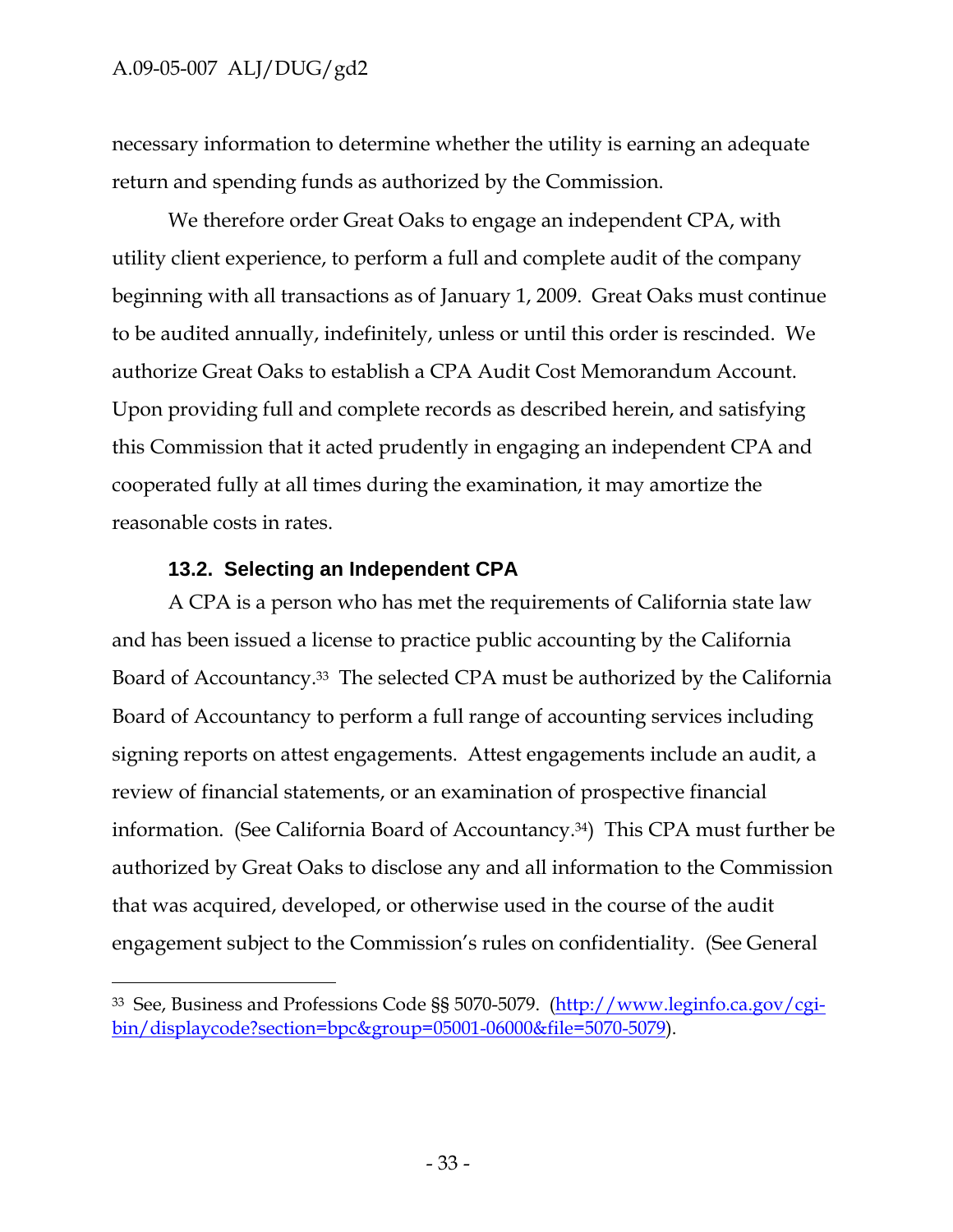-

necessary information to determine whether the utility is earning an adequate return and spending funds as authorized by the Commission.

We therefore order Great Oaks to engage an independent CPA, with utility client experience, to perform a full and complete audit of the company beginning with all transactions as of January 1, 2009. Great Oaks must continue to be audited annually, indefinitely, unless or until this order is rescinded. We authorize Great Oaks to establish a CPA Audit Cost Memorandum Account. Upon providing full and complete records as described herein, and satisfying this Commission that it acted prudently in engaging an independent CPA and cooperated fully at all times during the examination, it may amortize the reasonable costs in rates.

### **13.2. Selecting an Independent CPA**

A CPA is a person who has met the requirements of California state law and has been issued a license to practice public accounting by the California Board of Accountancy.33 The selected CPA must be authorized by the California Board of Accountancy to perform a full range of accounting services including signing reports on attest engagements. Attest engagements include an audit, a review of financial statements, or an examination of prospective financial information. (See California Board of Accountancy.34) This CPA must further be authorized by Great Oaks to disclose any and all information to the Commission that was acquired, developed, or otherwise used in the course of the audit engagement subject to the Commission's rules on confidentiality. (See General

<sup>33</sup> See, Business and Professions Code §§ 5070-5079. (http://www.leginfo.ca.gov/cgibin/displaycode?section=bpc&group=05001-06000&file=5070-5079).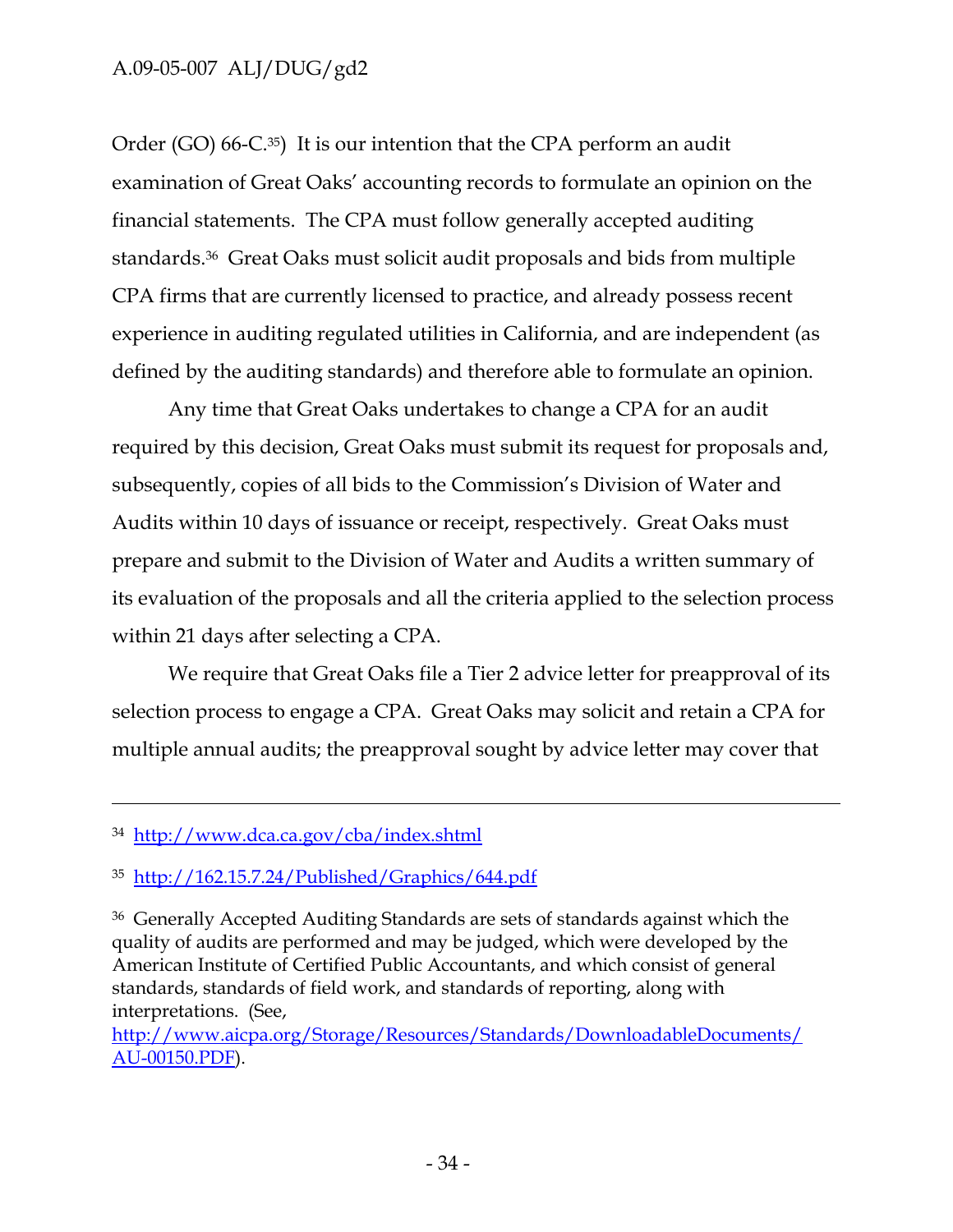Order (GO) 66-C.<sup>35</sup>) It is our intention that the CPA perform an audit examination of Great Oaks' accounting records to formulate an opinion on the financial statements. The CPA must follow generally accepted auditing standards.36 Great Oaks must solicit audit proposals and bids from multiple CPA firms that are currently licensed to practice, and already possess recent experience in auditing regulated utilities in California, and are independent (as defined by the auditing standards) and therefore able to formulate an opinion.

Any time that Great Oaks undertakes to change a CPA for an audit required by this decision, Great Oaks must submit its request for proposals and, subsequently, copies of all bids to the Commission's Division of Water and Audits within 10 days of issuance or receipt, respectively. Great Oaks must prepare and submit to the Division of Water and Audits a written summary of its evaluation of the proposals and all the criteria applied to the selection process within 21 days after selecting a CPA.

We require that Great Oaks file a Tier 2 advice letter for preapproval of its selection process to engage a CPA. Great Oaks may solicit and retain a CPA for multiple annual audits; the preapproval sought by advice letter may cover that

 $\overline{a}$ 

http://www.aicpa.org/Storage/Resources/Standards/DownloadableDocuments/ AU-00150.PDF).

<sup>34</sup> http://www.dca.ca.gov/cba/index.shtml

<sup>35</sup> http://162.15.7.24/Published/Graphics/644.pdf

<sup>36</sup> Generally Accepted Auditing Standards are sets of standards against which the quality of audits are performed and may be judged, which were developed by the American Institute of Certified Public Accountants, and which consist of general standards, standards of field work, and standards of reporting, along with interpretations. (See,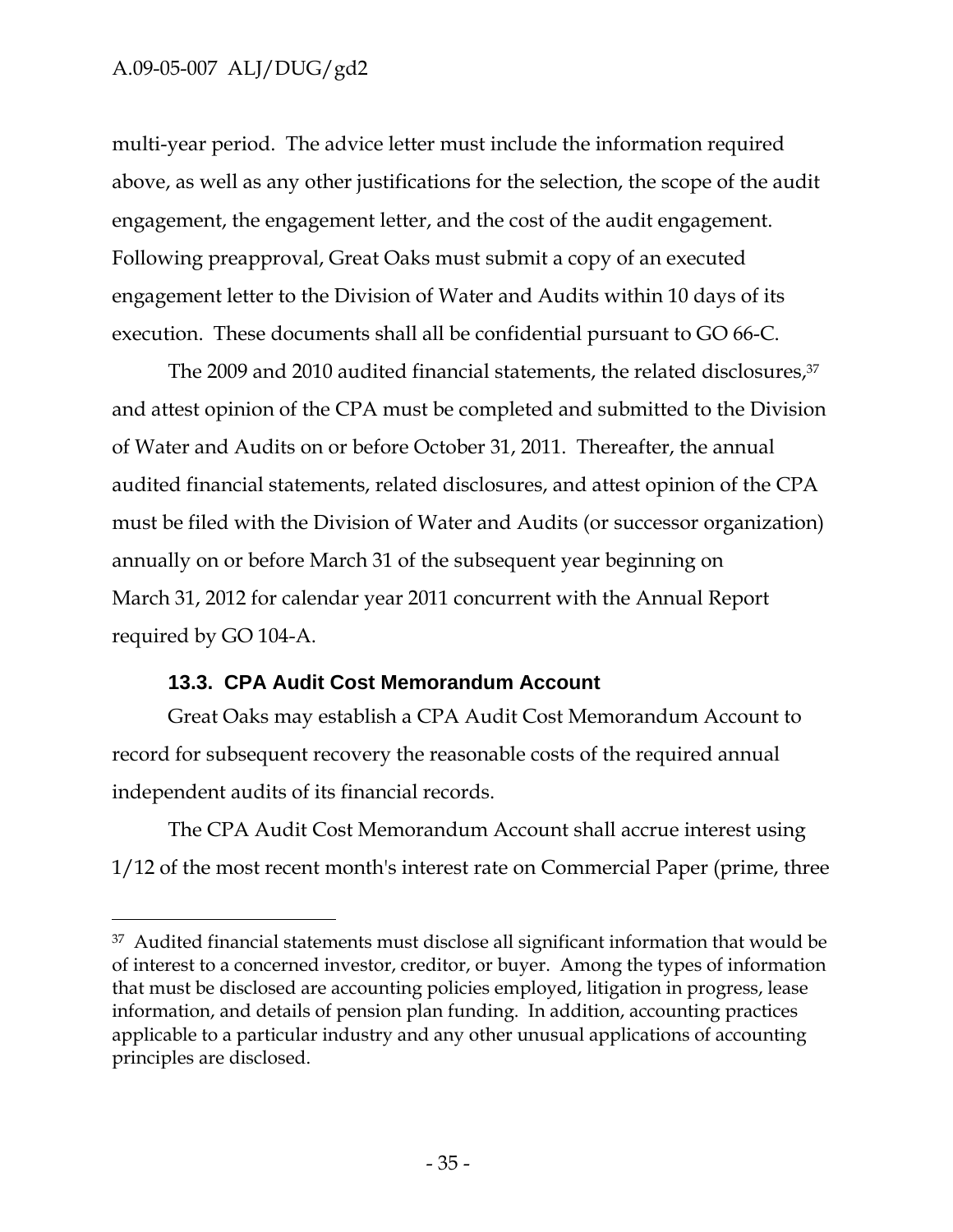$\overline{a}$ 

multi-year period. The advice letter must include the information required above, as well as any other justifications for the selection, the scope of the audit engagement, the engagement letter, and the cost of the audit engagement. Following preapproval, Great Oaks must submit a copy of an executed engagement letter to the Division of Water and Audits within 10 days of its execution. These documents shall all be confidential pursuant to GO 66-C.

The 2009 and 2010 audited financial statements, the related disclosures,<sup>37</sup> and attest opinion of the CPA must be completed and submitted to the Division of Water and Audits on or before October 31, 2011. Thereafter, the annual audited financial statements, related disclosures, and attest opinion of the CPA must be filed with the Division of Water and Audits (or successor organization) annually on or before March 31 of the subsequent year beginning on March 31, 2012 for calendar year 2011 concurrent with the Annual Report required by GO 104-A.

#### **13.3. CPA Audit Cost Memorandum Account**

Great Oaks may establish a CPA Audit Cost Memorandum Account to record for subsequent recovery the reasonable costs of the required annual independent audits of its financial records.

The CPA Audit Cost Memorandum Account shall accrue interest using 1/12 of the most recent month's interest rate on Commercial Paper (prime, three

<sup>37</sup> Audited financial statements must disclose all significant information that would be of interest to a concerned investor, creditor, or buyer. Among the types of information that must be disclosed are accounting policies employed, litigation in progress, lease information, and details of pension plan funding. In addition, accounting practices applicable to a particular industry and any other unusual applications of accounting principles are disclosed.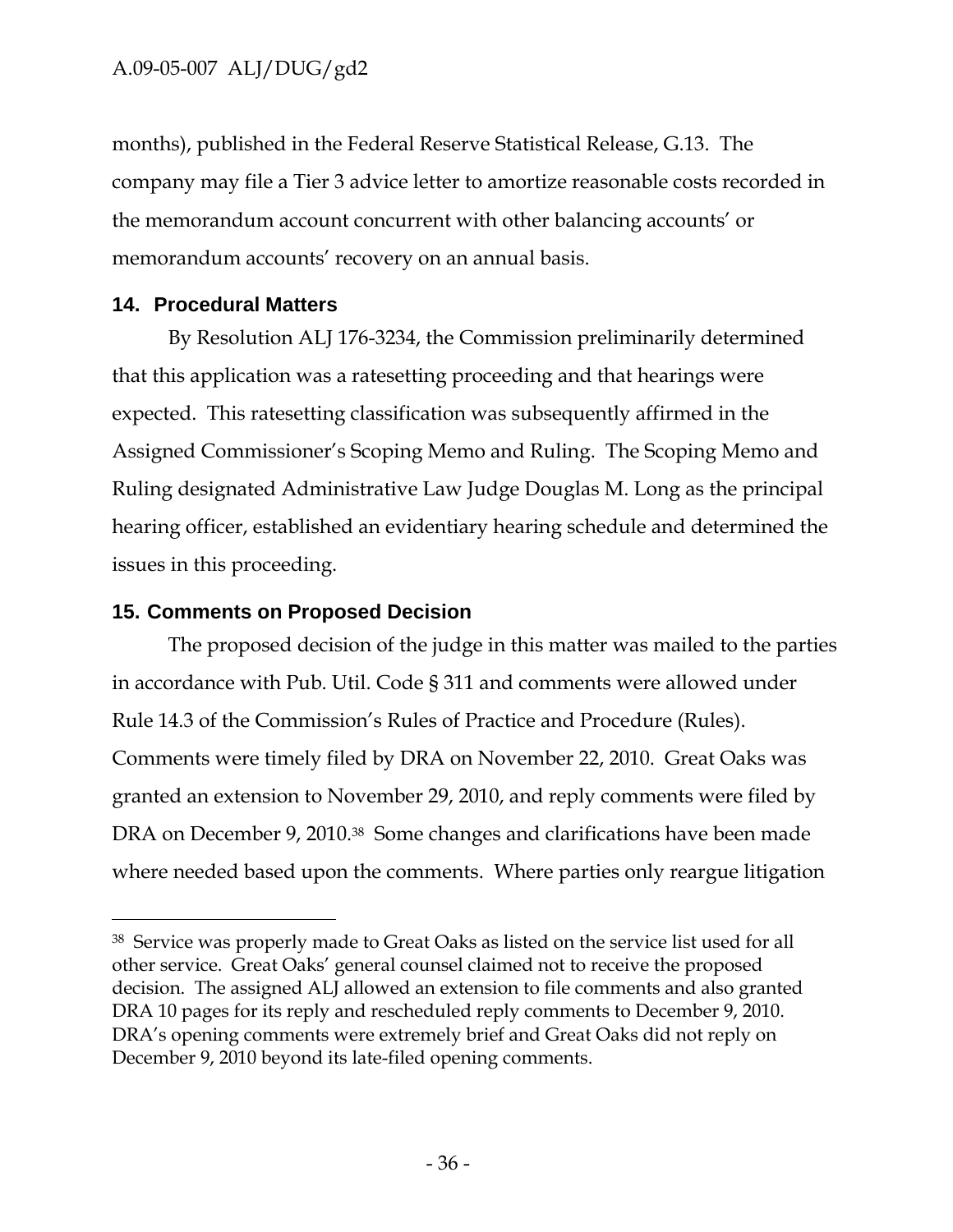months), published in the Federal Reserve Statistical Release, G.13. The company may file a Tier 3 advice letter to amortize reasonable costs recorded in the memorandum account concurrent with other balancing accounts' or memorandum accounts' recovery on an annual basis.

### **14. Procedural Matters**

 $\overline{a}$ 

By Resolution ALJ 176-3234, the Commission preliminarily determined that this application was a ratesetting proceeding and that hearings were expected. This ratesetting classification was subsequently affirmed in the Assigned Commissioner's Scoping Memo and Ruling. The Scoping Memo and Ruling designated Administrative Law Judge Douglas M. Long as the principal hearing officer, established an evidentiary hearing schedule and determined the issues in this proceeding.

### **15. Comments on Proposed Decision**

The proposed decision of the judge in this matter was mailed to the parties in accordance with Pub. Util. Code § 311 and comments were allowed under Rule 14.3 of the Commission's Rules of Practice and Procedure (Rules). Comments were timely filed by DRA on November 22, 2010. Great Oaks was granted an extension to November 29, 2010, and reply comments were filed by DRA on December 9, 2010.38 Some changes and clarifications have been made where needed based upon the comments. Where parties only reargue litigation

<sup>38</sup> Service was properly made to Great Oaks as listed on the service list used for all other service. Great Oaks' general counsel claimed not to receive the proposed decision. The assigned ALJ allowed an extension to file comments and also granted DRA 10 pages for its reply and rescheduled reply comments to December 9, 2010. DRA's opening comments were extremely brief and Great Oaks did not reply on December 9, 2010 beyond its late-filed opening comments.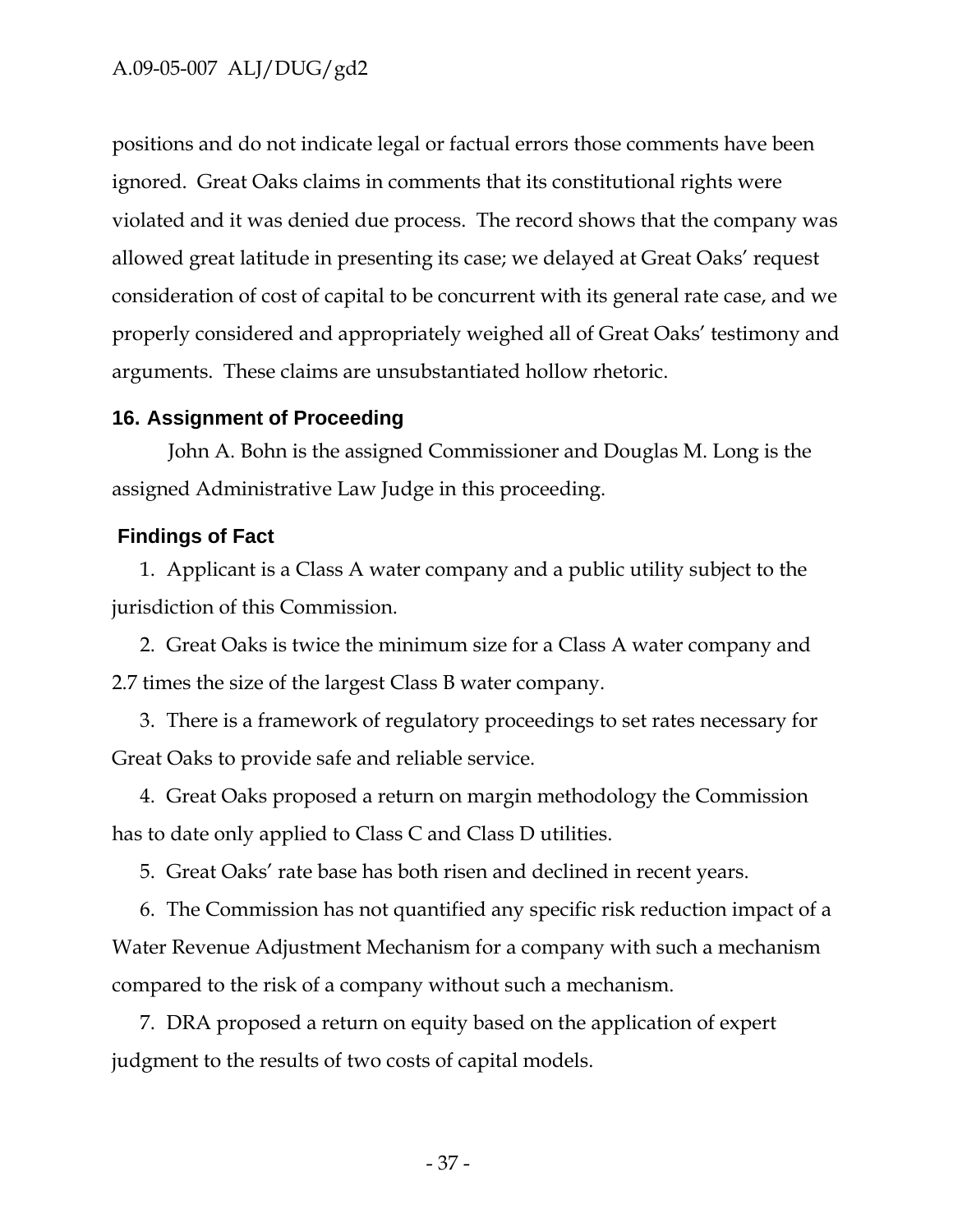positions and do not indicate legal or factual errors those comments have been ignored. Great Oaks claims in comments that its constitutional rights were violated and it was denied due process. The record shows that the company was allowed great latitude in presenting its case; we delayed at Great Oaks' request consideration of cost of capital to be concurrent with its general rate case, and we properly considered and appropriately weighed all of Great Oaks' testimony and arguments. These claims are unsubstantiated hollow rhetoric.

#### **16. Assignment of Proceeding**

John A. Bohn is the assigned Commissioner and Douglas M. Long is the assigned Administrative Law Judge in this proceeding.

#### **Findings of Fact**

1. Applicant is a Class A water company and a public utility subject to the jurisdiction of this Commission.

2. Great Oaks is twice the minimum size for a Class A water company and 2.7 times the size of the largest Class B water company.

3. There is a framework of regulatory proceedings to set rates necessary for Great Oaks to provide safe and reliable service.

4. Great Oaks proposed a return on margin methodology the Commission has to date only applied to Class C and Class D utilities.

5. Great Oaks' rate base has both risen and declined in recent years.

6. The Commission has not quantified any specific risk reduction impact of a Water Revenue Adjustment Mechanism for a company with such a mechanism compared to the risk of a company without such a mechanism.

7. DRA proposed a return on equity based on the application of expert judgment to the results of two costs of capital models.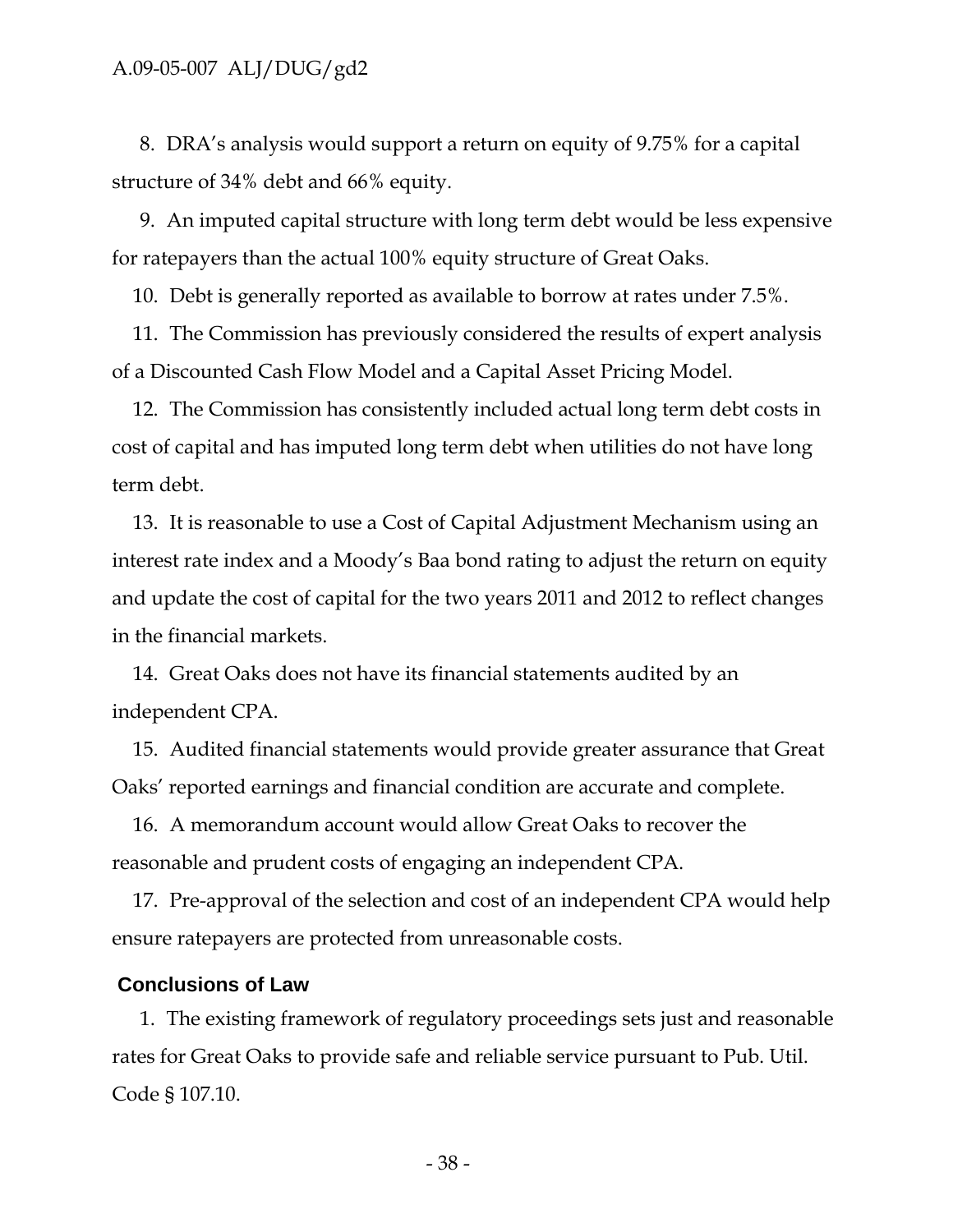8. DRA's analysis would support a return on equity of 9.75% for a capital structure of 34% debt and 66% equity.

9. An imputed capital structure with long term debt would be less expensive for ratepayers than the actual 100% equity structure of Great Oaks.

10. Debt is generally reported as available to borrow at rates under 7.5%.

11. The Commission has previously considered the results of expert analysis of a Discounted Cash Flow Model and a Capital Asset Pricing Model.

12. The Commission has consistently included actual long term debt costs in cost of capital and has imputed long term debt when utilities do not have long term debt.

13. It is reasonable to use a Cost of Capital Adjustment Mechanism using an interest rate index and a Moody's Baa bond rating to adjust the return on equity and update the cost of capital for the two years 2011 and 2012 to reflect changes in the financial markets.

14. Great Oaks does not have its financial statements audited by an independent CPA.

15. Audited financial statements would provide greater assurance that Great Oaks' reported earnings and financial condition are accurate and complete.

16. A memorandum account would allow Great Oaks to recover the reasonable and prudent costs of engaging an independent CPA.

17. Pre-approval of the selection and cost of an independent CPA would help ensure ratepayers are protected from unreasonable costs.

#### **Conclusions of Law**

1. The existing framework of regulatory proceedings sets just and reasonable rates for Great Oaks to provide safe and reliable service pursuant to Pub. Util. Code § 107.10.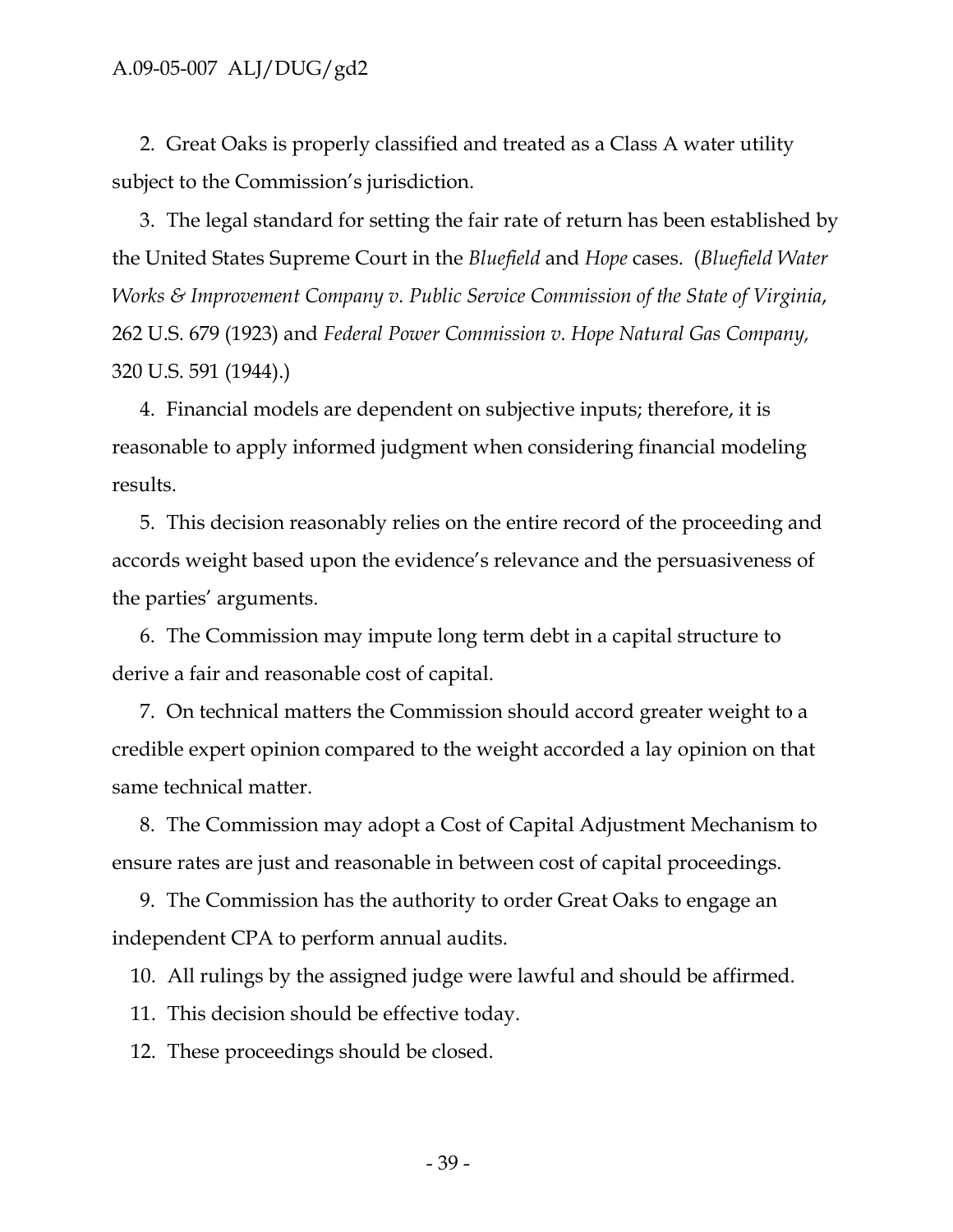2. Great Oaks is properly classified and treated as a Class A water utility subject to the Commission's jurisdiction.

3. The legal standard for setting the fair rate of return has been established by the United States Supreme Court in the *Bluefield* and *Hope* cases. (*Bluefield Water Works & Improvement Company v. Public Service Commission of the State of Virginia*, 262 U.S. 679 (1923) and *Federal Power Commission v. Hope Natural Gas Company,*  320 U.S. 591 (1944).)

4. Financial models are dependent on subjective inputs; therefore, it is reasonable to apply informed judgment when considering financial modeling results.

5. This decision reasonably relies on the entire record of the proceeding and accords weight based upon the evidence's relevance and the persuasiveness of the parties' arguments.

6. The Commission may impute long term debt in a capital structure to derive a fair and reasonable cost of capital.

7. On technical matters the Commission should accord greater weight to a credible expert opinion compared to the weight accorded a lay opinion on that same technical matter.

8. The Commission may adopt a Cost of Capital Adjustment Mechanism to ensure rates are just and reasonable in between cost of capital proceedings.

9. The Commission has the authority to order Great Oaks to engage an independent CPA to perform annual audits.

10. All rulings by the assigned judge were lawful and should be affirmed.

11. This decision should be effective today.

12. These proceedings should be closed.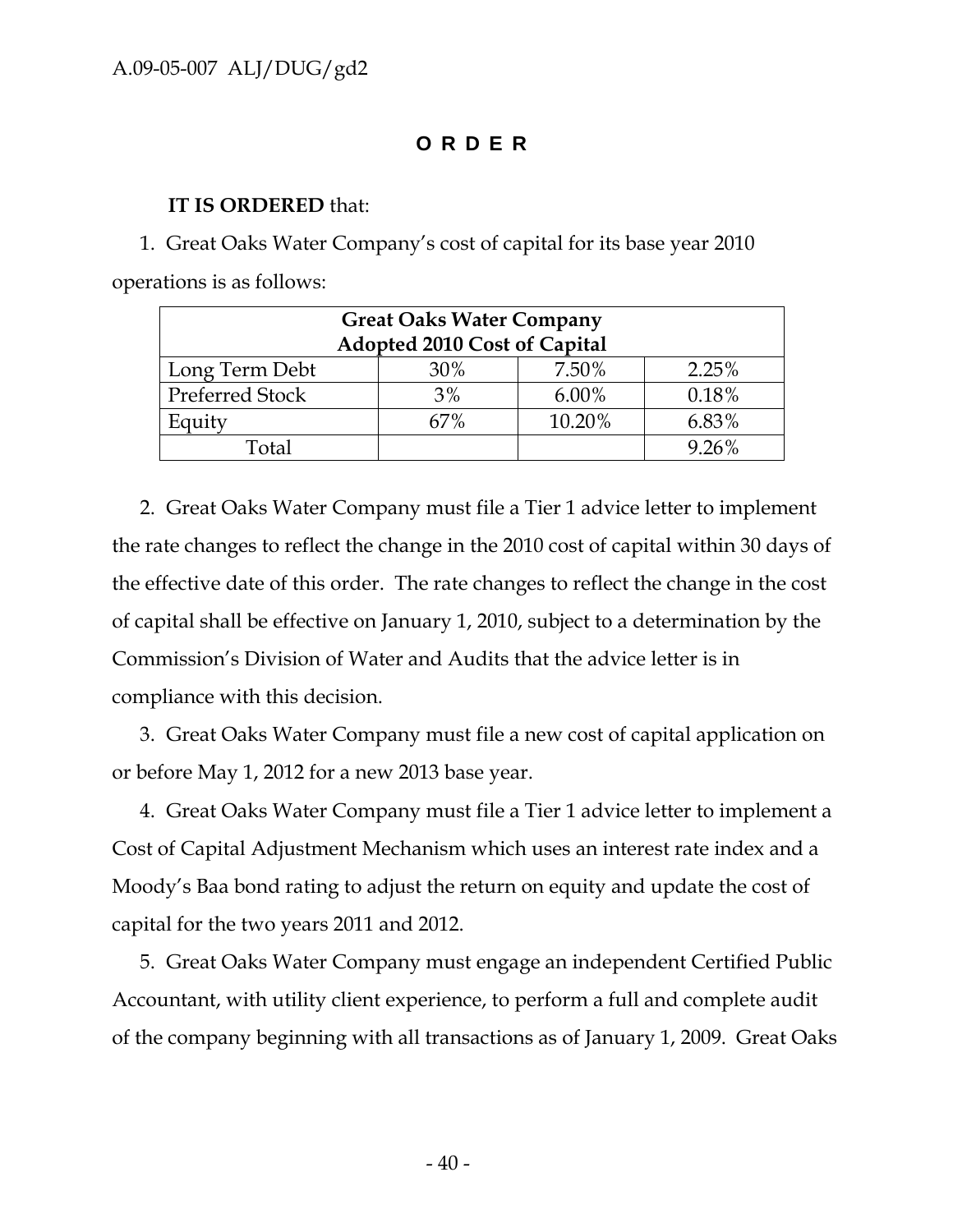# **ORDER**

#### **IT IS ORDERED** that:

1. Great Oaks Water Company's cost of capital for its base year 2010 operations is as follows:

| <b>Great Oaks Water Company</b> |       |        |       |  |  |
|---------------------------------|-------|--------|-------|--|--|
| Adopted 2010 Cost of Capital    |       |        |       |  |  |
| Long Term Debt                  | 30%   | 7.50%  | 2.25% |  |  |
| <b>Preferred Stock</b>          | $3\%$ | 6.00%  | 0.18% |  |  |
| Equity                          | 67%   | 10.20% | 6.83% |  |  |
| Total                           |       |        | 9.26% |  |  |

2. Great Oaks Water Company must file a Tier 1 advice letter to implement the rate changes to reflect the change in the 2010 cost of capital within 30 days of the effective date of this order. The rate changes to reflect the change in the cost of capital shall be effective on January 1, 2010, subject to a determination by the Commission's Division of Water and Audits that the advice letter is in compliance with this decision.

3. Great Oaks Water Company must file a new cost of capital application on or before May 1, 2012 for a new 2013 base year.

4. Great Oaks Water Company must file a Tier 1 advice letter to implement a Cost of Capital Adjustment Mechanism which uses an interest rate index and a Moody's Baa bond rating to adjust the return on equity and update the cost of capital for the two years 2011 and 2012.

5. Great Oaks Water Company must engage an independent Certified Public Accountant, with utility client experience, to perform a full and complete audit of the company beginning with all transactions as of January 1, 2009. Great Oaks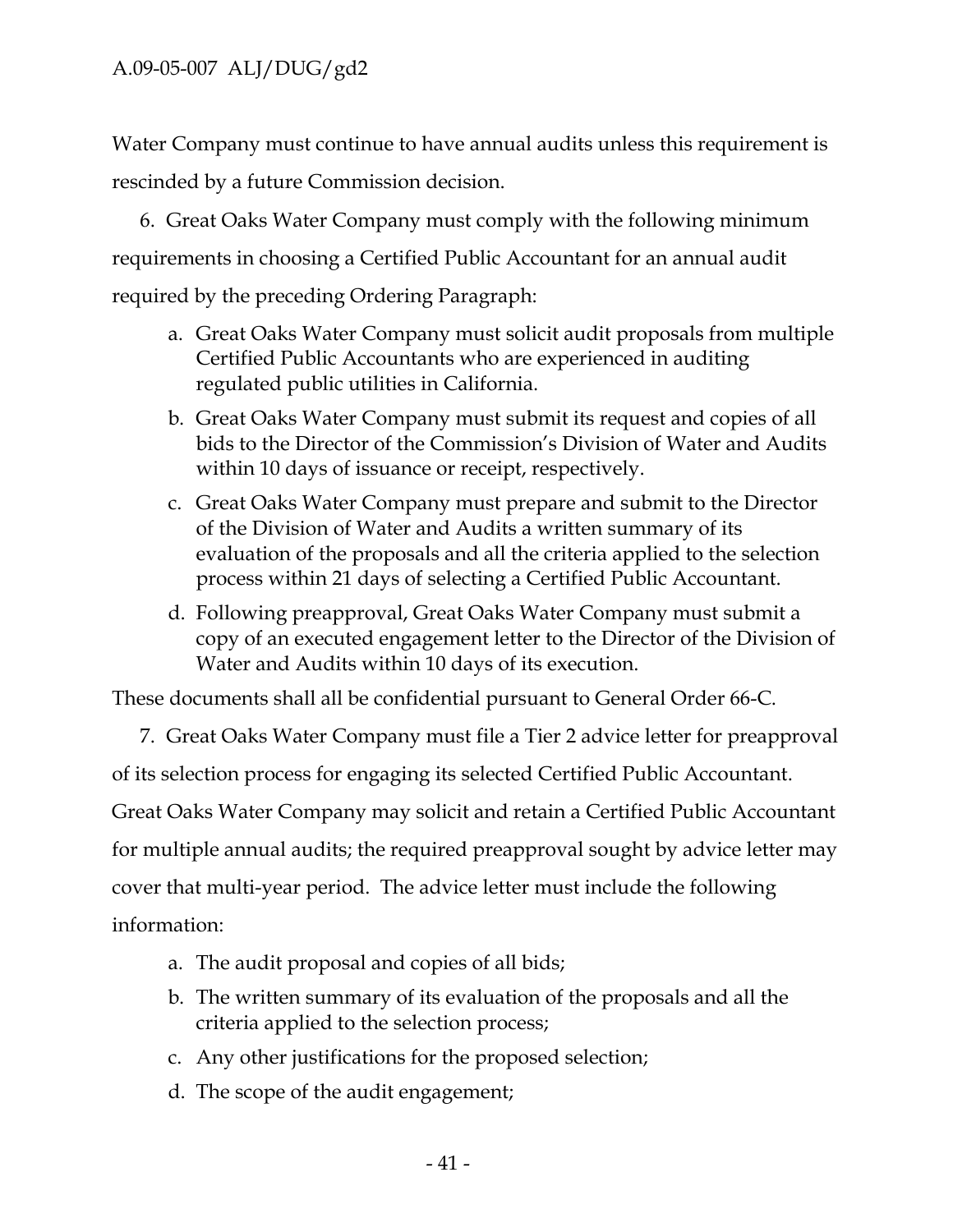Water Company must continue to have annual audits unless this requirement is rescinded by a future Commission decision.

6. Great Oaks Water Company must comply with the following minimum requirements in choosing a Certified Public Accountant for an annual audit required by the preceding Ordering Paragraph:

- a. Great Oaks Water Company must solicit audit proposals from multiple Certified Public Accountants who are experienced in auditing regulated public utilities in California.
- b. Great Oaks Water Company must submit its request and copies of all bids to the Director of the Commission's Division of Water and Audits within 10 days of issuance or receipt, respectively.
- c. Great Oaks Water Company must prepare and submit to the Director of the Division of Water and Audits a written summary of its evaluation of the proposals and all the criteria applied to the selection process within 21 days of selecting a Certified Public Accountant.
- d. Following preapproval, Great Oaks Water Company must submit a copy of an executed engagement letter to the Director of the Division of Water and Audits within 10 days of its execution.

These documents shall all be confidential pursuant to General Order 66-C.

7. Great Oaks Water Company must file a Tier 2 advice letter for preapproval of its selection process for engaging its selected Certified Public Accountant. Great Oaks Water Company may solicit and retain a Certified Public Accountant for multiple annual audits; the required preapproval sought by advice letter may cover that multi-year period. The advice letter must include the following information:

- a. The audit proposal and copies of all bids;
- b. The written summary of its evaluation of the proposals and all the criteria applied to the selection process;
- c. Any other justifications for the proposed selection;
- d. The scope of the audit engagement;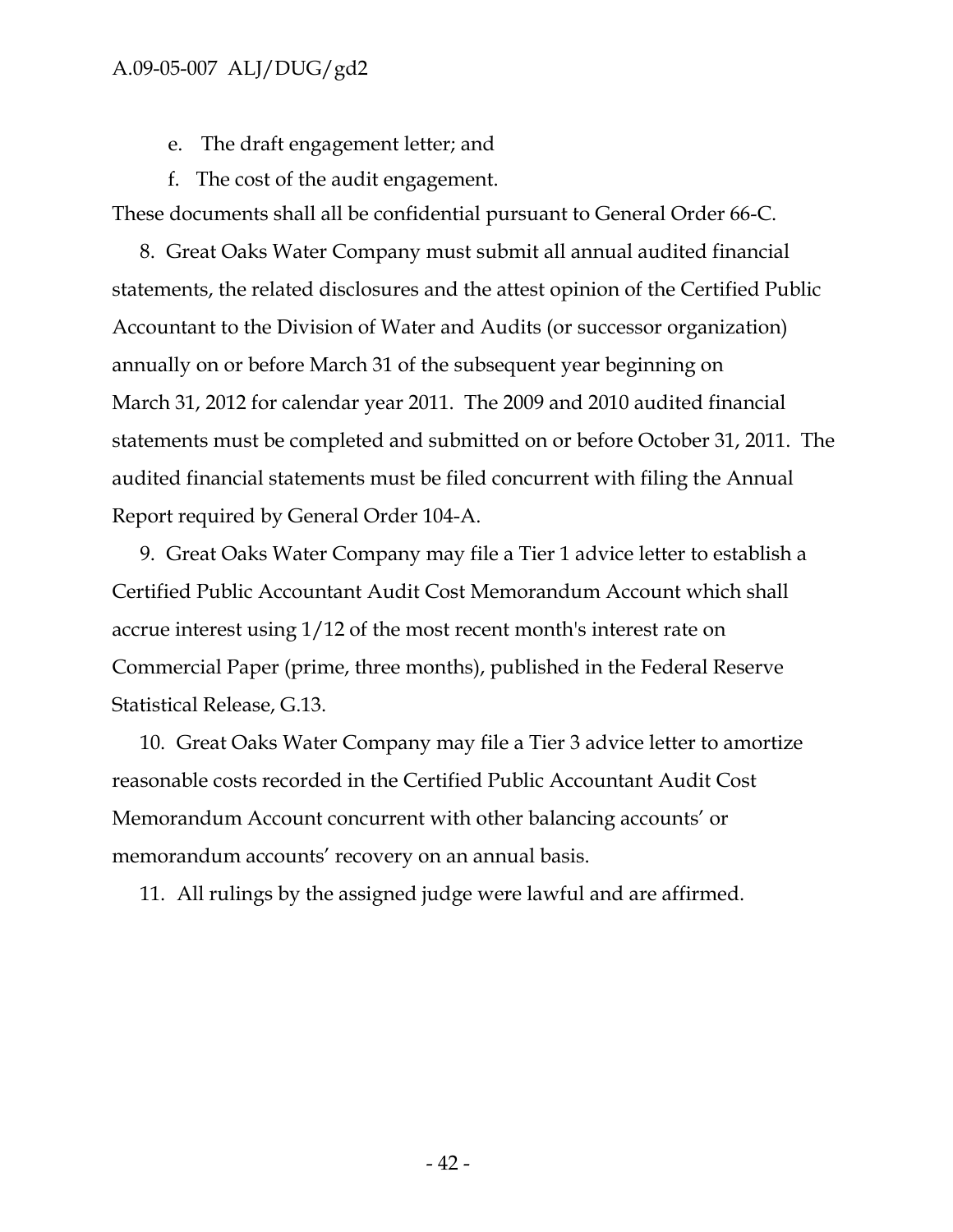- e. The draft engagement letter; and
- f. The cost of the audit engagement.

These documents shall all be confidential pursuant to General Order 66-C.

8. Great Oaks Water Company must submit all annual audited financial statements, the related disclosures and the attest opinion of the Certified Public Accountant to the Division of Water and Audits (or successor organization) annually on or before March 31 of the subsequent year beginning on March 31, 2012 for calendar year 2011. The 2009 and 2010 audited financial statements must be completed and submitted on or before October 31, 2011. The audited financial statements must be filed concurrent with filing the Annual Report required by General Order 104-A.

9. Great Oaks Water Company may file a Tier 1 advice letter to establish a Certified Public Accountant Audit Cost Memorandum Account which shall accrue interest using 1/12 of the most recent month's interest rate on Commercial Paper (prime, three months), published in the Federal Reserve Statistical Release, G.13.

10. Great Oaks Water Company may file a Tier 3 advice letter to amortize reasonable costs recorded in the Certified Public Accountant Audit Cost Memorandum Account concurrent with other balancing accounts' or memorandum accounts' recovery on an annual basis.

11. All rulings by the assigned judge were lawful and are affirmed.